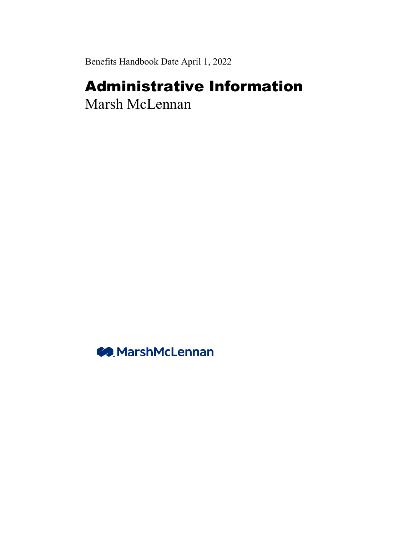Benefits Handbook Date April 1, 2022

# Administrative Information

Marsh McLennan

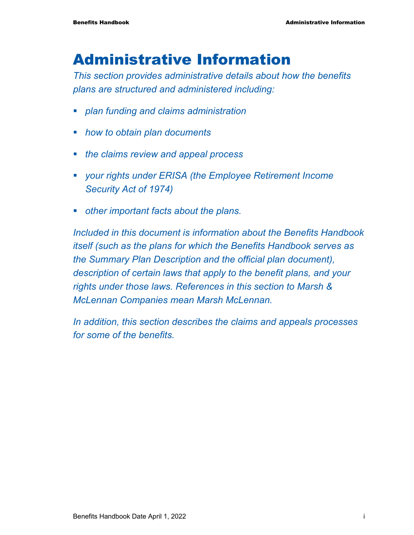# Administrative Information

*This section provides administrative details about how the benefits plans are structured and administered including:* 

- *plan funding and claims administration*
- *how to obtain plan documents*
- *the claims review and appeal process*
- *your rights under ERISA (the Employee Retirement Income Security Act of 1974)*
- *other important facts about the plans.*

*Included in this document is information about the Benefits Handbook itself (such as the plans for which the Benefits Handbook serves as the Summary Plan Description and the official plan document), description of certain laws that apply to the benefit plans, and your rights under those laws. References in this section to Marsh & McLennan Companies mean Marsh McLennan.* 

*In addition, this section describes the claims and appeals processes for some of the benefits.*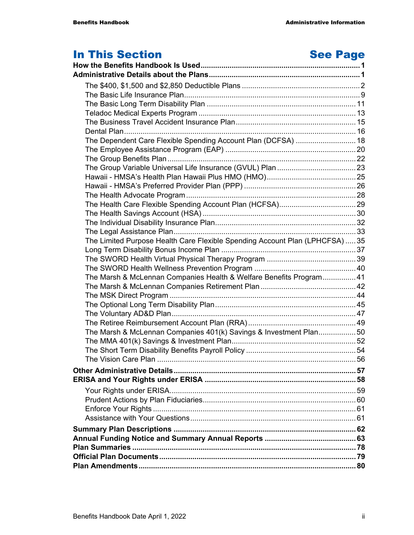## In This Section **See Page**

| The Dependent Care Flexible Spending Account Plan (DCFSA)  18                |  |
|------------------------------------------------------------------------------|--|
|                                                                              |  |
|                                                                              |  |
|                                                                              |  |
|                                                                              |  |
|                                                                              |  |
|                                                                              |  |
|                                                                              |  |
|                                                                              |  |
|                                                                              |  |
|                                                                              |  |
| The Limited Purpose Health Care Flexible Spending Account Plan (LPHCFSA)  35 |  |
|                                                                              |  |
|                                                                              |  |
|                                                                              |  |
| The Marsh & McLennan Companies Health & Welfare Benefits Program41           |  |
|                                                                              |  |
|                                                                              |  |
|                                                                              |  |
|                                                                              |  |
|                                                                              |  |
| The Marsh & McLennan Companies 401(k) Savings & Investment Plan50            |  |
|                                                                              |  |
|                                                                              |  |
|                                                                              |  |
|                                                                              |  |
|                                                                              |  |
|                                                                              |  |
|                                                                              |  |
|                                                                              |  |
|                                                                              |  |
|                                                                              |  |
|                                                                              |  |
|                                                                              |  |
|                                                                              |  |
|                                                                              |  |
|                                                                              |  |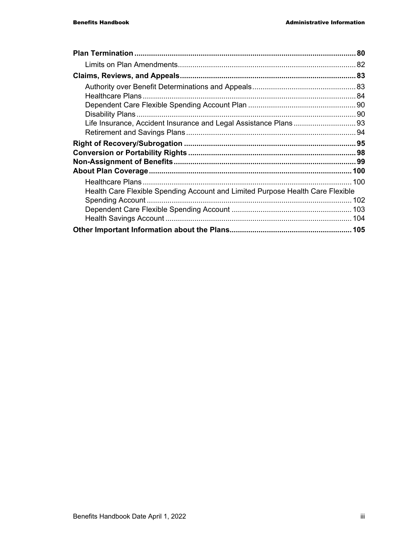| Health Care Flexible Spending Account and Limited Purpose Health Care Flexible |  |
|--------------------------------------------------------------------------------|--|
|                                                                                |  |
|                                                                                |  |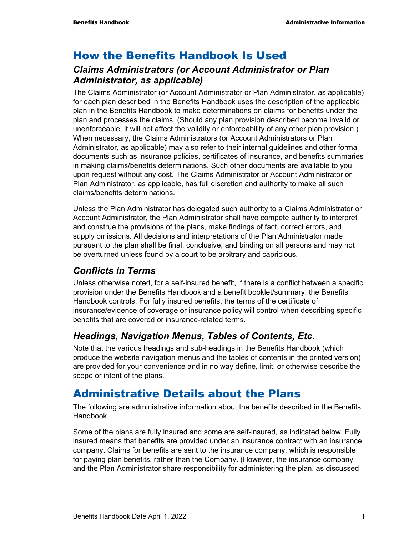### How the Benefits Handbook Is Used

### *Claims Administrators (or Account Administrator or Plan Administrator, as applicable)*

The Claims Administrator (or Account Administrator or Plan Administrator, as applicable) for each plan described in the Benefits Handbook uses the description of the applicable plan in the Benefits Handbook to make determinations on claims for benefits under the plan and processes the claims. (Should any plan provision described become invalid or unenforceable, it will not affect the validity or enforceability of any other plan provision.) When necessary, the Claims Administrators (or Account Administrators or Plan Administrator, as applicable) may also refer to their internal guidelines and other formal documents such as insurance policies, certificates of insurance, and benefits summaries in making claims/benefits determinations. Such other documents are available to you upon request without any cost. The Claims Administrator or Account Administrator or Plan Administrator, as applicable, has full discretion and authority to make all such claims/benefits determinations.

Unless the Plan Administrator has delegated such authority to a Claims Administrator or Account Administrator, the Plan Administrator shall have compete authority to interpret and construe the provisions of the plans, make findings of fact, correct errors, and supply omissions. All decisions and interpretations of the Plan Administrator made pursuant to the plan shall be final, conclusive, and binding on all persons and may not be overturned unless found by a court to be arbitrary and capricious.

### *Conflicts in Terms*

Unless otherwise noted, for a self-insured benefit, if there is a conflict between a specific provision under the Benefits Handbook and a benefit booklet/summary, the Benefits Handbook controls. For fully insured benefits, the terms of the certificate of insurance/evidence of coverage or insurance policy will control when describing specific benefits that are covered or insurance-related terms.

### *Headings, Navigation Menus, Tables of Contents, Etc.*

Note that the various headings and sub-headings in the Benefits Handbook (which produce the website navigation menus and the tables of contents in the printed version) are provided for your convenience and in no way define, limit, or otherwise describe the scope or intent of the plans.

### Administrative Details about the Plans

The following are administrative information about the benefits described in the Benefits Handbook.

Some of the plans are fully insured and some are self-insured, as indicated below. Fully insured means that benefits are provided under an insurance contract with an insurance company. Claims for benefits are sent to the insurance company, which is responsible for paying plan benefits, rather than the Company. (However, the insurance company and the Plan Administrator share responsibility for administering the plan, as discussed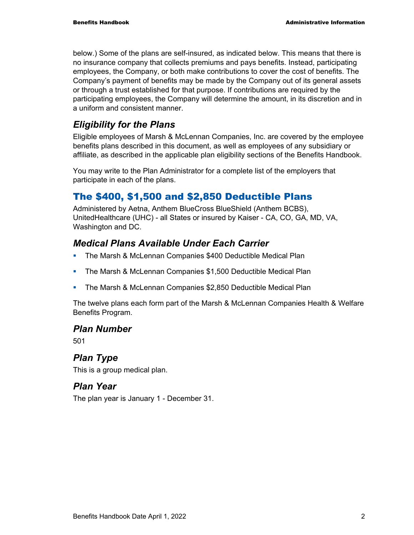below.) Some of the plans are self-insured, as indicated below. This means that there is no insurance company that collects premiums and pays benefits. Instead, participating employees, the Company, or both make contributions to cover the cost of benefits. The Company's payment of benefits may be made by the Company out of its general assets or through a trust established for that purpose. If contributions are required by the participating employees, the Company will determine the amount, in its discretion and in a uniform and consistent manner.

### *Eligibility for the Plans*

Eligible employees of Marsh & McLennan Companies, Inc. are covered by the employee benefits plans described in this document, as well as employees of any subsidiary or affiliate, as described in the applicable plan eligibility sections of the Benefits Handbook.

You may write to the Plan Administrator for a complete list of the employers that participate in each of the plans.

### The \$400, \$1,500 and \$2,850 Deductible Plans

Administered by Aetna, Anthem BlueCross BlueShield (Anthem BCBS), UnitedHealthcare (UHC) - all States or insured by Kaiser - CA, CO, GA, MD, VA, Washington and DC.

### *Medical Plans Available Under Each Carrier*

- **The Marsh & McLennan Companies \$400 Deductible Medical Plan**
- **The Marsh & McLennan Companies \$1,500 Deductible Medical Plan**
- The Marsh & McLennan Companies \$2,850 Deductible Medical Plan

The twelve plans each form part of the Marsh & McLennan Companies Health & Welfare Benefits Program.

### *Plan Number*

501

### *Plan Type*

This is a group medical plan.

### *Plan Year*

The plan year is January 1 - December 31.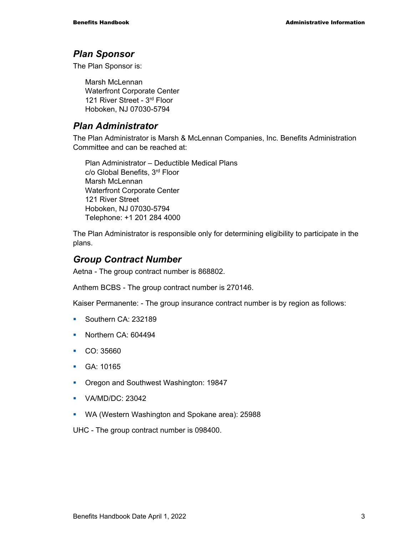#### *Plan Sponsor*

The Plan Sponsor is:

Marsh McLennan Waterfront Corporate Center 121 River Street - 3rd Floor Hoboken, NJ 07030-5794

#### *Plan Administrator*

The Plan Administrator is Marsh & McLennan Companies, Inc. Benefits Administration Committee and can be reached at:

Plan Administrator – Deductible Medical Plans c/o Global Benefits, 3rd Floor Marsh McLennan Waterfront Corporate Center 121 River Street Hoboken, NJ 07030-5794 Telephone: +1 201 284 4000

The Plan Administrator is responsible only for determining eligibility to participate in the plans.

### *Group Contract Number*

Aetna - The group contract number is 868802.

Anthem BCBS - The group contract number is 270146.

Kaiser Permanente: - The group insurance contract number is by region as follows:

- Southern CA: 232189
- Northern CA: 604494
- CO: 35660
- GA: 10165
- **Oregon and Southwest Washington: 19847**
- **•** VA/MD/DC: 23042
- WA (Western Washington and Spokane area): 25988

UHC - The group contract number is 098400.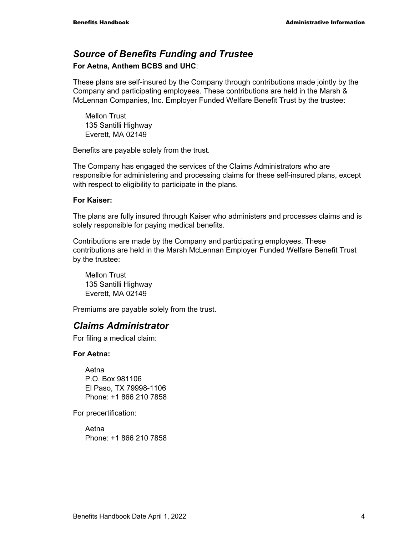### *Source of Benefits Funding and Trustee*

#### **For Aetna, Anthem BCBS and UHC**:

These plans are self-insured by the Company through contributions made jointly by the Company and participating employees. These contributions are held in the Marsh & McLennan Companies, Inc. Employer Funded Welfare Benefit Trust by the trustee:

Mellon Trust 135 Santilli Highway Everett, MA 02149

Benefits are payable solely from the trust.

The Company has engaged the services of the Claims Administrators who are responsible for administering and processing claims for these self-insured plans, except with respect to eligibility to participate in the plans.

#### **For Kaiser:**

The plans are fully insured through Kaiser who administers and processes claims and is solely responsible for paying medical benefits.

Contributions are made by the Company and participating employees. These contributions are held in the Marsh McLennan Employer Funded Welfare Benefit Trust by the trustee:

Mellon Trust 135 Santilli Highway Everett, MA 02149

Premiums are payable solely from the trust.

#### *Claims Administrator*

For filing a medical claim:

#### **For Aetna:**

Aetna P.O. Box 981106 El Paso, TX 79998-1106 Phone: +1 866 210 7858

For precertification:

Aetna Phone: +1 866 210 7858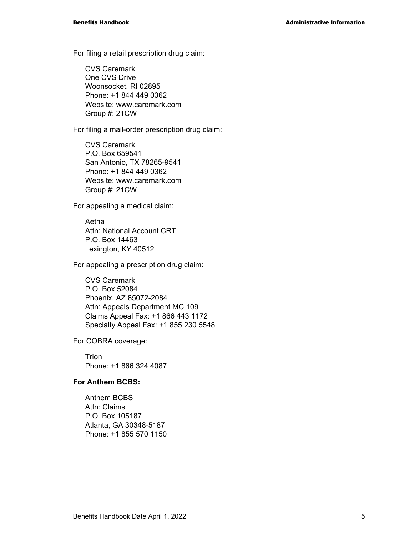For filing a retail prescription drug claim:

CVS Caremark One CVS Drive Woonsocket, RI 02895 Phone: +1 844 449 0362 Website: www.caremark.com Group #: 21CW

For filing a mail-order prescription drug claim:

CVS Caremark P.O. Box 659541 San Antonio, TX 78265-9541 Phone: +1 844 449 0362 Website: www.caremark.com Group #: 21CW

For appealing a medical claim:

Aetna Attn: National Account CRT P.O. Box 14463 Lexington, KY 40512

For appealing a prescription drug claim:

CVS Caremark P.O. Box 52084 Phoenix, AZ 85072-2084 Attn: Appeals Department MC 109 Claims Appeal Fax: +1 866 443 1172 Specialty Appeal Fax: +1 855 230 5548

For COBRA coverage:

**Trion** Phone: +1 866 324 4087

#### **For Anthem BCBS:**

Anthem BCBS Attn: Claims P.O. Box 105187 Atlanta, GA 30348-5187 Phone: +1 855 570 1150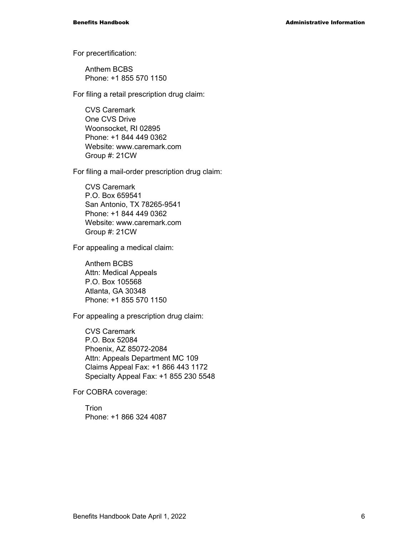For precertification:

Anthem BCBS Phone: +1 855 570 1150

For filing a retail prescription drug claim:

CVS Caremark One CVS Drive Woonsocket, RI 02895 Phone: +1 844 449 0362 Website: www.caremark.com Group #: 21CW

For filing a mail-order prescription drug claim:

CVS Caremark P.O. Box 659541 San Antonio, TX 78265-9541 Phone: +1 844 449 0362 Website: www.caremark.com Group #: 21CW

For appealing a medical claim:

Anthem BCBS Attn: Medical Appeals P.O. Box 105568 Atlanta, GA 30348 Phone: +1 855 570 1150

For appealing a prescription drug claim:

CVS Caremark P.O. Box 52084 Phoenix, AZ 85072-2084 Attn: Appeals Department MC 109 Claims Appeal Fax: +1 866 443 1172 Specialty Appeal Fax: +1 855 230 5548

For COBRA coverage:

Trion Phone: +1 866 324 4087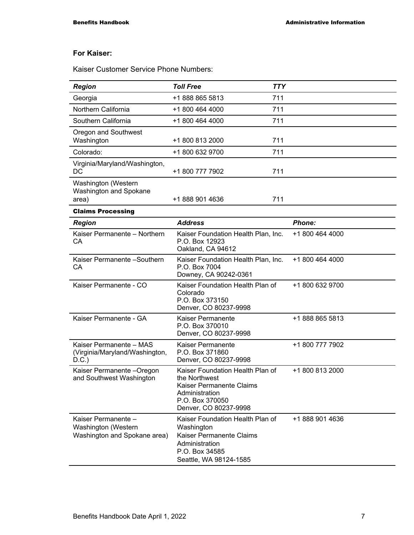#### **For Kaiser:**

Kaiser Customer Service Phone Numbers:

| <b>Region</b>                                                              | <b>Toll Free</b>                                                                                                                            | <b>TTY</b> |                 |
|----------------------------------------------------------------------------|---------------------------------------------------------------------------------------------------------------------------------------------|------------|-----------------|
| Georgia                                                                    | +1 888 865 5813                                                                                                                             | 711        |                 |
| Northern California                                                        | +1 800 464 4000                                                                                                                             | 711        |                 |
| Southern California                                                        | +1 800 464 4000                                                                                                                             | 711        |                 |
| Oregon and Southwest<br>Washington                                         | +1 800 813 2000                                                                                                                             | 711        |                 |
| Colorado:                                                                  | +1 800 632 9700                                                                                                                             | 711        |                 |
| Virginia/Maryland/Washington,<br>DC                                        | +1 800 777 7902                                                                                                                             | 711        |                 |
| Washington (Western<br>Washington and Spokane<br>area)                     | +1 888 901 4636                                                                                                                             | 711        |                 |
| <b>Claims Processing</b>                                                   |                                                                                                                                             |            |                 |
| <b>Region</b>                                                              | <b>Address</b>                                                                                                                              |            | <b>Phone:</b>   |
| Kaiser Permanente - Northern<br>СA                                         | Kaiser Foundation Health Plan, Inc.<br>P.O. Box 12923<br>Oakland, CA 94612                                                                  |            | +1 800 464 4000 |
| Kaiser Permanente - Southern<br>CА                                         | Kaiser Foundation Health Plan, Inc.<br>P.O. Box 7004<br>Downey, CA 90242-0361                                                               |            | +1 800 464 4000 |
| Kaiser Permanente - CO                                                     | Kaiser Foundation Health Plan of<br>Colorado<br>P.O. Box 373150<br>Denver, CO 80237-9998                                                    |            | +1 800 632 9700 |
| Kaiser Permanente - GA                                                     | Kaiser Permanente<br>P.O. Box 370010<br>Denver, CO 80237-9998                                                                               |            | +1 888 865 5813 |
| Kaiser Permanente - MAS<br>(Virginia/Maryland/Washington,<br>D.C.)         | Kaiser Permanente<br>P.O. Box 371860<br>Denver, CO 80237-9998                                                                               |            | +1 800 777 7902 |
| Kaiser Permanente - Oregon<br>and Southwest Washington                     | Kaiser Foundation Health Plan of<br>the Northwest<br>Kaiser Permanente Claims<br>Administration<br>P.O. Box 370050<br>Denver, CO 80237-9998 |            | +1 800 813 2000 |
| Kaiser Permanente -<br>Washington (Western<br>Washington and Spokane area) | Kaiser Foundation Health Plan of<br>Washington<br>Kaiser Permanente Claims<br>Administration<br>P.O. Box 34585<br>Seattle, WA 98124-1585    |            | +1 888 901 4636 |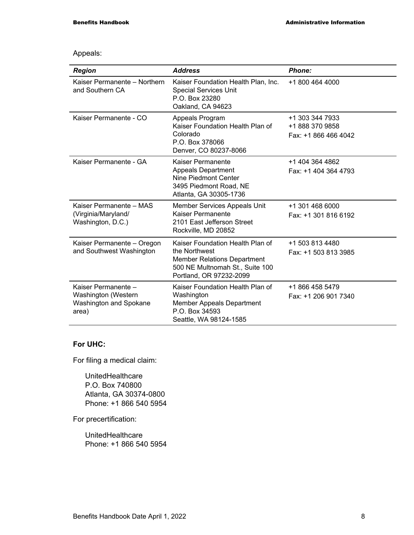#### Appeals:

| <b>Region</b>                                                                 | <b>Address</b>                                                                                                                                        | <b>Phone:</b>                                              |
|-------------------------------------------------------------------------------|-------------------------------------------------------------------------------------------------------------------------------------------------------|------------------------------------------------------------|
| Kaiser Permanente - Northern<br>and Southern CA                               | Kaiser Foundation Health Plan, Inc.<br><b>Special Services Unit</b><br>P.O. Box 23280<br>Oakland, CA 94623                                            | +1 800 464 4000                                            |
| Kaiser Permanente - CO                                                        | Appeals Program<br>Kaiser Foundation Health Plan of<br>Colorado<br>P.O. Box 378066<br>Denver, CO 80237-8066                                           | +1 303 344 7933<br>+1 888 370 9858<br>Fax: +1 866 466 4042 |
| Kaiser Permanente - GA                                                        | <b>Kaiser Permanente</b><br><b>Appeals Department</b><br>Nine Piedmont Center<br>3495 Piedmont Road, NE<br>Atlanta, GA 30305-1736                     | +1 404 364 4862<br>Fax: +1 404 364 4793                    |
| Kaiser Permanente - MAS<br>(Virginia/Maryland/<br>Washington, D.C.)           | Member Services Appeals Unit<br>Kaiser Permanente<br>2101 East Jefferson Street<br>Rockville, MD 20852                                                | +1 301 468 6000<br>Fax: +1 301 816 6192                    |
| Kaiser Permanente - Oregon<br>and Southwest Washington                        | Kaiser Foundation Health Plan of<br>the Northwest<br><b>Member Relations Department</b><br>500 NE Multnomah St., Suite 100<br>Portland, OR 97232-2099 | +1 503 813 4480<br>Fax: +1 503 813 3985                    |
| Kaiser Permanente -<br>Washington (Western<br>Washington and Spokane<br>area) | Kaiser Foundation Health Plan of<br>Washington<br><b>Member Appeals Department</b><br>P.O. Box 34593<br>Seattle, WA 98124-1585                        | +1 866 458 5479<br>Fax: +1 206 901 7340                    |

#### **For UHC:**

For filing a medical claim:

UnitedHealthcare P.O. Box 740800 Atlanta, GA 30374-0800 Phone: +1 866 540 5954

For precertification:

UnitedHealthcare Phone: +1 866 540 5954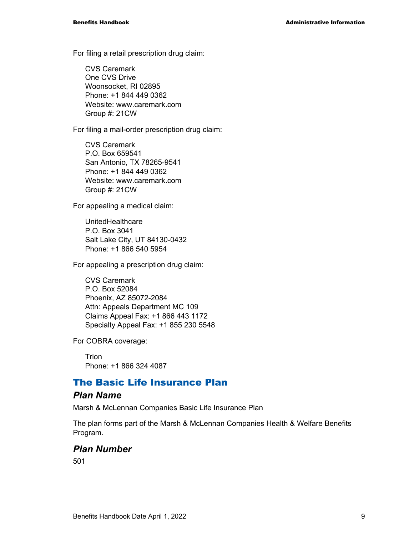For filing a retail prescription drug claim:

CVS Caremark One CVS Drive Woonsocket, RI 02895 Phone: +1 844 449 0362 Website: www.caremark.com Group #: 21CW

For filing a mail-order prescription drug claim:

CVS Caremark P.O. Box 659541 San Antonio, TX 78265-9541 Phone: +1 844 449 0362 Website: www.caremark.com Group #: 21CW

For appealing a medical claim:

UnitedHealthcare P.O. Box 3041 Salt Lake City, UT 84130-0432 Phone: +1 866 540 5954

For appealing a prescription drug claim:

CVS Caremark P.O. Box 52084 Phoenix, AZ 85072-2084 Attn: Appeals Department MC 109 Claims Appeal Fax: +1 866 443 1172 Specialty Appeal Fax: +1 855 230 5548

For COBRA coverage:

**Trion** Phone: +1 866 324 4087

#### The Basic Life Insurance Plan

#### *Plan Name*

Marsh & McLennan Companies Basic Life Insurance Plan

The plan forms part of the Marsh & McLennan Companies Health & Welfare Benefits Program.

#### *Plan Number*

501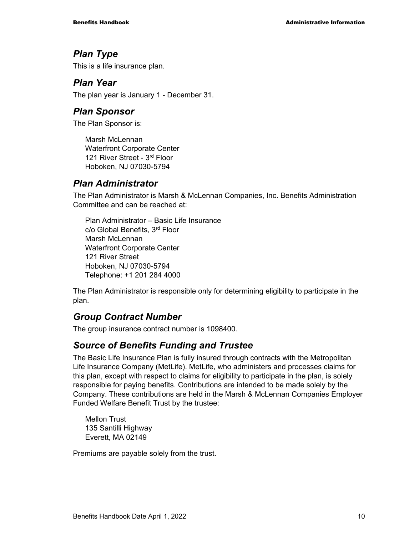#### *Plan Type*

This is a life insurance plan.

#### *Plan Year*

The plan year is January 1 - December 31.

#### *Plan Sponsor*

The Plan Sponsor is:

Marsh McLennan Waterfront Corporate Center 121 River Street - 3rd Floor Hoboken, NJ 07030-5794

### *Plan Administrator*

The Plan Administrator is Marsh & McLennan Companies, Inc. Benefits Administration Committee and can be reached at:

Plan Administrator – Basic Life Insurance c/o Global Benefits, 3rd Floor Marsh McLennan Waterfront Corporate Center 121 River Street Hoboken, NJ 07030-5794 Telephone: +1 201 284 4000

The Plan Administrator is responsible only for determining eligibility to participate in the plan.

### *Group Contract Number*

The group insurance contract number is 1098400.

#### *Source of Benefits Funding and Trustee*

The Basic Life Insurance Plan is fully insured through contracts with the Metropolitan Life Insurance Company (MetLife). MetLife, who administers and processes claims for this plan, except with respect to claims for eligibility to participate in the plan, is solely responsible for paying benefits. Contributions are intended to be made solely by the Company. These contributions are held in the Marsh & McLennan Companies Employer Funded Welfare Benefit Trust by the trustee:

Mellon Trust 135 Santilli Highway Everett, MA 02149

Premiums are payable solely from the trust.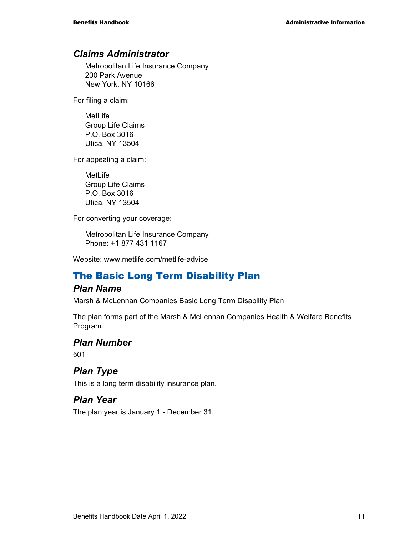#### *Claims Administrator*

Metropolitan Life Insurance Company 200 Park Avenue New York, NY 10166

For filing a claim:

MetLife Group Life Claims P.O. Box 3016 Utica, NY 13504

For appealing a claim:

MetLife Group Life Claims P.O. Box 3016 Utica, NY 13504

For converting your coverage:

Metropolitan Life Insurance Company Phone: +1 877 431 1167

Website: www.metlife.com/metlife-advice

### The Basic Long Term Disability Plan

#### *Plan Name*

Marsh & McLennan Companies Basic Long Term Disability Plan

The plan forms part of the Marsh & McLennan Companies Health & Welfare Benefits Program.

#### *Plan Number*

501

#### *Plan Type*

This is a long term disability insurance plan.

#### *Plan Year*

The plan year is January 1 - December 31.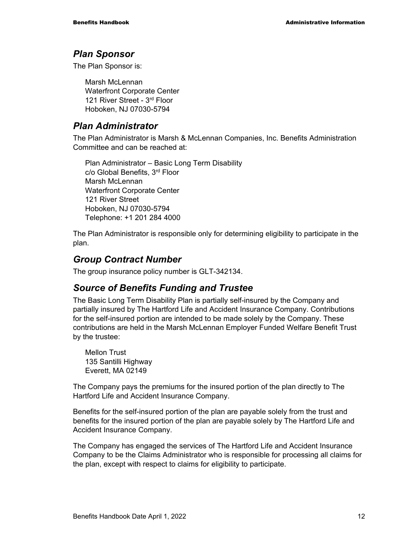#### *Plan Sponsor*

The Plan Sponsor is:

Marsh McLennan Waterfront Corporate Center 121 River Street - 3rd Floor Hoboken, NJ 07030-5794

#### *Plan Administrator*

The Plan Administrator is Marsh & McLennan Companies, Inc. Benefits Administration Committee and can be reached at:

Plan Administrator – Basic Long Term Disability c/o Global Benefits, 3rd Floor Marsh McLennan Waterfront Corporate Center 121 River Street Hoboken, NJ 07030-5794 Telephone: +1 201 284 4000

The Plan Administrator is responsible only for determining eligibility to participate in the plan.

### *Group Contract Number*

The group insurance policy number is GLT-342134.

#### *Source of Benefits Funding and Trustee*

The Basic Long Term Disability Plan is partially self-insured by the Company and partially insured by The Hartford Life and Accident Insurance Company. Contributions for the self-insured portion are intended to be made solely by the Company. These contributions are held in the Marsh McLennan Employer Funded Welfare Benefit Trust by the trustee:

Mellon Trust 135 Santilli Highway Everett, MA 02149

The Company pays the premiums for the insured portion of the plan directly to The Hartford Life and Accident Insurance Company.

Benefits for the self-insured portion of the plan are payable solely from the trust and benefits for the insured portion of the plan are payable solely by The Hartford Life and Accident Insurance Company.

The Company has engaged the services of The Hartford Life and Accident Insurance Company to be the Claims Administrator who is responsible for processing all claims for the plan, except with respect to claims for eligibility to participate.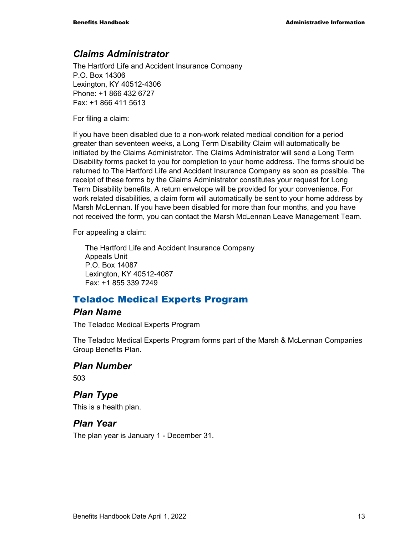#### *Claims Administrator*

The Hartford Life and Accident Insurance Company P.O. Box 14306 Lexington, KY 40512-4306 Phone: +1 866 432 6727 Fax: +1 866 411 5613

For filing a claim:

If you have been disabled due to a non-work related medical condition for a period greater than seventeen weeks, a Long Term Disability Claim will automatically be initiated by the Claims Administrator. The Claims Administrator will send a Long Term Disability forms packet to you for completion to your home address. The forms should be returned to The Hartford Life and Accident Insurance Company as soon as possible. The receipt of these forms by the Claims Administrator constitutes your request for Long Term Disability benefits. A return envelope will be provided for your convenience. For work related disabilities, a claim form will automatically be sent to your home address by Marsh McLennan. If you have been disabled for more than four months, and you have not received the form, you can contact the Marsh McLennan Leave Management Team.

For appealing a claim:

The Hartford Life and Accident Insurance Company Appeals Unit P.O. Box 14087 Lexington, KY 40512-4087 Fax: +1 855 339 7249

#### Teladoc Medical Experts Program

#### *Plan Name*

The Teladoc Medical Experts Program

The Teladoc Medical Experts Program forms part of the Marsh & McLennan Companies Group Benefits Plan.

#### *Plan Number*

503

### *Plan Type*

This is a health plan.

#### *Plan Year*

The plan year is January 1 - December 31.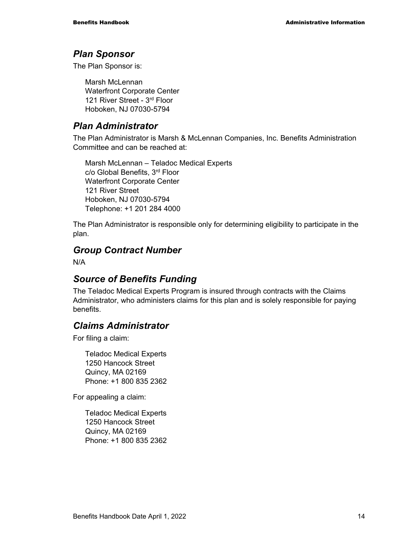#### *Plan Sponsor*

The Plan Sponsor is:

Marsh McLennan Waterfront Corporate Center 121 River Street - 3rd Floor Hoboken, NJ 07030-5794

### *Plan Administrator*

The Plan Administrator is Marsh & McLennan Companies, Inc. Benefits Administration Committee and can be reached at:

Marsh McLennan – Teladoc Medical Experts c/o Global Benefits, 3rd Floor Waterfront Corporate Center 121 River Street Hoboken, NJ 07030-5794 Telephone: +1 201 284 4000

The Plan Administrator is responsible only for determining eligibility to participate in the plan.

### *Group Contract Number*

N/A

#### *Source of Benefits Funding*

The Teladoc Medical Experts Program is insured through contracts with the Claims Administrator, who administers claims for this plan and is solely responsible for paying benefits.

### *Claims Administrator*

For filing a claim:

Teladoc Medical Experts 1250 Hancock Street Quincy, MA 02169 Phone: +1 800 835 2362

For appealing a claim:

Teladoc Medical Experts 1250 Hancock Street Quincy, MA 02169 Phone: +1 800 835 2362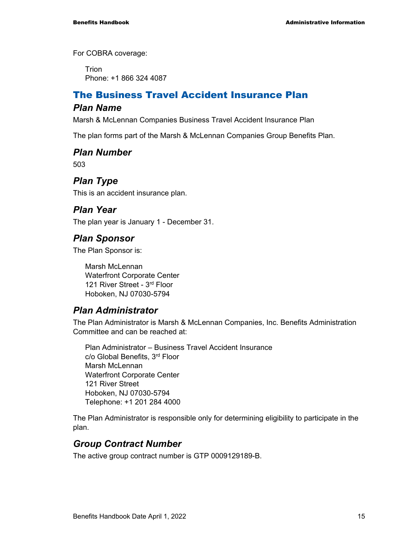For COBRA coverage:

Trion Phone: +1 866 324 4087

### The Business Travel Accident Insurance Plan

#### *Plan Name*

Marsh & McLennan Companies Business Travel Accident Insurance Plan

The plan forms part of the Marsh & McLennan Companies Group Benefits Plan.

#### *Plan Number*

503

### *Plan Type*

This is an accident insurance plan.

#### *Plan Year*

The plan year is January 1 - December 31.

#### *Plan Sponsor*

The Plan Sponsor is:

Marsh McLennan Waterfront Corporate Center 121 River Street - 3rd Floor Hoboken, NJ 07030-5794

#### *Plan Administrator*

The Plan Administrator is Marsh & McLennan Companies, Inc. Benefits Administration Committee and can be reached at:

Plan Administrator – Business Travel Accident Insurance c/o Global Benefits, 3rd Floor Marsh McLennan Waterfront Corporate Center 121 River Street Hoboken, NJ 07030-5794 Telephone: +1 201 284 4000

The Plan Administrator is responsible only for determining eligibility to participate in the plan.

#### *Group Contract Number*

The active group contract number is GTP 0009129189-B.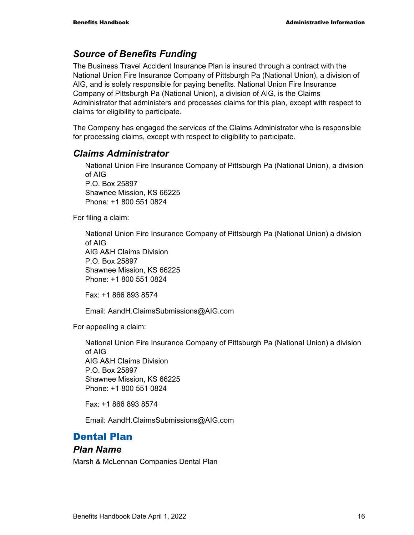### *Source of Benefits Funding*

The Business Travel Accident Insurance Plan is insured through a contract with the National Union Fire Insurance Company of Pittsburgh Pa (National Union), a division of AIG, and is solely responsible for paying benefits. National Union Fire Insurance Company of Pittsburgh Pa (National Union), a division of AIG, is the Claims Administrator that administers and processes claims for this plan, except with respect to claims for eligibility to participate.

The Company has engaged the services of the Claims Administrator who is responsible for processing claims, except with respect to eligibility to participate.

### *Claims Administrator*

National Union Fire Insurance Company of Pittsburgh Pa (National Union), a division of AIG P.O. Box 25897 Shawnee Mission, KS 66225 Phone: +1 800 551 0824

For filing a claim:

National Union Fire Insurance Company of Pittsburgh Pa (National Union) a division of AIG AIG A&H Claims Division P.O. Box 25897 Shawnee Mission, KS 66225 Phone: +1 800 551 0824

Fax: +1 866 893 8574

Email: AandH.ClaimsSubmissions@AIG.com

For appealing a claim:

National Union Fire Insurance Company of Pittsburgh Pa (National Union) a division of AIG AIG A&H Claims Division P.O. Box 25897 Shawnee Mission, KS 66225 Phone: +1 800 551 0824

Fax: +1 866 893 8574

Email: AandH.ClaimsSubmissions@AIG.com

### Dental Plan

#### *Plan Name*

Marsh & McLennan Companies Dental Plan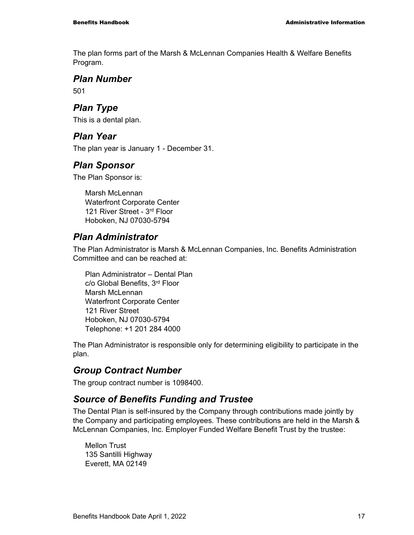The plan forms part of the Marsh & McLennan Companies Health & Welfare Benefits Program.

#### *Plan Number*

501

### *Plan Type*

This is a dental plan.

#### *Plan Year*

The plan year is January 1 - December 31.

### *Plan Sponsor*

The Plan Sponsor is:

Marsh McLennan Waterfront Corporate Center 121 River Street - 3rd Floor Hoboken, NJ 07030-5794

### *Plan Administrator*

The Plan Administrator is Marsh & McLennan Companies, Inc. Benefits Administration Committee and can be reached at:

Plan Administrator – Dental Plan c/o Global Benefits, 3rd Floor Marsh McLennan Waterfront Corporate Center 121 River Street Hoboken, NJ 07030-5794 Telephone: +1 201 284 4000

The Plan Administrator is responsible only for determining eligibility to participate in the plan.

### *Group Contract Number*

The group contract number is 1098400.

#### *Source of Benefits Funding and Trustee*

The Dental Plan is self-insured by the Company through contributions made jointly by the Company and participating employees. These contributions are held in the Marsh & McLennan Companies, Inc. Employer Funded Welfare Benefit Trust by the trustee:

Mellon Trust 135 Santilli Highway Everett, MA 02149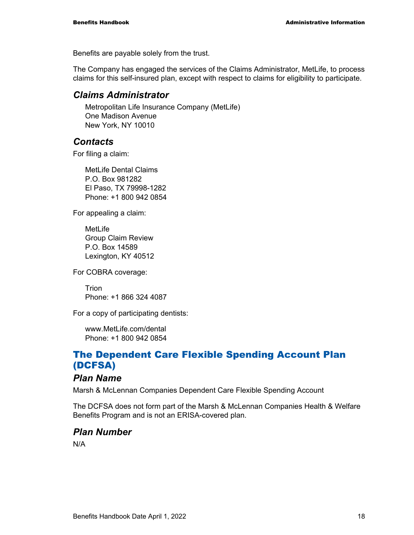Benefits are payable solely from the trust.

The Company has engaged the services of the Claims Administrator, MetLife, to process claims for this self-insured plan, except with respect to claims for eligibility to participate.

#### *Claims Administrator*

Metropolitan Life Insurance Company (MetLife) One Madison Avenue New York, NY 10010

#### *Contacts*

For filing a claim:

MetLife Dental Claims P.O. Box 981282 El Paso, TX 79998-1282 Phone: +1 800 942 0854

For appealing a claim:

MetLife Group Claim Review P.O. Box 14589 Lexington, KY 40512

For COBRA coverage:

Trion Phone: +1 866 324 4087

For a copy of participating dentists:

www.MetLife.com/dental Phone: +1 800 942 0854

### The Dependent Care Flexible Spending Account Plan (DCFSA)

#### *Plan Name*

Marsh & McLennan Companies Dependent Care Flexible Spending Account

The DCFSA does not form part of the Marsh & McLennan Companies Health & Welfare Benefits Program and is not an ERISA-covered plan.

#### *Plan Number*

N/A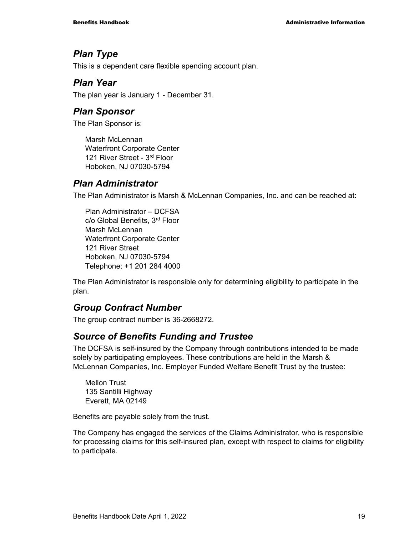### *Plan Type*

This is a dependent care flexible spending account plan.

#### *Plan Year*

The plan year is January 1 - December 31.

#### *Plan Sponsor*

The Plan Sponsor is:

Marsh McLennan Waterfront Corporate Center 121 River Street - 3rd Floor Hoboken, NJ 07030-5794

### *Plan Administrator*

The Plan Administrator is Marsh & McLennan Companies, Inc. and can be reached at:

Plan Administrator – DCFSA c/o Global Benefits, 3rd Floor Marsh McLennan Waterfront Corporate Center 121 River Street Hoboken, NJ 07030-5794 Telephone: +1 201 284 4000

The Plan Administrator is responsible only for determining eligibility to participate in the plan.

### *Group Contract Number*

The group contract number is 36-2668272.

### *Source of Benefits Funding and Trustee*

The DCFSA is self-insured by the Company through contributions intended to be made solely by participating employees. These contributions are held in the Marsh & McLennan Companies, Inc. Employer Funded Welfare Benefit Trust by the trustee:

Mellon Trust 135 Santilli Highway Everett, MA 02149

Benefits are payable solely from the trust.

The Company has engaged the services of the Claims Administrator, who is responsible for processing claims for this self-insured plan, except with respect to claims for eligibility to participate.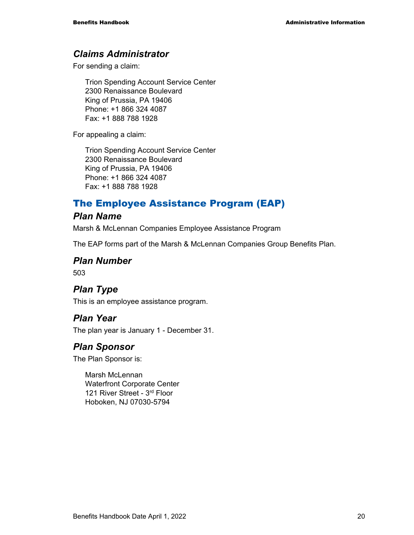#### *Claims Administrator*

For sending a claim:

Trion Spending Account Service Center 2300 Renaissance Boulevard King of Prussia, PA 19406 Phone: +1 866 324 4087 Fax: +1 888 788 1928

For appealing a claim:

Trion Spending Account Service Center 2300 Renaissance Boulevard King of Prussia, PA 19406 Phone: +1 866 324 4087 Fax: +1 888 788 1928

### The Employee Assistance Program (EAP)

#### *Plan Name*

Marsh & McLennan Companies Employee Assistance Program

The EAP forms part of the Marsh & McLennan Companies Group Benefits Plan.

#### *Plan Number*

503

### *Plan Type*

This is an employee assistance program.

#### *Plan Year*

The plan year is January 1 - December 31.

#### *Plan Sponsor*

The Plan Sponsor is:

Marsh McLennan Waterfront Corporate Center 121 River Street - 3rd Floor Hoboken, NJ 07030-5794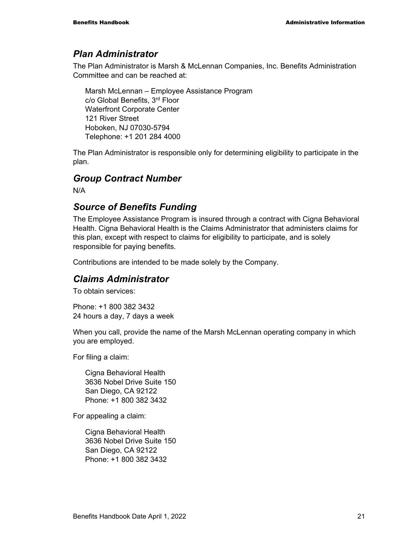#### *Plan Administrator*

The Plan Administrator is Marsh & McLennan Companies, Inc. Benefits Administration Committee and can be reached at:

Marsh McLennan – Employee Assistance Program c/o Global Benefits, 3rd Floor Waterfront Corporate Center 121 River Street Hoboken, NJ 07030-5794 Telephone: +1 201 284 4000

The Plan Administrator is responsible only for determining eligibility to participate in the plan.

#### *Group Contract Number*

N/A

#### *Source of Benefits Funding*

The Employee Assistance Program is insured through a contract with Cigna Behavioral Health. Cigna Behavioral Health is the Claims Administrator that administers claims for this plan, except with respect to claims for eligibility to participate, and is solely responsible for paying benefits.

Contributions are intended to be made solely by the Company.

#### *Claims Administrator*

To obtain services:

Phone: +1 800 382 3432 24 hours a day, 7 days a week

When you call, provide the name of the Marsh McLennan operating company in which you are employed.

For filing a claim:

Cigna Behavioral Health 3636 Nobel Drive Suite 150 San Diego, CA 92122 Phone: +1 800 382 3432

For appealing a claim:

Cigna Behavioral Health 3636 Nobel Drive Suite 150 San Diego, CA 92122 Phone: +1 800 382 3432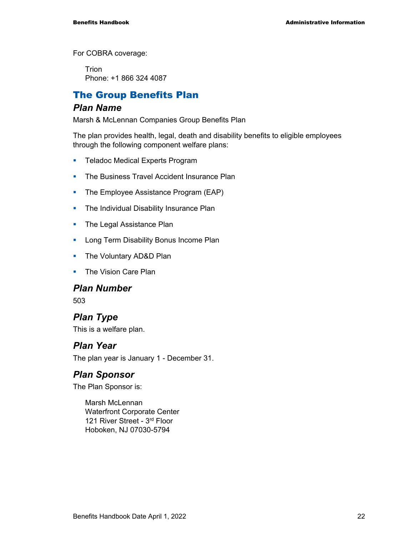For COBRA coverage:

**Trion** Phone: +1 866 324 4087

### The Group Benefits Plan

#### *Plan Name*

Marsh & McLennan Companies Group Benefits Plan

The plan provides health, legal, death and disability benefits to eligible employees through the following component welfare plans:

- **Teladoc Medical Experts Program**
- **The Business Travel Accident Insurance Plan**
- **The Employee Assistance Program (EAP)**
- The Individual Disability Insurance Plan
- The Legal Assistance Plan
- **Long Term Disability Bonus Income Plan**
- The Voluntary AD&D Plan
- **The Vision Care Plan**

#### *Plan Number*

503

### *Plan Type*

This is a welfare plan.

#### *Plan Year*

The plan year is January 1 - December 31.

#### *Plan Sponsor*

The Plan Sponsor is:

Marsh McLennan Waterfront Corporate Center 121 River Street - 3rd Floor Hoboken, NJ 07030-5794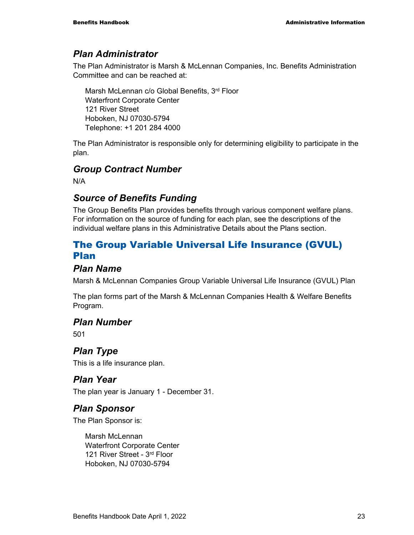#### *Plan Administrator*

The Plan Administrator is Marsh & McLennan Companies, Inc. Benefits Administration Committee and can be reached at:

Marsh McLennan c/o Global Benefits, 3rd Floor Waterfront Corporate Center 121 River Street Hoboken, NJ 07030-5794 Telephone: +1 201 284 4000

The Plan Administrator is responsible only for determining eligibility to participate in the plan.

### *Group Contract Number*

N/A

### *Source of Benefits Funding*

The Group Benefits Plan provides benefits through various component welfare plans. For information on the source of funding for each plan, see the descriptions of the individual welfare plans in this Administrative Details about the Plans section.

### The Group Variable Universal Life Insurance (GVUL) Plan

#### *Plan Name*

Marsh & McLennan Companies Group Variable Universal Life Insurance (GVUL) Plan

The plan forms part of the Marsh & McLennan Companies Health & Welfare Benefits Program.

#### *Plan Number*

501

### *Plan Type*

This is a life insurance plan.

#### *Plan Year*

The plan year is January 1 - December 31.

#### *Plan Sponsor*

The Plan Sponsor is:

Marsh McLennan Waterfront Corporate Center 121 River Street - 3rd Floor Hoboken, NJ 07030-5794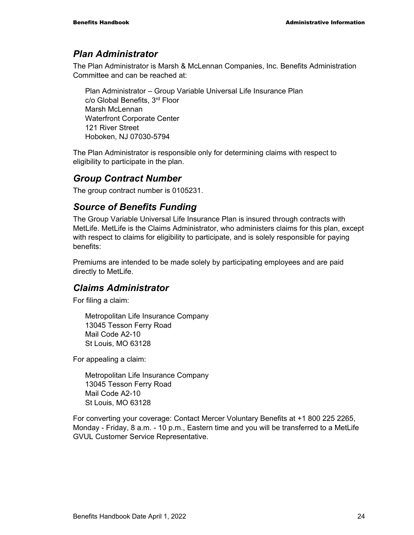#### *Plan Administrator*

The Plan Administrator is Marsh & McLennan Companies, Inc. Benefits Administration Committee and can be reached at:

Plan Administrator – Group Variable Universal Life Insurance Plan c/o Global Benefits, 3rd Floor Marsh McLennan Waterfront Corporate Center 121 River Street Hoboken, NJ 07030-5794

The Plan Administrator is responsible only for determining claims with respect to eligibility to participate in the plan.

#### *Group Contract Number*

The group contract number is 0105231.

### *Source of Benefits Funding*

The Group Variable Universal Life Insurance Plan is insured through contracts with MetLife. MetLife is the Claims Administrator, who administers claims for this plan, except with respect to claims for eligibility to participate, and is solely responsible for paying benefits:

Premiums are intended to be made solely by participating employees and are paid directly to MetLife.

#### *Claims Administrator*

For filing a claim:

Metropolitan Life Insurance Company 13045 Tesson Ferry Road Mail Code A2-10 St Louis, MO 63128

For appealing a claim:

Metropolitan Life Insurance Company 13045 Tesson Ferry Road Mail Code A2-10 St Louis, MO 63128

For converting your coverage: Contact Mercer Voluntary Benefits at +1 800 225 2265, Monday - Friday, 8 a.m. - 10 p.m., Eastern time and you will be transferred to a MetLife GVUL Customer Service Representative.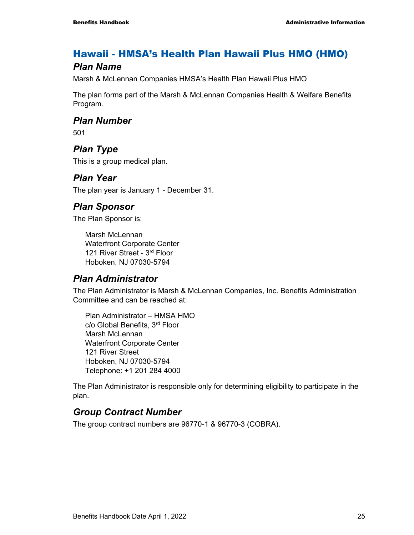### Hawaii - HMSA's Health Plan Hawaii Plus HMO (HMO)

#### *Plan Name*

Marsh & McLennan Companies HMSA's Health Plan Hawaii Plus HMO

The plan forms part of the Marsh & McLennan Companies Health & Welfare Benefits Program.

#### *Plan Number*

501

### *Plan Type*

This is a group medical plan.

#### *Plan Year*

The plan year is January 1 - December 31.

#### *Plan Sponsor*

The Plan Sponsor is:

Marsh McLennan Waterfront Corporate Center 121 River Street - 3rd Floor Hoboken, NJ 07030-5794

#### *Plan Administrator*

The Plan Administrator is Marsh & McLennan Companies, Inc. Benefits Administration Committee and can be reached at:

Plan Administrator – HMSA HMO c/o Global Benefits, 3rd Floor Marsh McLennan Waterfront Corporate Center 121 River Street Hoboken, NJ 07030-5794 Telephone: +1 201 284 4000

The Plan Administrator is responsible only for determining eligibility to participate in the plan.

### *Group Contract Number*

The group contract numbers are 96770-1 & 96770-3 (COBRA).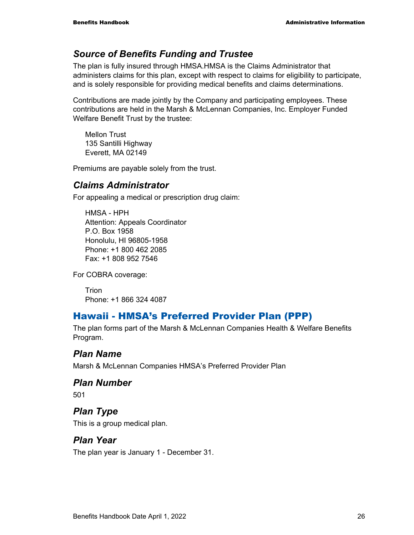### *Source of Benefits Funding and Trustee*

The plan is fully insured through HMSA.HMSA is the Claims Administrator that administers claims for this plan, except with respect to claims for eligibility to participate, and is solely responsible for providing medical benefits and claims determinations.

Contributions are made jointly by the Company and participating employees. These contributions are held in the Marsh & McLennan Companies, Inc. Employer Funded Welfare Benefit Trust by the trustee:

Mellon Trust 135 Santilli Highway Everett, MA 02149

Premiums are payable solely from the trust.

#### *Claims Administrator*

For appealing a medical or prescription drug claim:

HMSA - HPH Attention: Appeals Coordinator P.O. Box 1958 Honolulu, HI 96805-1958 Phone: +1 800 462 2085 Fax: +1 808 952 7546

For COBRA coverage:

Trion Phone: +1 866 324 4087

### Hawaii - HMSA's Preferred Provider Plan (PPP)

The plan forms part of the Marsh & McLennan Companies Health & Welfare Benefits Program.

#### *Plan Name*

Marsh & McLennan Companies HMSA's Preferred Provider Plan

#### *Plan Number*

501

## *Plan Type*

This is a group medical plan.

#### *Plan Year*

The plan year is January 1 - December 31.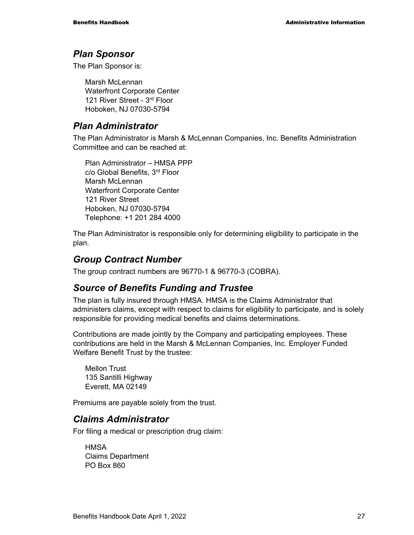#### *Plan Sponsor*

The Plan Sponsor is:

Marsh McLennan Waterfront Corporate Center 121 River Street - 3rd Floor Hoboken, NJ 07030-5794

#### *Plan Administrator*

The Plan Administrator is Marsh & McLennan Companies, Inc. Benefits Administration Committee and can be reached at:

Plan Administrator – HMSA PPP c/o Global Benefits, 3rd Floor Marsh McLennan Waterfront Corporate Center 121 River Street Hoboken, NJ 07030-5794 Telephone: +1 201 284 4000

The Plan Administrator is responsible only for determining eligibility to participate in the plan.

#### *Group Contract Number*

The group contract numbers are 96770-1 & 96770-3 (COBRA).

#### *Source of Benefits Funding and Trustee*

The plan is fully insured through HMSA. HMSA is the Claims Administrator that administers claims, except with respect to claims for eligibility to participate, and is solely responsible for providing medical benefits and claims determinations.

Contributions are made jointly by the Company and participating employees. These contributions are held in the Marsh & McLennan Companies, Inc. Employer Funded Welfare Benefit Trust by the trustee:

Mellon Trust 135 Santilli Highway Everett, MA 02149

Premiums are payable solely from the trust.

#### *Claims Administrator*

For filing a medical or prescription drug claim:

**HMSA** Claims Department PO Box 860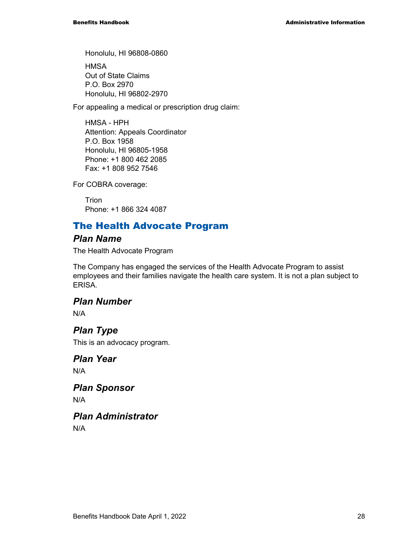Honolulu, HI 96808-0860

**HMSA** Out of State Claims P.O. Box 2970 Honolulu, HI 96802-2970

For appealing a medical or prescription drug claim:

HMSA - HPH Attention: Appeals Coordinator P.O. Box 1958 Honolulu, HI 96805-1958 Phone: +1 800 462 2085 Fax: +1 808 952 7546

For COBRA coverage:

Trion Phone: +1 866 324 4087

### The Health Advocate Program

#### *Plan Name*

The Health Advocate Program

The Company has engaged the services of the Health Advocate Program to assist employees and their families navigate the health care system. It is not a plan subject to ERISA.

#### *Plan Number*

N/A

### *Plan Type*

This is an advocacy program.

*Plan Year*  N/A

*Plan Sponsor*  N/A

*Plan Administrator*  N/A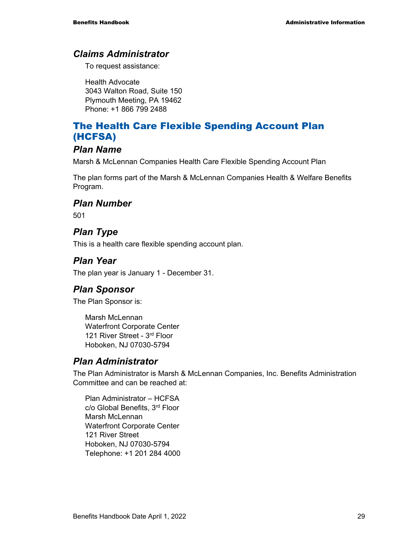#### *Claims Administrator*

To request assistance:

Health Advocate 3043 Walton Road, Suite 150 Plymouth Meeting, PA 19462 Phone: +1 866 799 2488

### The Health Care Flexible Spending Account Plan (HCFSA)

#### *Plan Name*

Marsh & McLennan Companies Health Care Flexible Spending Account Plan

The plan forms part of the Marsh & McLennan Companies Health & Welfare Benefits Program.

#### *Plan Number*

501

### *Plan Type*

This is a health care flexible spending account plan.

#### *Plan Year*

The plan year is January 1 - December 31.

#### *Plan Sponsor*

The Plan Sponsor is:

Marsh McLennan Waterfront Corporate Center 121 River Street - 3rd Floor Hoboken, NJ 07030-5794

#### *Plan Administrator*

The Plan Administrator is Marsh & McLennan Companies, Inc. Benefits Administration Committee and can be reached at:

Plan Administrator – HCFSA c/o Global Benefits, 3rd Floor Marsh McLennan Waterfront Corporate Center 121 River Street Hoboken, NJ 07030-5794 Telephone: +1 201 284 4000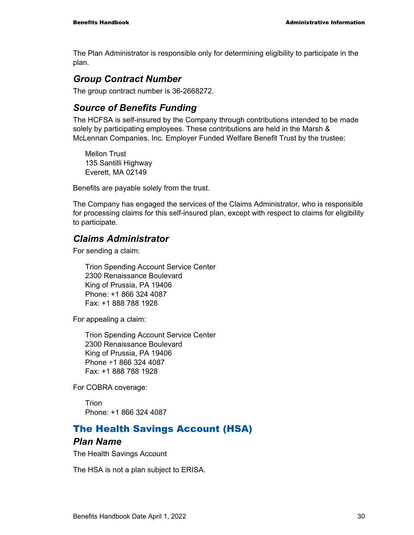The Plan Administrator is responsible only for determining eligibility to participate in the plan.

#### *Group Contract Number*

The group contract number is 36-2668272.

### *Source of Benefits Funding*

The HCFSA is self-insured by the Company through contributions intended to be made solely by participating employees. These contributions are held in the Marsh & McLennan Companies, Inc. Employer Funded Welfare Benefit Trust by the trustee:

Mellon Trust 135 Santilli Highway Everett, MA 02149

Benefits are payable solely from the trust.

The Company has engaged the services of the Claims Administrator, who is responsible for processing claims for this self-insured plan, except with respect to claims for eligibility to participate.

#### *Claims Administrator*

For sending a claim:

Trion Spending Account Service Center 2300 Renaissance Boulevard King of Prussia, PA 19406 Phone: +1 866 324 4087 Fax: +1 888 788 1928

For appealing a claim:

Trion Spending Account Service Center 2300 Renaissance Boulevard King of Prussia, PA 19406 Phone +1 866 324 4087 Fax: +1 888 788 1928

For COBRA coverage:

Trion Phone: +1 866 324 4087

### The Health Savings Account (HSA)

#### *Plan Name*

The Health Savings Account

The HSA is not a plan subject to ERISA.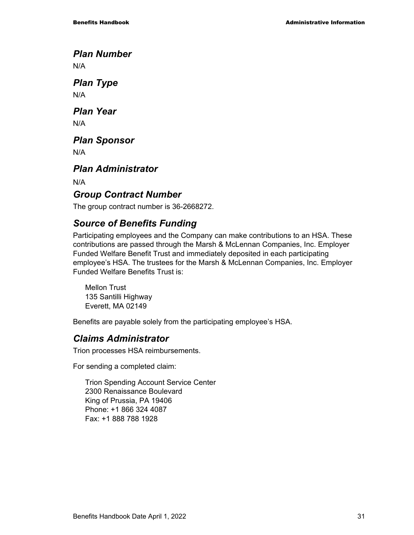*Plan Number* 

N/A

*Plan Type*  N/A

*Plan Year*  N/A

*Plan Sponsor* 

N/A

*Plan Administrator* 

N/A

### *Group Contract Number*

The group contract number is 36-2668272.

### *Source of Benefits Funding*

Participating employees and the Company can make contributions to an HSA. These contributions are passed through the Marsh & McLennan Companies, Inc. Employer Funded Welfare Benefit Trust and immediately deposited in each participating employee's HSA. The trustees for the Marsh & McLennan Companies, Inc. Employer Funded Welfare Benefits Trust is:

Mellon Trust 135 Santilli Highway Everett, MA 02149

Benefits are payable solely from the participating employee's HSA.

### *Claims Administrator*

Trion processes HSA reimbursements.

For sending a completed claim:

Trion Spending Account Service Center 2300 Renaissance Boulevard King of Prussia, PA 19406 Phone: +1 866 324 4087 Fax: +1 888 788 1928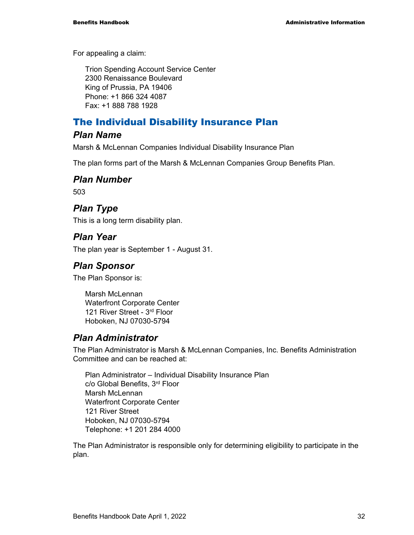For appealing a claim:

Trion Spending Account Service Center 2300 Renaissance Boulevard King of Prussia, PA 19406 Phone: +1 866 324 4087 Fax: +1 888 788 1928

### The Individual Disability Insurance Plan

#### *Plan Name*

Marsh & McLennan Companies Individual Disability Insurance Plan

The plan forms part of the Marsh & McLennan Companies Group Benefits Plan.

#### *Plan Number*

503

### *Plan Type*

This is a long term disability plan.

#### *Plan Year*

The plan year is September 1 - August 31.

#### *Plan Sponsor*

The Plan Sponsor is:

Marsh McLennan Waterfront Corporate Center 121 River Street - 3rd Floor Hoboken, NJ 07030-5794

#### *Plan Administrator*

The Plan Administrator is Marsh & McLennan Companies, Inc. Benefits Administration Committee and can be reached at:

Plan Administrator – Individual Disability Insurance Plan c/o Global Benefits, 3rd Floor Marsh McLennan Waterfront Corporate Center 121 River Street Hoboken, NJ 07030-5794 Telephone: +1 201 284 4000

The Plan Administrator is responsible only for determining eligibility to participate in the plan.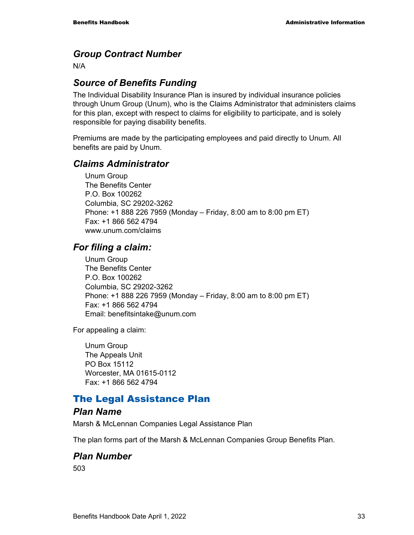### *Group Contract Number*

N/A

## *Source of Benefits Funding*

The Individual Disability Insurance Plan is insured by individual insurance policies through Unum Group (Unum), who is the Claims Administrator that administers claims for this plan, except with respect to claims for eligibility to participate, and is solely responsible for paying disability benefits.

Premiums are made by the participating employees and paid directly to Unum. All benefits are paid by Unum.

#### *Claims Administrator*

Unum Group The Benefits Center P.O. Box 100262 Columbia, SC 29202-3262 Phone: +1 888 226 7959 (Monday – Friday, 8:00 am to 8:00 pm ET) Fax: +1 866 562 4794 www.unum.com/claims

#### *For filing a claim:*

Unum Group The Benefits Center P.O. Box 100262 Columbia, SC 29202-3262 Phone: +1 888 226 7959 (Monday – Friday, 8:00 am to 8:00 pm ET) Fax: +1 866 562 4794 Email: benefitsintake@unum.com

For appealing a claim:

Unum Group The Appeals Unit PO Box 15112 Worcester, MA 01615-0112 Fax: +1 866 562 4794

## The Legal Assistance Plan

#### *Plan Name*

Marsh & McLennan Companies Legal Assistance Plan

The plan forms part of the Marsh & McLennan Companies Group Benefits Plan.

#### *Plan Number*

503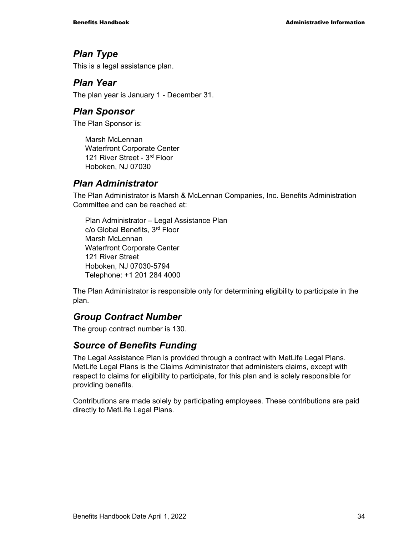#### *Plan Type*

This is a legal assistance plan.

#### *Plan Year*

The plan year is January 1 - December 31.

#### *Plan Sponsor*

The Plan Sponsor is:

Marsh McLennan Waterfront Corporate Center 121 River Street - 3rd Floor Hoboken, NJ 07030

### *Plan Administrator*

The Plan Administrator is Marsh & McLennan Companies, Inc. Benefits Administration Committee and can be reached at:

Plan Administrator – Legal Assistance Plan c/o Global Benefits, 3rd Floor Marsh McLennan Waterfront Corporate Center 121 River Street Hoboken, NJ 07030-5794 Telephone: +1 201 284 4000

The Plan Administrator is responsible only for determining eligibility to participate in the plan.

## *Group Contract Number*

The group contract number is 130.

#### *Source of Benefits Funding*

The Legal Assistance Plan is provided through a contract with MetLife Legal Plans. MetLife Legal Plans is the Claims Administrator that administers claims, except with respect to claims for eligibility to participate, for this plan and is solely responsible for providing benefits.

Contributions are made solely by participating employees. These contributions are paid directly to MetLife Legal Plans.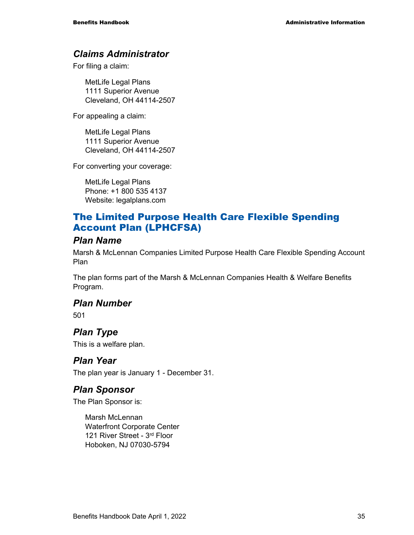#### *Claims Administrator*

For filing a claim:

MetLife Legal Plans 1111 Superior Avenue Cleveland, OH 44114-2507

For appealing a claim:

MetLife Legal Plans 1111 Superior Avenue Cleveland, OH 44114-2507

For converting your coverage:

MetLife Legal Plans Phone: +1 800 535 4137 Website: legalplans.com

## The Limited Purpose Health Care Flexible Spending Account Plan (LPHCFSA)

#### *Plan Name*

Marsh & McLennan Companies Limited Purpose Health Care Flexible Spending Account Plan

The plan forms part of the Marsh & McLennan Companies Health & Welfare Benefits Program.

#### *Plan Number*

501

## *Plan Type*

This is a welfare plan.

#### *Plan Year*

The plan year is January 1 - December 31.

#### *Plan Sponsor*

The Plan Sponsor is:

Marsh McLennan Waterfront Corporate Center 121 River Street - 3rd Floor Hoboken, NJ 07030-5794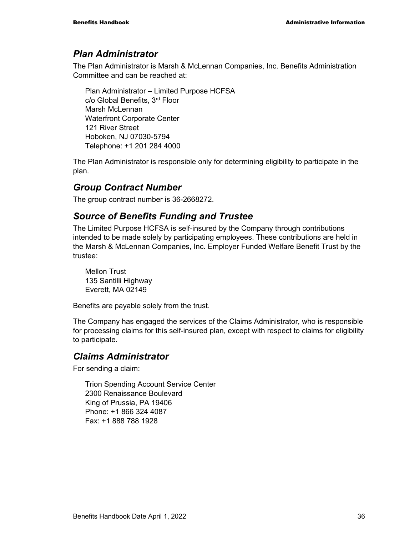#### *Plan Administrator*

The Plan Administrator is Marsh & McLennan Companies, Inc. Benefits Administration Committee and can be reached at:

Plan Administrator – Limited Purpose HCFSA c/o Global Benefits, 3rd Floor Marsh McLennan Waterfront Corporate Center 121 River Street Hoboken, NJ 07030-5794 Telephone: +1 201 284 4000

The Plan Administrator is responsible only for determining eligibility to participate in the plan.

### *Group Contract Number*

The group contract number is 36-2668272.

#### *Source of Benefits Funding and Trustee*

The Limited Purpose HCFSA is self-insured by the Company through contributions intended to be made solely by participating employees. These contributions are held in the Marsh & McLennan Companies, Inc. Employer Funded Welfare Benefit Trust by the trustee:

Mellon Trust 135 Santilli Highway Everett, MA 02149

Benefits are payable solely from the trust.

The Company has engaged the services of the Claims Administrator, who is responsible for processing claims for this self-insured plan, except with respect to claims for eligibility to participate.

#### *Claims Administrator*

For sending a claim:

Trion Spending Account Service Center 2300 Renaissance Boulevard King of Prussia, PA 19406 Phone: +1 866 324 4087 Fax: +1 888 788 1928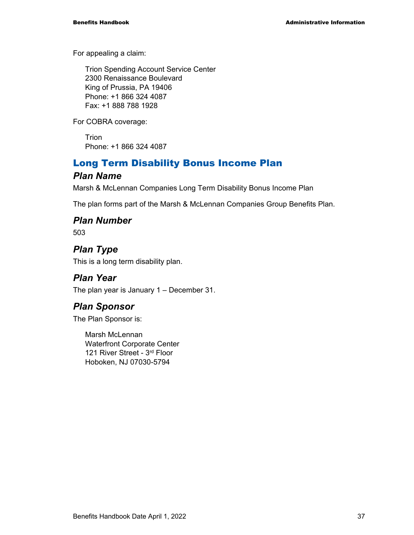For appealing a claim:

Trion Spending Account Service Center 2300 Renaissance Boulevard King of Prussia, PA 19406 Phone: +1 866 324 4087 Fax: +1 888 788 1928

For COBRA coverage:

**Trion** Phone: +1 866 324 4087

## Long Term Disability Bonus Income Plan

#### *Plan Name*

Marsh & McLennan Companies Long Term Disability Bonus Income Plan

The plan forms part of the Marsh & McLennan Companies Group Benefits Plan.

#### *Plan Number*

503

## *Plan Type*

This is a long term disability plan.

#### *Plan Year*

The plan year is January 1 – December 31.

## *Plan Sponsor*

The Plan Sponsor is:

Marsh McLennan Waterfront Corporate Center 121 River Street - 3rd Floor Hoboken, NJ 07030-5794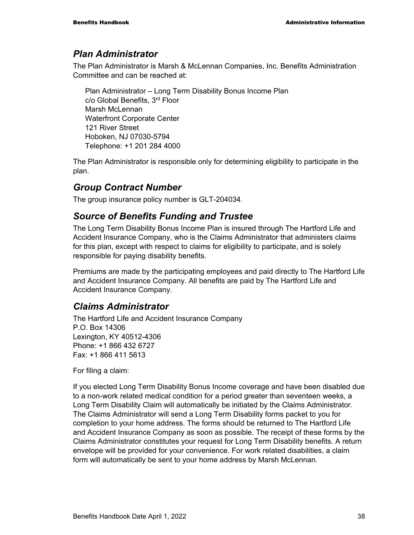#### *Plan Administrator*

The Plan Administrator is Marsh & McLennan Companies, Inc. Benefits Administration Committee and can be reached at:

Plan Administrator – Long Term Disability Bonus Income Plan c/o Global Benefits, 3rd Floor Marsh McLennan Waterfront Corporate Center 121 River Street Hoboken, NJ 07030-5794 Telephone: +1 201 284 4000

The Plan Administrator is responsible only for determining eligibility to participate in the plan.

## *Group Contract Number*

The group insurance policy number is GLT-204034.

### *Source of Benefits Funding and Trustee*

The Long Term Disability Bonus Income Plan is insured through The Hartford Life and Accident Insurance Company, who is the Claims Administrator that administers claims for this plan, except with respect to claims for eligibility to participate, and is solely responsible for paying disability benefits.

Premiums are made by the participating employees and paid directly to The Hartford Life and Accident Insurance Company. All benefits are paid by The Hartford Life and Accident Insurance Company.

#### *Claims Administrator*

The Hartford Life and Accident Insurance Company P.O. Box 14306 Lexington, KY 40512-4306 Phone: +1 866 432 6727 Fax: +1 866 411 5613

For filing a claim:

If you elected Long Term Disability Bonus Income coverage and have been disabled due to a non-work related medical condition for a period greater than seventeen weeks, a Long Term Disability Claim will automatically be initiated by the Claims Administrator. The Claims Administrator will send a Long Term Disability forms packet to you for completion to your home address. The forms should be returned to The Hartford Life and Accident Insurance Company as soon as possible. The receipt of these forms by the Claims Administrator constitutes your request for Long Term Disability benefits. A return envelope will be provided for your convenience. For work related disabilities, a claim form will automatically be sent to your home address by Marsh McLennan.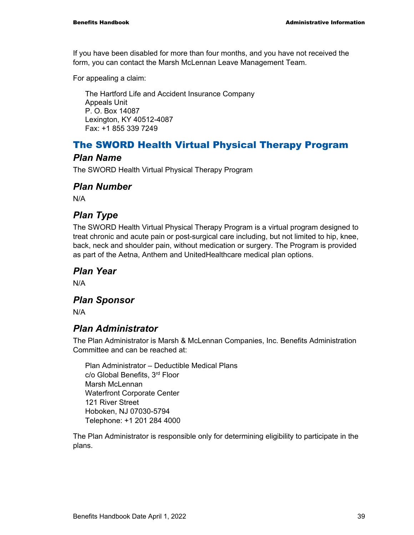If you have been disabled for more than four months, and you have not received the form, you can contact the Marsh McLennan Leave Management Team.

For appealing a claim:

The Hartford Life and Accident Insurance Company Appeals Unit P. O. Box 14087 Lexington, KY 40512-4087 Fax: +1 855 339 7249

## The SWORD Health Virtual Physical Therapy Program

#### *Plan Name*

The SWORD Health Virtual Physical Therapy Program

#### *Plan Number*

N/A

## *Plan Type*

The SWORD Health Virtual Physical Therapy Program is a virtual program designed to treat chronic and acute pain or post-surgical care including, but not limited to hip, knee, back, neck and shoulder pain, without medication or surgery. The Program is provided as part of the Aetna, Anthem and UnitedHealthcare medical plan options.

#### *Plan Year*

N/A

#### *Plan Sponsor*

N/A

## *Plan Administrator*

The Plan Administrator is Marsh & McLennan Companies, Inc. Benefits Administration Committee and can be reached at:

Plan Administrator – Deductible Medical Plans c/o Global Benefits, 3rd Floor Marsh McLennan Waterfront Corporate Center 121 River Street Hoboken, NJ 07030-5794 Telephone: +1 201 284 4000

The Plan Administrator is responsible only for determining eligibility to participate in the plans.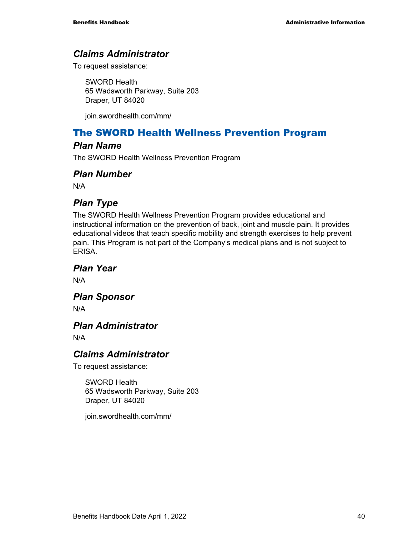#### *Claims Administrator*

To request assistance:

SWORD Health 65 Wadsworth Parkway, Suite 203 Draper, UT 84020

join.swordhealth.com/mm/

## The SWORD Health Wellness Prevention Program

#### *Plan Name*

The SWORD Health Wellness Prevention Program

#### *Plan Number*

N/A

## *Plan Type*

The SWORD Health Wellness Prevention Program provides educational and instructional information on the prevention of back, joint and muscle pain. It provides educational videos that teach specific mobility and strength exercises to help prevent pain. This Program is not part of the Company's medical plans and is not subject to ERISA.

*Plan Year* 

N/A

*Plan Sponsor* 

N/A

#### *Plan Administrator*

N/A

#### *Claims Administrator*

To request assistance:

SWORD Health 65 Wadsworth Parkway, Suite 203 Draper, UT 84020

join.swordhealth.com/mm/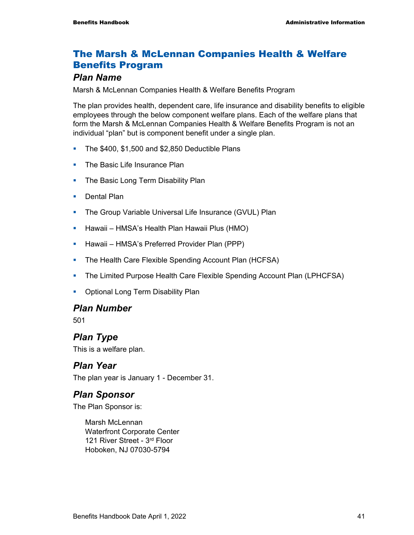## The Marsh & McLennan Companies Health & Welfare Benefits Program

#### *Plan Name*

Marsh & McLennan Companies Health & Welfare Benefits Program

The plan provides health, dependent care, life insurance and disability benefits to eligible employees through the below component welfare plans. Each of the welfare plans that form the Marsh & McLennan Companies Health & Welfare Benefits Program is not an individual "plan" but is component benefit under a single plan.

- The \$400, \$1,500 and \$2,850 Deductible Plans
- **The Basic Life Insurance Plan**
- The Basic Long Term Disability Plan
- **Dental Plan**
- **The Group Variable Universal Life Insurance (GVUL) Plan**
- **-** Hawaii HMSA's Health Plan Hawaii Plus (HMO)
- **Hawaii HMSA's Preferred Provider Plan (PPP)**
- The Health Care Flexible Spending Account Plan (HCFSA)
- The Limited Purpose Health Care Flexible Spending Account Plan (LPHCFSA)
- Optional Long Term Disability Plan

#### *Plan Number*

501

## *Plan Type*

This is a welfare plan.

#### *Plan Year*

The plan year is January 1 - December 31.

#### *Plan Sponsor*

The Plan Sponsor is:

Marsh McLennan Waterfront Corporate Center 121 River Street - 3rd Floor Hoboken, NJ 07030-5794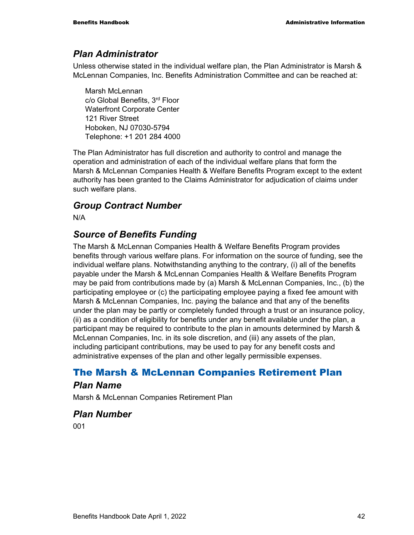#### *Plan Administrator*

Unless otherwise stated in the individual welfare plan, the Plan Administrator is Marsh & McLennan Companies, Inc. Benefits Administration Committee and can be reached at:

Marsh McLennan c/o Global Benefits, 3rd Floor Waterfront Corporate Center 121 River Street Hoboken, NJ 07030-5794 Telephone: +1 201 284 4000

The Plan Administrator has full discretion and authority to control and manage the operation and administration of each of the individual welfare plans that form the Marsh & McLennan Companies Health & Welfare Benefits Program except to the extent authority has been granted to the Claims Administrator for adjudication of claims under such welfare plans.

### *Group Contract Number*

N/A

### *Source of Benefits Funding*

The Marsh & McLennan Companies Health & Welfare Benefits Program provides benefits through various welfare plans. For information on the source of funding, see the individual welfare plans. Notwithstanding anything to the contrary, (i) all of the benefits payable under the Marsh & McLennan Companies Health & Welfare Benefits Program may be paid from contributions made by (a) Marsh & McLennan Companies, Inc., (b) the participating employee or (c) the participating employee paying a fixed fee amount with Marsh & McLennan Companies, Inc. paying the balance and that any of the benefits under the plan may be partly or completely funded through a trust or an insurance policy, (ii) as a condition of eligibility for benefits under any benefit available under the plan, a participant may be required to contribute to the plan in amounts determined by Marsh & McLennan Companies, Inc. in its sole discretion, and (iii) any assets of the plan, including participant contributions, may be used to pay for any benefit costs and administrative expenses of the plan and other legally permissible expenses.

## The Marsh & McLennan Companies Retirement Plan

#### *Plan Name*

Marsh & McLennan Companies Retirement Plan

*Plan Number*  001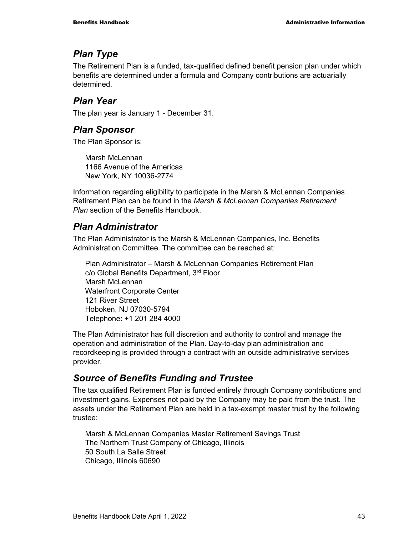## *Plan Type*

The Retirement Plan is a funded, tax-qualified defined benefit pension plan under which benefits are determined under a formula and Company contributions are actuarially determined.

## *Plan Year*

The plan year is January 1 - December 31.

## *Plan Sponsor*

The Plan Sponsor is:

Marsh McLennan 1166 Avenue of the Americas New York, NY 10036-2774

Information regarding eligibility to participate in the Marsh & McLennan Companies Retirement Plan can be found in the *Marsh & McLennan Companies Retirement Plan* section of the Benefits Handbook.

## *Plan Administrator*

The Plan Administrator is the Marsh & McLennan Companies, Inc. Benefits Administration Committee. The committee can be reached at:

Plan Administrator – Marsh & McLennan Companies Retirement Plan c/o Global Benefits Department, 3rd Floor Marsh McLennan Waterfront Corporate Center 121 River Street Hoboken, NJ 07030-5794 Telephone: +1 201 284 4000

The Plan Administrator has full discretion and authority to control and manage the operation and administration of the Plan. Day-to-day plan administration and recordkeeping is provided through a contract with an outside administrative services provider.

## *Source of Benefits Funding and Trustee*

The tax qualified Retirement Plan is funded entirely through Company contributions and investment gains. Expenses not paid by the Company may be paid from the trust. The assets under the Retirement Plan are held in a tax-exempt master trust by the following trustee:

Marsh & McLennan Companies Master Retirement Savings Trust The Northern Trust Company of Chicago, Illinois 50 South La Salle Street Chicago, Illinois 60690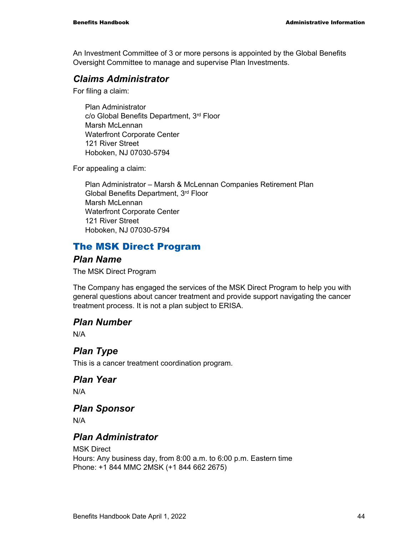An Investment Committee of 3 or more persons is appointed by the Global Benefits Oversight Committee to manage and supervise Plan Investments.

#### *Claims Administrator*

For filing a claim:

Plan Administrator c/o Global Benefits Department, 3rd Floor Marsh McLennan Waterfront Corporate Center 121 River Street Hoboken, NJ 07030-5794

For appealing a claim:

Plan Administrator – Marsh & McLennan Companies Retirement Plan Global Benefits Department, 3rd Floor Marsh McLennan Waterfront Corporate Center 121 River Street Hoboken, NJ 07030-5794

## The MSK Direct Program

#### *Plan Name*

The MSK Direct Program

The Company has engaged the services of the MSK Direct Program to help you with general questions about cancer treatment and provide support navigating the cancer treatment process. It is not a plan subject to ERISA.

#### *Plan Number*

N/A

## *Plan Type*

This is a cancer treatment coordination program.

## *Plan Year*

N/A

## *Plan Sponsor*

N/A

#### *Plan Administrator*

MSK Direct Hours: Any business day, from 8:00 a.m. to 6:00 p.m. Eastern time Phone: +1 844 MMC 2MSK (+1 844 662 2675)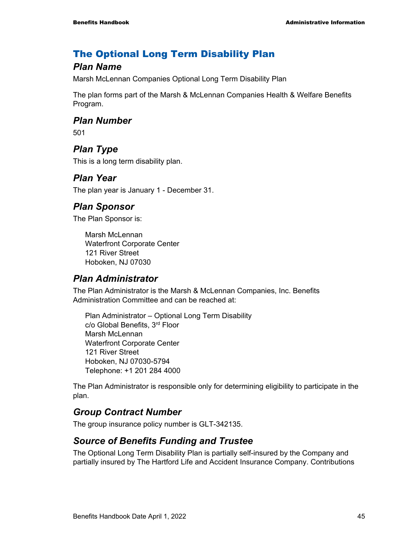## The Optional Long Term Disability Plan

### *Plan Name*

Marsh McLennan Companies Optional Long Term Disability Plan

The plan forms part of the Marsh & McLennan Companies Health & Welfare Benefits Program.

#### *Plan Number*

501

## *Plan Type*

This is a long term disability plan.

#### *Plan Year*

The plan year is January 1 - December 31.

#### *Plan Sponsor*

The Plan Sponsor is:

Marsh McLennan Waterfront Corporate Center 121 River Street Hoboken, NJ 07030

#### *Plan Administrator*

The Plan Administrator is the Marsh & McLennan Companies, Inc. Benefits Administration Committee and can be reached at:

Plan Administrator – Optional Long Term Disability c/o Global Benefits, 3rd Floor Marsh McLennan Waterfront Corporate Center 121 River Street Hoboken, NJ 07030-5794 Telephone: +1 201 284 4000

The Plan Administrator is responsible only for determining eligibility to participate in the plan.

## *Group Contract Number*

The group insurance policy number is GLT-342135.

#### *Source of Benefits Funding and Trustee*

The Optional Long Term Disability Plan is partially self-insured by the Company and partially insured by The Hartford Life and Accident Insurance Company. Contributions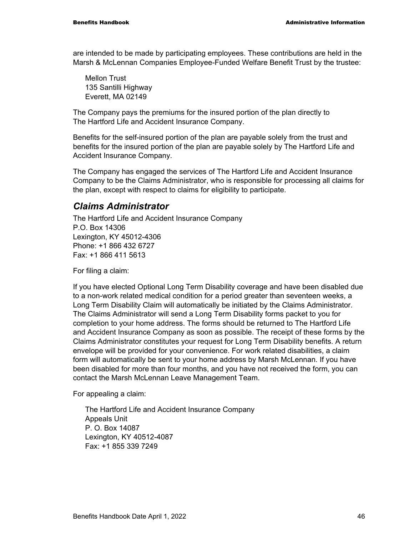are intended to be made by participating employees. These contributions are held in the Marsh & McLennan Companies Employee-Funded Welfare Benefit Trust by the trustee:

Mellon Trust 135 Santilli Highway Everett, MA 02149

The Company pays the premiums for the insured portion of the plan directly to The Hartford Life and Accident Insurance Company.

Benefits for the self-insured portion of the plan are payable solely from the trust and benefits for the insured portion of the plan are payable solely by The Hartford Life and Accident Insurance Company.

The Company has engaged the services of The Hartford Life and Accident Insurance Company to be the Claims Administrator, who is responsible for processing all claims for the plan, except with respect to claims for eligibility to participate.

#### *Claims Administrator*

The Hartford Life and Accident Insurance Company P.O. Box 14306 Lexington, KY 45012-4306 Phone: +1 866 432 6727 Fax: +1 866 411 5613

For filing a claim:

If you have elected Optional Long Term Disability coverage and have been disabled due to a non-work related medical condition for a period greater than seventeen weeks, a Long Term Disability Claim will automatically be initiated by the Claims Administrator. The Claims Administrator will send a Long Term Disability forms packet to you for completion to your home address. The forms should be returned to The Hartford Life and Accident Insurance Company as soon as possible. The receipt of these forms by the Claims Administrator constitutes your request for Long Term Disability benefits. A return envelope will be provided for your convenience. For work related disabilities, a claim form will automatically be sent to your home address by Marsh McLennan. If you have been disabled for more than four months, and you have not received the form, you can contact the Marsh McLennan Leave Management Team.

For appealing a claim:

The Hartford Life and Accident Insurance Company Appeals Unit P. O. Box 14087 Lexington, KY 40512-4087 Fax: +1 855 339 7249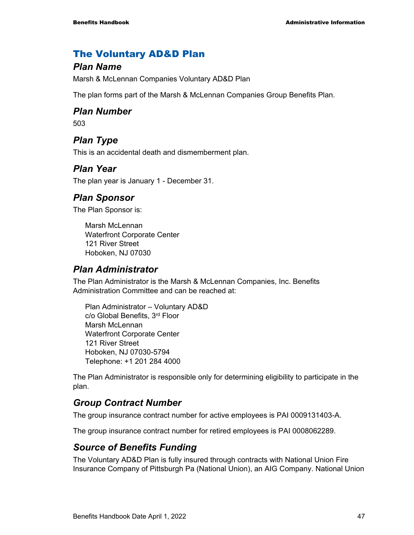#### The Voluntary AD&D Plan

#### *Plan Name*

Marsh & McLennan Companies Voluntary AD&D Plan

The plan forms part of the Marsh & McLennan Companies Group Benefits Plan.

#### *Plan Number*

503

## *Plan Type*

This is an accidental death and dismemberment plan.

#### *Plan Year*

The plan year is January 1 - December 31.

#### *Plan Sponsor*

The Plan Sponsor is:

Marsh McLennan Waterfront Corporate Center 121 River Street Hoboken, NJ 07030

#### *Plan Administrator*

The Plan Administrator is the Marsh & McLennan Companies, Inc. Benefits Administration Committee and can be reached at:

Plan Administrator – Voluntary AD&D c/o Global Benefits, 3rd Floor Marsh McLennan Waterfront Corporate Center 121 River Street Hoboken, NJ 07030-5794 Telephone: +1 201 284 4000

The Plan Administrator is responsible only for determining eligibility to participate in the plan.

#### *Group Contract Number*

The group insurance contract number for active employees is PAI 0009131403-A.

The group insurance contract number for retired employees is PAI 0008062289.

#### *Source of Benefits Funding*

The Voluntary AD&D Plan is fully insured through contracts with National Union Fire Insurance Company of Pittsburgh Pa (National Union), an AIG Company. National Union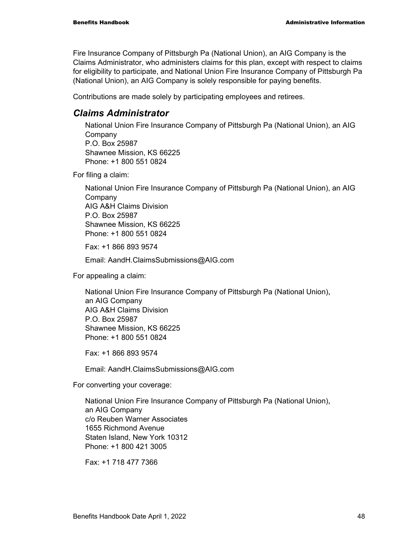Fire Insurance Company of Pittsburgh Pa (National Union), an AIG Company is the Claims Administrator, who administers claims for this plan, except with respect to claims for eligibility to participate, and National Union Fire Insurance Company of Pittsburgh Pa (National Union), an AIG Company is solely responsible for paying benefits.

Contributions are made solely by participating employees and retirees.

#### *Claims Administrator*

National Union Fire Insurance Company of Pittsburgh Pa (National Union), an AIG **Company** P.O. Box 25987 Shawnee Mission, KS 66225 Phone: +1 800 551 0824

For filing a claim:

National Union Fire Insurance Company of Pittsburgh Pa (National Union), an AIG Company AIG A&H Claims Division P.O. Box 25987 Shawnee Mission, KS 66225 Phone: +1 800 551 0824

Fax: +1 866 893 9574

Email: AandH.ClaimsSubmissions@AIG.com

For appealing a claim:

National Union Fire Insurance Company of Pittsburgh Pa (National Union), an AIG Company AIG A&H Claims Division P.O. Box 25987 Shawnee Mission, KS 66225 Phone: +1 800 551 0824

Fax: +1 866 893 9574

Email: AandH.ClaimsSubmissions@AIG.com

For converting your coverage:

National Union Fire Insurance Company of Pittsburgh Pa (National Union), an AIG Company c/o Reuben Warner Associates 1655 Richmond Avenue Staten Island, New York 10312 Phone: +1 800 421 3005

Fax: +1 718 477 7366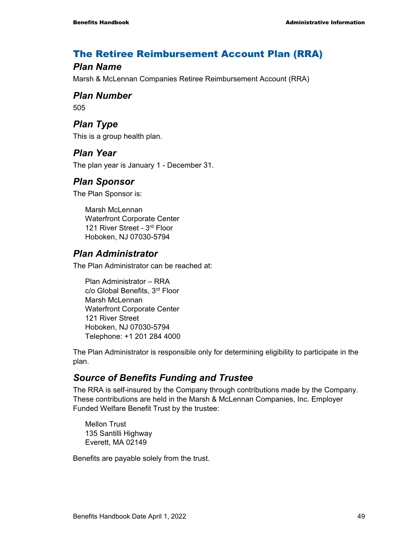## The Retiree Reimbursement Account Plan (RRA)

### *Plan Name*

Marsh & McLennan Companies Retiree Reimbursement Account (RRA)

#### *Plan Number*

505

## *Plan Type*

This is a group health plan.

## *Plan Year*

The plan year is January 1 - December 31.

## *Plan Sponsor*

The Plan Sponsor is:

Marsh McLennan Waterfront Corporate Center 121 River Street - 3rd Floor Hoboken, NJ 07030-5794

## *Plan Administrator*

The Plan Administrator can be reached at:

Plan Administrator – RRA c/o Global Benefits, 3rd Floor Marsh McLennan Waterfront Corporate Center 121 River Street Hoboken, NJ 07030-5794 Telephone: +1 201 284 4000

The Plan Administrator is responsible only for determining eligibility to participate in the plan.

## *Source of Benefits Funding and Trustee*

The RRA is self-insured by the Company through contributions made by the Company. These contributions are held in the Marsh & McLennan Companies, Inc. Employer Funded Welfare Benefit Trust by the trustee:

Mellon Trust 135 Santilli Highway Everett, MA 02149

Benefits are payable solely from the trust.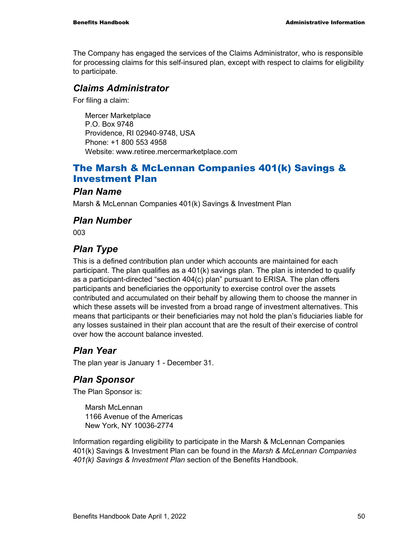The Company has engaged the services of the Claims Administrator, who is responsible for processing claims for this self-insured plan, except with respect to claims for eligibility to participate.

#### *Claims Administrator*

For filing a claim:

Mercer Marketplace P.O. Box 9748 Providence, RI 02940-9748, USA Phone: +1 800 553 4958 Website: www.retiree.mercermarketplace.com

## The Marsh & McLennan Companies 401(k) Savings & Investment Plan

#### *Plan Name*

Marsh & McLennan Companies 401(k) Savings & Investment Plan

### *Plan Number*

003

## *Plan Type*

This is a defined contribution plan under which accounts are maintained for each participant. The plan qualifies as a 401(k) savings plan. The plan is intended to qualify as a participant-directed "section 404(c) plan" pursuant to ERISA. The plan offers participants and beneficiaries the opportunity to exercise control over the assets contributed and accumulated on their behalf by allowing them to choose the manner in which these assets will be invested from a broad range of investment alternatives. This means that participants or their beneficiaries may not hold the plan's fiduciaries liable for any losses sustained in their plan account that are the result of their exercise of control over how the account balance invested.

## *Plan Year*

The plan year is January 1 - December 31.

## *Plan Sponsor*

The Plan Sponsor is:

Marsh McLennan 1166 Avenue of the Americas New York, NY 10036-2774

Information regarding eligibility to participate in the Marsh & McLennan Companies 401(k) Savings & Investment Plan can be found in the *Marsh & McLennan Companies 401(k) Savings & Investment Plan* section of the Benefits Handbook.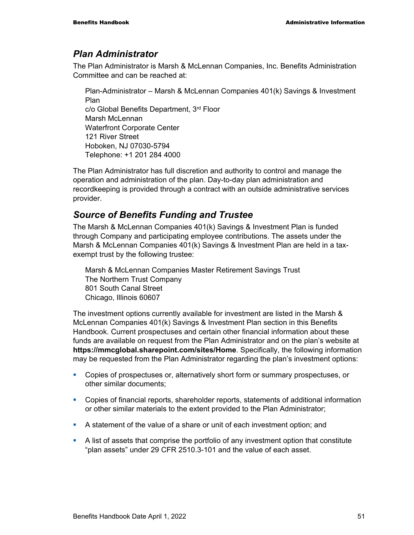#### *Plan Administrator*

The Plan Administrator is Marsh & McLennan Companies, Inc. Benefits Administration Committee and can be reached at:

Plan-Administrator – Marsh & McLennan Companies 401(k) Savings & Investment Plan c/o Global Benefits Department, 3rd Floor Marsh McLennan Waterfront Corporate Center 121 River Street Hoboken, NJ 07030-5794 Telephone: +1 201 284 4000

The Plan Administrator has full discretion and authority to control and manage the operation and administration of the plan. Day-to-day plan administration and recordkeeping is provided through a contract with an outside administrative services provider.

## *Source of Benefits Funding and Trustee*

The Marsh & McLennan Companies 401(k) Savings & Investment Plan is funded through Company and participating employee contributions. The assets under the Marsh & McLennan Companies 401(k) Savings & Investment Plan are held in a taxexempt trust by the following trustee:

Marsh & McLennan Companies Master Retirement Savings Trust The Northern Trust Company 801 South Canal Street Chicago, Illinois 60607

The investment options currently available for investment are listed in the Marsh & McLennan Companies 401(k) Savings & Investment Plan section in this Benefits Handbook. Current prospectuses and certain other financial information about these funds are available on request from the Plan Administrator and on the plan's website at **https://mmcglobal.sharepoint.com/sites/Home**. Specifically, the following information may be requested from the Plan Administrator regarding the plan's investment options:

- Copies of prospectuses or, alternatively short form or summary prospectuses, or other similar documents;
- Copies of financial reports, shareholder reports, statements of additional information or other similar materials to the extent provided to the Plan Administrator;
- A statement of the value of a share or unit of each investment option; and
- A list of assets that comprise the portfolio of any investment option that constitute "plan assets" under 29 CFR 2510.3-101 and the value of each asset.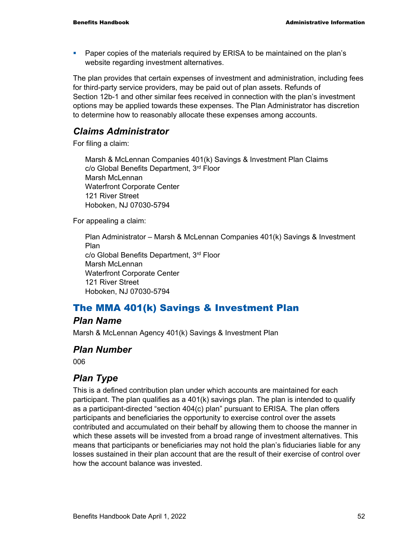Paper copies of the materials required by ERISA to be maintained on the plan's website regarding investment alternatives.

The plan provides that certain expenses of investment and administration, including fees for third-party service providers, may be paid out of plan assets. Refunds of Section 12b-1 and other similar fees received in connection with the plan's investment options may be applied towards these expenses. The Plan Administrator has discretion to determine how to reasonably allocate these expenses among accounts.

#### *Claims Administrator*

For filing a claim:

Marsh & McLennan Companies 401(k) Savings & Investment Plan Claims c/o Global Benefits Department, 3rd Floor Marsh McLennan Waterfront Corporate Center 121 River Street Hoboken, NJ 07030-5794

For appealing a claim:

Plan Administrator – Marsh & McLennan Companies 401(k) Savings & Investment Plan c/o Global Benefits Department, 3rd Floor Marsh McLennan Waterfront Corporate Center 121 River Street Hoboken, NJ 07030-5794

## The MMA 401(k) Savings & Investment Plan

#### *Plan Name*

Marsh & McLennan Agency 401(k) Savings & Investment Plan

#### *Plan Number*

006

## *Plan Type*

This is a defined contribution plan under which accounts are maintained for each participant. The plan qualifies as a 401(k) savings plan. The plan is intended to qualify as a participant-directed "section 404(c) plan" pursuant to ERISA. The plan offers participants and beneficiaries the opportunity to exercise control over the assets contributed and accumulated on their behalf by allowing them to choose the manner in which these assets will be invested from a broad range of investment alternatives. This means that participants or beneficiaries may not hold the plan's fiduciaries liable for any losses sustained in their plan account that are the result of their exercise of control over how the account balance was invested.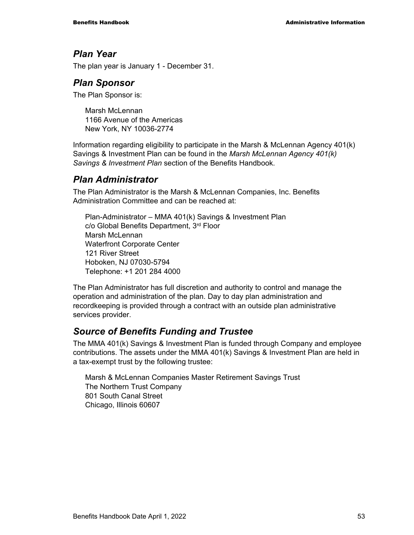#### *Plan Year*

The plan year is January 1 - December 31.

#### *Plan Sponsor*

The Plan Sponsor is:

Marsh McLennan 1166 Avenue of the Americas New York, NY 10036-2774

Information regarding eligibility to participate in the Marsh & McLennan Agency 401(k) Savings & Investment Plan can be found in the *Marsh McLennan Agency 401(k) Savings & Investment Plan* section of the Benefits Handbook.

#### *Plan Administrator*

The Plan Administrator is the Marsh & McLennan Companies, Inc. Benefits Administration Committee and can be reached at:

Plan-Administrator – MMA 401(k) Savings & Investment Plan c/o Global Benefits Department, 3rd Floor Marsh McLennan Waterfront Corporate Center 121 River Street Hoboken, NJ 07030-5794 Telephone: +1 201 284 4000

The Plan Administrator has full discretion and authority to control and manage the operation and administration of the plan. Day to day plan administration and recordkeeping is provided through a contract with an outside plan administrative services provider.

## *Source of Benefits Funding and Trustee*

The MMA 401(k) Savings & Investment Plan is funded through Company and employee contributions. The assets under the MMA 401(k) Savings & Investment Plan are held in a tax-exempt trust by the following trustee:

Marsh & McLennan Companies Master Retirement Savings Trust The Northern Trust Company 801 South Canal Street Chicago, Illinois 60607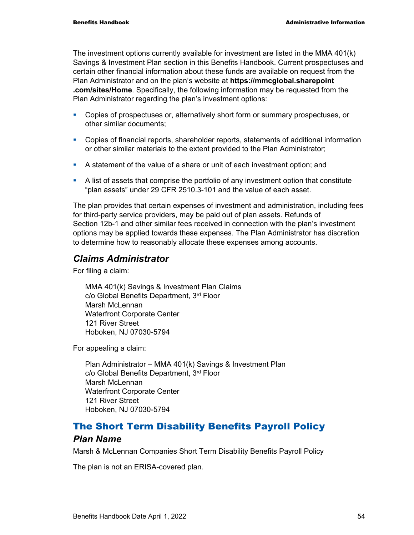The investment options currently available for investment are listed in the MMA 401(k) Savings & Investment Plan section in this Benefits Handbook. Current prospectuses and certain other financial information about these funds are available on request from the Plan Administrator and on the plan's website at **https://mmcglobal.sharepoint .com/sites/Home**. Specifically, the following information may be requested from the Plan Administrator regarding the plan's investment options:

- Copies of prospectuses or, alternatively short form or summary prospectuses, or other similar documents;
- Copies of financial reports, shareholder reports, statements of additional information or other similar materials to the extent provided to the Plan Administrator;
- A statement of the value of a share or unit of each investment option; and
- A list of assets that comprise the portfolio of any investment option that constitute "plan assets" under 29 CFR 2510.3-101 and the value of each asset.

The plan provides that certain expenses of investment and administration, including fees for third-party service providers, may be paid out of plan assets. Refunds of Section 12b-1 and other similar fees received in connection with the plan's investment options may be applied towards these expenses. The Plan Administrator has discretion to determine how to reasonably allocate these expenses among accounts.

#### *Claims Administrator*

For filing a claim:

MMA 401(k) Savings & Investment Plan Claims c/o Global Benefits Department, 3rd Floor Marsh McLennan Waterfront Corporate Center 121 River Street Hoboken, NJ 07030-5794

For appealing a claim:

Plan Administrator – MMA 401(k) Savings & Investment Plan c/o Global Benefits Department, 3rd Floor Marsh McLennan Waterfront Corporate Center 121 River Street Hoboken, NJ 07030-5794

## The Short Term Disability Benefits Payroll Policy

#### *Plan Name*

Marsh & McLennan Companies Short Term Disability Benefits Payroll Policy

The plan is not an ERISA-covered plan.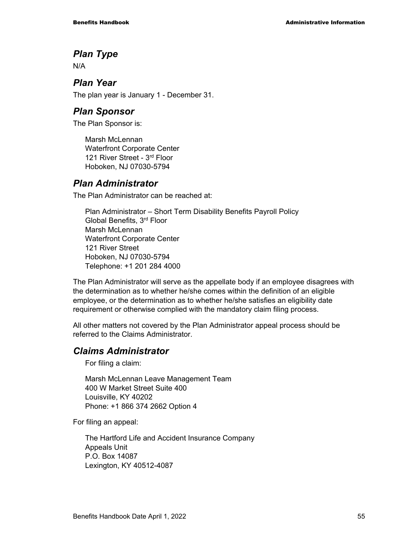## *Plan Type*

N/A

#### *Plan Year*

The plan year is January 1 - December 31.

#### *Plan Sponsor*

The Plan Sponsor is:

Marsh McLennan Waterfront Corporate Center 121 River Street - 3rd Floor Hoboken, NJ 07030-5794

## *Plan Administrator*

The Plan Administrator can be reached at:

Plan Administrator – Short Term Disability Benefits Payroll Policy Global Benefits, 3rd Floor Marsh McLennan Waterfront Corporate Center 121 River Street Hoboken, NJ 07030-5794 Telephone: +1 201 284 4000

The Plan Administrator will serve as the appellate body if an employee disagrees with the determination as to whether he/she comes within the definition of an eligible employee, or the determination as to whether he/she satisfies an eligibility date requirement or otherwise complied with the mandatory claim filing process.

All other matters not covered by the Plan Administrator appeal process should be referred to the Claims Administrator.

## *Claims Administrator*

For filing a claim:

Marsh McLennan Leave Management Team 400 W Market Street Suite 400 Louisville, KY 40202 Phone: +1 866 374 2662 Option 4

For filing an appeal:

The Hartford Life and Accident Insurance Company Appeals Unit P.O. Box 14087 Lexington, KY 40512-4087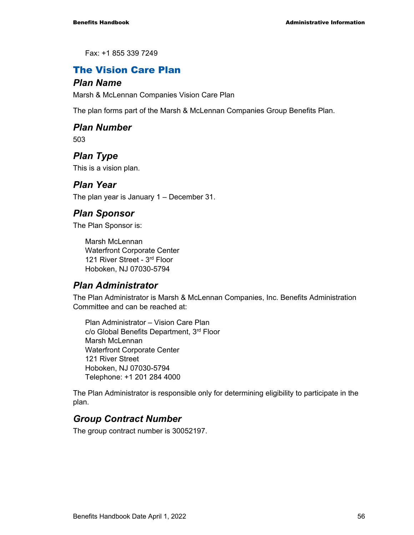Fax: +1 855 339 7249

## The Vision Care Plan

#### *Plan Name*

Marsh & McLennan Companies Vision Care Plan

The plan forms part of the Marsh & McLennan Companies Group Benefits Plan.

### *Plan Number*

503

## *Plan Type*

This is a vision plan.

#### *Plan Year*

The plan year is January 1 – December 31.

### *Plan Sponsor*

The Plan Sponsor is:

Marsh McLennan Waterfront Corporate Center 121 River Street - 3rd Floor Hoboken, NJ 07030-5794

## *Plan Administrator*

The Plan Administrator is Marsh & McLennan Companies, Inc. Benefits Administration Committee and can be reached at:

Plan Administrator – Vision Care Plan c/o Global Benefits Department, 3rd Floor Marsh McLennan Waterfront Corporate Center 121 River Street Hoboken, NJ 07030-5794 Telephone: +1 201 284 4000

The Plan Administrator is responsible only for determining eligibility to participate in the plan.

## *Group Contract Number*

The group contract number is 30052197.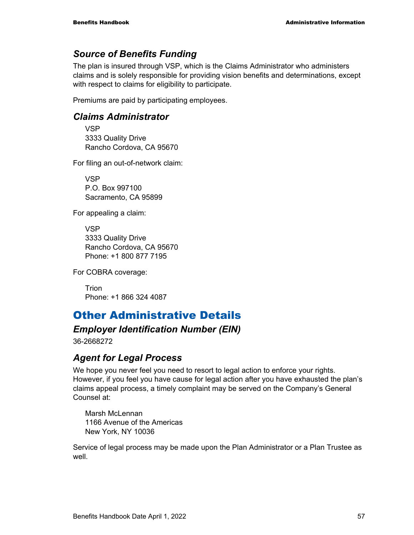## *Source of Benefits Funding*

The plan is insured through VSP, which is the Claims Administrator who administers claims and is solely responsible for providing vision benefits and determinations, except with respect to claims for eligibility to participate.

Premiums are paid by participating employees.

#### *Claims Administrator*

VSP 3333 Quality Drive Rancho Cordova, CA 95670

For filing an out-of-network claim:

VSP P.O. Box 997100 Sacramento, CA 95899

For appealing a claim:

VSP 3333 Quality Drive Rancho Cordova, CA 95670 Phone: +1 800 877 7195

For COBRA coverage:

Trion Phone: +1 866 324 4087

# Other Administrative Details

#### *Employer Identification Number (EIN)*

36-2668272

#### *Agent for Legal Process*

We hope you never feel you need to resort to legal action to enforce your rights. However, if you feel you have cause for legal action after you have exhausted the plan's claims appeal process, a timely complaint may be served on the Company's General Counsel at:

Marsh McLennan 1166 Avenue of the Americas New York, NY 10036

Service of legal process may be made upon the Plan Administrator or a Plan Trustee as well.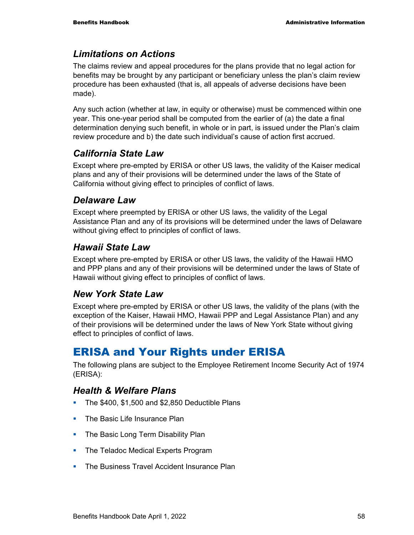## *Limitations on Actions*

The claims review and appeal procedures for the plans provide that no legal action for benefits may be brought by any participant or beneficiary unless the plan's claim review procedure has been exhausted (that is, all appeals of adverse decisions have been made).

Any such action (whether at law, in equity or otherwise) must be commenced within one year. This one-year period shall be computed from the earlier of (a) the date a final determination denying such benefit, in whole or in part, is issued under the Plan's claim review procedure and b) the date such individual's cause of action first accrued.

## *California State Law*

Except where pre-empted by ERISA or other US laws, the validity of the Kaiser medical plans and any of their provisions will be determined under the laws of the State of California without giving effect to principles of conflict of laws.

### *Delaware Law*

Except where preempted by ERISA or other US laws, the validity of the Legal Assistance Plan and any of its provisions will be determined under the laws of Delaware without giving effect to principles of conflict of laws.

### *Hawaii State Law*

Except where pre-empted by ERISA or other US laws, the validity of the Hawaii HMO and PPP plans and any of their provisions will be determined under the laws of State of Hawaii without giving effect to principles of conflict of laws.

## *New York State Law*

Except where pre-empted by ERISA or other US laws, the validity of the plans (with the exception of the Kaiser, Hawaii HMO, Hawaii PPP and Legal Assistance Plan) and any of their provisions will be determined under the laws of New York State without giving effect to principles of conflict of laws.

# ERISA and Your Rights under ERISA

The following plans are subject to the Employee Retirement Income Security Act of 1974 (ERISA):

#### *Health & Welfare Plans*

- The \$400, \$1,500 and \$2,850 Deductible Plans
- The Basic Life Insurance Plan
- The Basic Long Term Disability Plan
- The Teladoc Medical Experts Program
- **The Business Travel Accident Insurance Plan**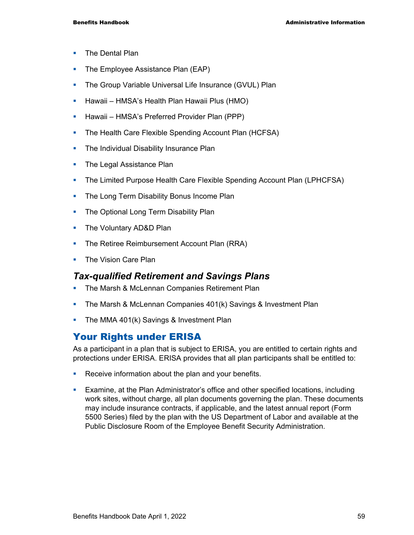- **The Dental Plan**
- The Employee Assistance Plan (EAP)
- **The Group Variable Universal Life Insurance (GVUL) Plan**
- **-** Hawaii HMSA's Health Plan Hawaii Plus (HMO)
- **Hawaii HMSA's Preferred Provider Plan (PPP)**
- **The Health Care Flexible Spending Account Plan (HCFSA)**
- The Individual Disability Insurance Plan
- The Legal Assistance Plan
- The Limited Purpose Health Care Flexible Spending Account Plan (LPHCFSA)
- The Long Term Disability Bonus Income Plan
- The Optional Long Term Disability Plan
- The Voluntary AD&D Plan
- **The Retiree Reimbursement Account Plan (RRA)**
- The Vision Care Plan

#### *Tax-qualified Retirement and Savings Plans*

- **The Marsh & McLennan Companies Retirement Plan**
- **The Marsh & McLennan Companies 401(k) Savings & Investment Plan**
- **The MMA 401(k) Savings & Investment Plan**

## Your Rights under ERISA

As a participant in a plan that is subject to ERISA, you are entitled to certain rights and protections under ERISA. ERISA provides that all plan participants shall be entitled to:

- **Receive information about the plan and your benefits.**
- Examine, at the Plan Administrator's office and other specified locations, including work sites, without charge, all plan documents governing the plan. These documents may include insurance contracts, if applicable, and the latest annual report (Form 5500 Series) filed by the plan with the US Department of Labor and available at the Public Disclosure Room of the Employee Benefit Security Administration.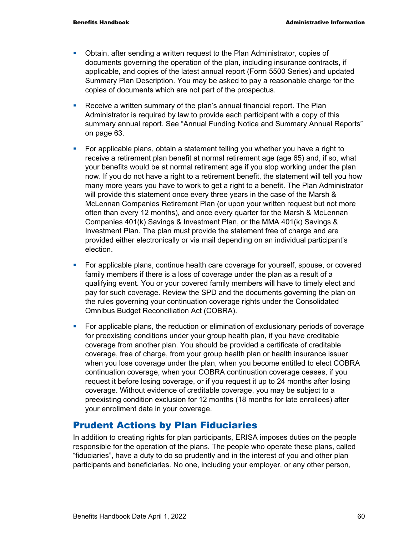- Obtain, after sending a written request to the Plan Administrator, copies of documents governing the operation of the plan, including insurance contracts, if applicable, and copies of the latest annual report (Form 5500 Series) and updated Summary Plan Description. You may be asked to pay a reasonable charge for the copies of documents which are not part of the prospectus.
- Receive a written summary of the plan's annual financial report. The Plan Administrator is required by law to provide each participant with a copy of this summary annual report. See "Annual Funding Notice and Summary Annual Reports" on page 63.
- For applicable plans, obtain a statement telling you whether you have a right to receive a retirement plan benefit at normal retirement age (age 65) and, if so, what your benefits would be at normal retirement age if you stop working under the plan now. If you do not have a right to a retirement benefit, the statement will tell you how many more years you have to work to get a right to a benefit. The Plan Administrator will provide this statement once every three years in the case of the Marsh & McLennan Companies Retirement Plan (or upon your written request but not more often than every 12 months), and once every quarter for the Marsh & McLennan Companies 401(k) Savings & Investment Plan, or the MMA 401(k) Savings & Investment Plan. The plan must provide the statement free of charge and are provided either electronically or via mail depending on an individual participant's election.
- For applicable plans, continue health care coverage for yourself, spouse, or covered family members if there is a loss of coverage under the plan as a result of a qualifying event. You or your covered family members will have to timely elect and pay for such coverage. Review the SPD and the documents governing the plan on the rules governing your continuation coverage rights under the Consolidated Omnibus Budget Reconciliation Act (COBRA).
- **For applicable plans, the reduction or elimination of exclusionary periods of coverage** for preexisting conditions under your group health plan, if you have creditable coverage from another plan. You should be provided a certificate of creditable coverage, free of charge, from your group health plan or health insurance issuer when you lose coverage under the plan, when you become entitled to elect COBRA continuation coverage, when your COBRA continuation coverage ceases, if you request it before losing coverage, or if you request it up to 24 months after losing coverage. Without evidence of creditable coverage, you may be subject to a preexisting condition exclusion for 12 months (18 months for late enrollees) after your enrollment date in your coverage.

## Prudent Actions by Plan Fiduciaries

In addition to creating rights for plan participants, ERISA imposes duties on the people responsible for the operation of the plans. The people who operate these plans, called "fiduciaries", have a duty to do so prudently and in the interest of you and other plan participants and beneficiaries. No one, including your employer, or any other person,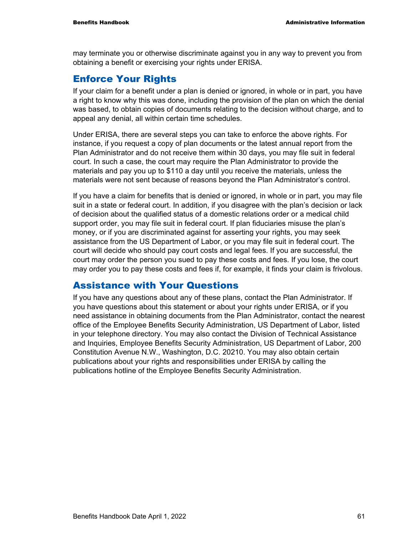may terminate you or otherwise discriminate against you in any way to prevent you from obtaining a benefit or exercising your rights under ERISA.

#### Enforce Your Rights

If your claim for a benefit under a plan is denied or ignored, in whole or in part, you have a right to know why this was done, including the provision of the plan on which the denial was based, to obtain copies of documents relating to the decision without charge, and to appeal any denial, all within certain time schedules.

Under ERISA, there are several steps you can take to enforce the above rights. For instance, if you request a copy of plan documents or the latest annual report from the Plan Administrator and do not receive them within 30 days, you may file suit in federal court. In such a case, the court may require the Plan Administrator to provide the materials and pay you up to \$110 a day until you receive the materials, unless the materials were not sent because of reasons beyond the Plan Administrator's control.

If you have a claim for benefits that is denied or ignored, in whole or in part, you may file suit in a state or federal court. In addition, if you disagree with the plan's decision or lack of decision about the qualified status of a domestic relations order or a medical child support order, you may file suit in federal court. If plan fiduciaries misuse the plan's money, or if you are discriminated against for asserting your rights, you may seek assistance from the US Department of Labor, or you may file suit in federal court. The court will decide who should pay court costs and legal fees. If you are successful, the court may order the person you sued to pay these costs and fees. If you lose, the court may order you to pay these costs and fees if, for example, it finds your claim is frivolous.

#### Assistance with Your Questions

If you have any questions about any of these plans, contact the Plan Administrator. If you have questions about this statement or about your rights under ERISA, or if you need assistance in obtaining documents from the Plan Administrator, contact the nearest office of the Employee Benefits Security Administration, US Department of Labor, listed in your telephone directory. You may also contact the Division of Technical Assistance and Inquiries, Employee Benefits Security Administration, US Department of Labor, 200 Constitution Avenue N.W., Washington, D.C. 20210. You may also obtain certain publications about your rights and responsibilities under ERISA by calling the publications hotline of the Employee Benefits Security Administration.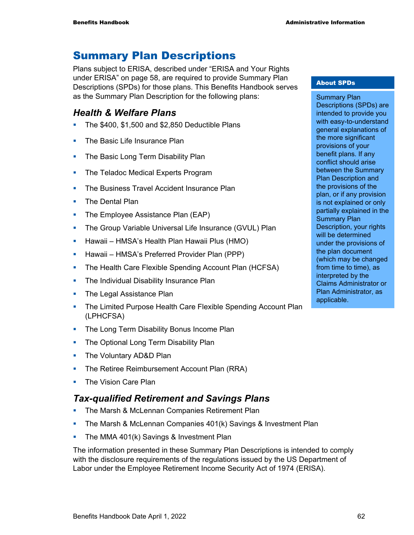## Summary Plan Descriptions

Plans subject to ERISA, described under "ERISA and Your Rights under ERISA" on page 58, are required to provide Summary Plan Descriptions (SPDs) for those plans. This Benefits Handbook serves as the Summary Plan Description for the following plans:

### *Health & Welfare Plans*

- The \$400, \$1,500 and \$2,850 Deductible Plans
- **The Basic Life Insurance Plan**
- The Basic Long Term Disability Plan
- The Teladoc Medical Experts Program
- **The Business Travel Accident Insurance Plan**
- The Dental Plan
- The Employee Assistance Plan (EAP)
- **The Group Variable Universal Life Insurance (GVUL) Plan**
- **-** Hawaii HMSA's Health Plan Hawaii Plus (HMO)
- **Hawaii HMSA's Preferred Provider Plan (PPP)**
- **The Health Care Flexible Spending Account Plan (HCFSA)**
- **The Individual Disability Insurance Plan**
- **The Legal Assistance Plan**
- **The Limited Purpose Health Care Flexible Spending Account Plan** (LPHCFSA)
- The Long Term Disability Bonus Income Plan
- The Optional Long Term Disability Plan
- The Voluntary AD&D Plan
- **The Retiree Reimbursement Account Plan (RRA)**
- **The Vision Care Plan**

#### *Tax-qualified Retirement and Savings Plans*

- **The Marsh & McLennan Companies Retirement Plan**
- **The Marsh & McLennan Companies 401(k) Savings & Investment Plan**
- **The MMA 401(k) Savings & Investment Plan**

The information presented in these Summary Plan Descriptions is intended to comply with the disclosure requirements of the regulations issued by the US Department of Labor under the Employee Retirement Income Security Act of 1974 (ERISA).

#### About SPDs

Summary Plan Descriptions (SPDs) are intended to provide you with easy-to-understand general explanations of the more significant provisions of your benefit plans. If any conflict should arise between the Summary Plan Description and the provisions of the plan, or if any provision is not explained or only partially explained in the Summary Plan Description, your rights will be determined under the provisions of the plan document (which may be changed from time to time), as interpreted by the Claims Administrator or Plan Administrator, as applicable.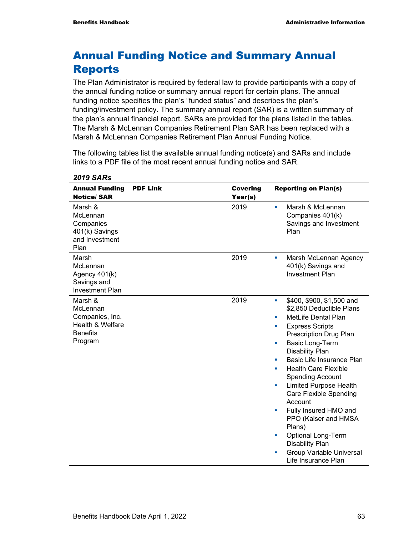# Annual Funding Notice and Summary Annual Reports

The Plan Administrator is required by federal law to provide participants with a copy of the annual funding notice or summary annual report for certain plans. The annual funding notice specifies the plan's "funded status" and describes the plan's funding/investment policy. The summary annual report (SAR) is a written summary of the plan's annual financial report. SARs are provided for the plans listed in the tables. The Marsh & McLennan Companies Retirement Plan SAR has been replaced with a Marsh & McLennan Companies Retirement Plan Annual Funding Notice.

The following tables list the available annual funding notice(s) and SARs and include links to a PDF file of the most recent annual funding notice and SAR.

| <b>Annual Funding</b><br><b>Notice/SAR</b>                                               | <b>PDF Link</b> | <b>Covering</b><br>Year(s) | <b>Reporting on Plan(s)</b>                                                                                                                                                                                                                                                                                                                                                                                                                                                                                                                                                                     |
|------------------------------------------------------------------------------------------|-----------------|----------------------------|-------------------------------------------------------------------------------------------------------------------------------------------------------------------------------------------------------------------------------------------------------------------------------------------------------------------------------------------------------------------------------------------------------------------------------------------------------------------------------------------------------------------------------------------------------------------------------------------------|
| Marsh &<br>McLennan<br>Companies<br>401(k) Savings<br>and Investment<br>Plan             |                 | 2019                       | Marsh & McLennan<br>٠<br>Companies 401(k)<br>Savings and Investment<br>Plan                                                                                                                                                                                                                                                                                                                                                                                                                                                                                                                     |
| Marsh<br>McLennan<br>Agency 401(k)<br>Savings and<br><b>Investment Plan</b>              |                 | 2019                       | Marsh McLennan Agency<br>×<br>401(k) Savings and<br><b>Investment Plan</b>                                                                                                                                                                                                                                                                                                                                                                                                                                                                                                                      |
| Marsh &<br>McLennan<br>Companies, Inc.<br>Health & Welfare<br><b>Benefits</b><br>Program |                 | 2019                       | \$400, \$900, \$1,500 and<br>$\blacksquare$<br>\$2,850 Deductible Plans<br>MetLife Dental Plan<br>×<br><b>Express Scripts</b><br>×<br>Prescription Drug Plan<br>Basic Long-Term<br>u,<br><b>Disability Plan</b><br>Basic Life Insurance Plan<br>u,<br><b>Health Care Flexible</b><br>u,<br><b>Spending Account</b><br><b>Limited Purpose Health</b><br>×<br><b>Care Flexible Spending</b><br>Account<br>Fully Insured HMO and<br>×<br>PPO (Kaiser and HMSA<br>Plans)<br><b>Optional Long-Term</b><br>×<br><b>Disability Plan</b><br><b>Group Variable Universal</b><br>×<br>Life Insurance Plan |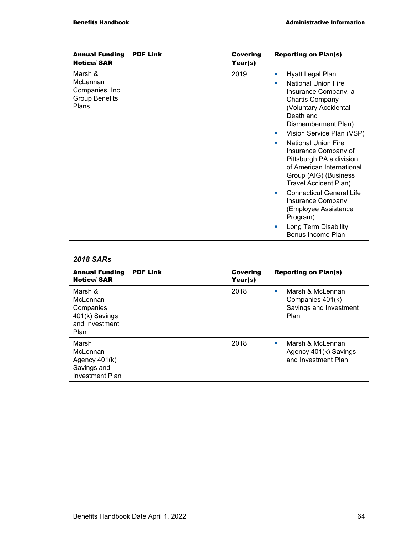| <b>Annual Funding</b><br><b>Notice/SAR</b>                                      | <b>PDF Link</b> | <b>Covering</b><br>Year(s) | <b>Reporting on Plan(s)</b>                                                                                                                                                                                                                                                                                                                                                                                                                                                                                                                |
|---------------------------------------------------------------------------------|-----------------|----------------------------|--------------------------------------------------------------------------------------------------------------------------------------------------------------------------------------------------------------------------------------------------------------------------------------------------------------------------------------------------------------------------------------------------------------------------------------------------------------------------------------------------------------------------------------------|
| Marsh &<br>McLennan<br>Companies, Inc.<br><b>Group Benefits</b><br><b>Plans</b> |                 | 2019                       | Hyatt Legal Plan<br>a.<br><b>National Union Fire</b><br>٠<br>Insurance Company, a<br><b>Chartis Company</b><br>(Voluntary Accidental<br>Death and<br>Dismemberment Plan)<br>Vision Service Plan (VSP)<br>ш<br><b>National Union Fire</b><br>٠<br>Insurance Company of<br>Pittsburgh PA a division<br>of American International<br>Group (AIG) (Business<br>Travel Accident Plan)<br><b>Connecticut General Life</b><br>٠<br>Insurance Company<br>(Employee Assistance<br>Program)<br>Long Term Disability<br>ш<br><b>Bonus Income Plan</b> |

| <b>Annual Funding</b><br><b>Notice/SAR</b>                                    | <b>PDF Link</b> | <b>Covering</b><br>Year(s) | <b>Reporting on Plan(s)</b>                                                 |
|-------------------------------------------------------------------------------|-----------------|----------------------------|-----------------------------------------------------------------------------|
| Marsh &<br>McLennan<br>Companies<br>401(k) Savings<br>and Investment<br>Plan  |                 | 2018                       | Marsh & McLennan<br>×<br>Companies 401(k)<br>Savings and Investment<br>Plan |
| Marsh<br>McLennan<br>Agency $401(k)$<br>Savings and<br><b>Investment Plan</b> |                 | 2018                       | Marsh & McLennan<br>٠<br>Agency 401(k) Savings<br>and Investment Plan       |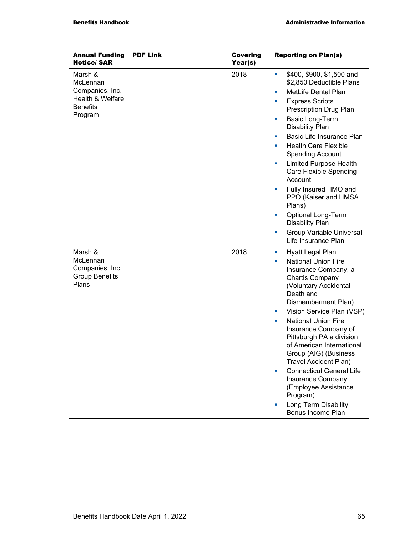| <b>Annual Funding</b><br><b>Notice/SAR</b>                                               | <b>PDF Link</b> | <b>Covering</b><br>Year(s) | <b>Reporting on Plan(s)</b>                                                                                                                                                                                                                                                                                                                                                                                                                                                                                                                                |
|------------------------------------------------------------------------------------------|-----------------|----------------------------|------------------------------------------------------------------------------------------------------------------------------------------------------------------------------------------------------------------------------------------------------------------------------------------------------------------------------------------------------------------------------------------------------------------------------------------------------------------------------------------------------------------------------------------------------------|
| Marsh &<br>McLennan<br>Companies, Inc.<br>Health & Welfare<br><b>Benefits</b><br>Program |                 | 2018                       | \$400, \$900, \$1,500 and<br>a.<br>\$2,850 Deductible Plans<br><b>MetLife Dental Plan</b><br>ш<br><b>Express Scripts</b><br>a.<br>Prescription Drug Plan<br><b>Basic Long-Term</b><br>×<br><b>Disability Plan</b><br>Basic Life Insurance Plan<br>×<br><b>Health Care Flexible</b><br>and the<br><b>Spending Account</b><br><b>Limited Purpose Health</b><br>×<br><b>Care Flexible Spending</b><br>Account<br>Fully Insured HMO and<br>ш<br>PPO (Kaiser and HMSA<br>Plans)<br><b>Optional Long-Term</b><br>u.<br><b>Disability Plan</b>                    |
|                                                                                          |                 |                            | <b>Group Variable Universal</b><br>×<br>Life Insurance Plan                                                                                                                                                                                                                                                                                                                                                                                                                                                                                                |
| Marsh &<br>McLennan<br>Companies, Inc.<br><b>Group Benefits</b><br>Plans                 |                 | 2018                       | Hyatt Legal Plan<br>a.<br><b>National Union Fire</b><br>u,<br>Insurance Company, a<br><b>Chartis Company</b><br>(Voluntary Accidental<br>Death and<br>Dismemberment Plan)<br>Vision Service Plan (VSP)<br>$\mathcal{L}_{\mathcal{A}}$<br><b>National Union Fire</b><br>a.<br>Insurance Company of<br>Pittsburgh PA a division<br>of American International<br>Group (AIG) (Business<br>Travel Accident Plan)<br><b>Connecticut General Life</b><br>×<br>Insurance Company<br>(Employee Assistance<br>Program)<br>Long Term Disability<br>Bonus Income Plan |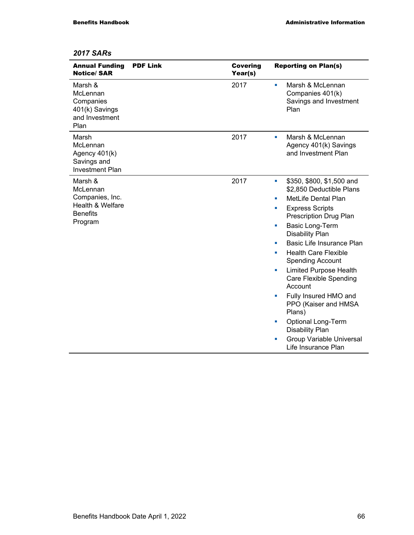| <b>Annual Funding</b><br><b>Notice/SAR</b>                                               | <b>PDF Link</b> | <b>Covering</b><br>Year(s) | <b>Reporting on Plan(s)</b>                                                                                                                                                                                                                                                                                                                                                                                                                                                                                                                                                                |
|------------------------------------------------------------------------------------------|-----------------|----------------------------|--------------------------------------------------------------------------------------------------------------------------------------------------------------------------------------------------------------------------------------------------------------------------------------------------------------------------------------------------------------------------------------------------------------------------------------------------------------------------------------------------------------------------------------------------------------------------------------------|
| Marsh &<br>McLennan<br>Companies<br>401(k) Savings<br>and Investment<br>Plan             |                 | 2017                       | Marsh & McLennan<br>٠<br>Companies 401(k)<br>Savings and Investment<br>Plan                                                                                                                                                                                                                                                                                                                                                                                                                                                                                                                |
| Marsh<br>McLennan<br>Agency 401(k)<br>Savings and<br><b>Investment Plan</b>              |                 | 2017                       | Marsh & McLennan<br>a.<br>Agency 401(k) Savings<br>and Investment Plan                                                                                                                                                                                                                                                                                                                                                                                                                                                                                                                     |
| Marsh &<br>McLennan<br>Companies, Inc.<br>Health & Welfare<br><b>Benefits</b><br>Program |                 | 2017                       | \$350, \$800, \$1,500 and<br>×<br>\$2,850 Deductible Plans<br><b>MetLife Dental Plan</b><br>٠<br><b>Express Scripts</b><br>ш<br><b>Prescription Drug Plan</b><br><b>Basic Long-Term</b><br>×<br><b>Disability Plan</b><br>Basic Life Insurance Plan<br>٠<br><b>Health Care Flexible</b><br>٠<br><b>Spending Account</b><br><b>Limited Purpose Health</b><br>×<br><b>Care Flexible Spending</b><br>Account<br>Fully Insured HMO and<br>u,<br>PPO (Kaiser and HMSA<br>Plans)<br>Optional Long-Term<br>L.<br><b>Disability Plan</b><br><b>Group Variable Universal</b><br>Life Insurance Plan |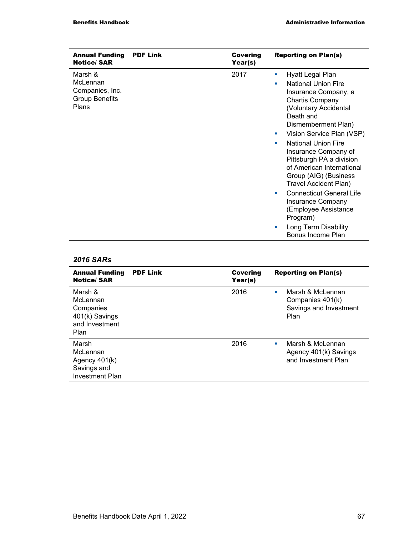| <b>Annual Funding</b><br><b>Notice/SAR</b>                               | <b>PDF Link</b> | <b>Covering</b><br>Year(s) | <b>Reporting on Plan(s)</b>                                                                                                                                                                                                                                                                                                                                                                                                                                                                                                         |
|--------------------------------------------------------------------------|-----------------|----------------------------|-------------------------------------------------------------------------------------------------------------------------------------------------------------------------------------------------------------------------------------------------------------------------------------------------------------------------------------------------------------------------------------------------------------------------------------------------------------------------------------------------------------------------------------|
| Marsh &<br>McLennan<br>Companies, Inc.<br><b>Group Benefits</b><br>Plans |                 | 2017                       | Hyatt Legal Plan<br>a.<br><b>National Union Fire</b><br>٠<br>Insurance Company, a<br>Chartis Company<br>(Voluntary Accidental<br>Death and<br>Dismemberment Plan)<br>Vision Service Plan (VSP)<br>ш<br><b>National Union Fire</b><br>п<br>Insurance Company of<br>Pittsburgh PA a division<br>of American International<br>Group (AIG) (Business<br>Travel Accident Plan)<br><b>Connecticut General Life</b><br>ш<br><b>Insurance Company</b><br>(Employee Assistance<br>Program)<br>Long Term Disability<br>п<br>Bonus Income Plan |

| <b>Annual Funding</b><br><b>Notice/SAR</b>                                    | <b>PDF Link</b> | <b>Covering</b><br>Year(s) | <b>Reporting on Plan(s)</b>                                                 |
|-------------------------------------------------------------------------------|-----------------|----------------------------|-----------------------------------------------------------------------------|
| Marsh &<br>McLennan<br>Companies<br>401(k) Savings<br>and Investment<br>Plan  |                 | 2016                       | Marsh & McLennan<br>٠<br>Companies 401(k)<br>Savings and Investment<br>Plan |
| Marsh<br>McLennan<br>Agency $401(k)$<br>Savings and<br><b>Investment Plan</b> |                 | 2016                       | Marsh & McLennan<br>п<br>Agency 401(k) Savings<br>and Investment Plan       |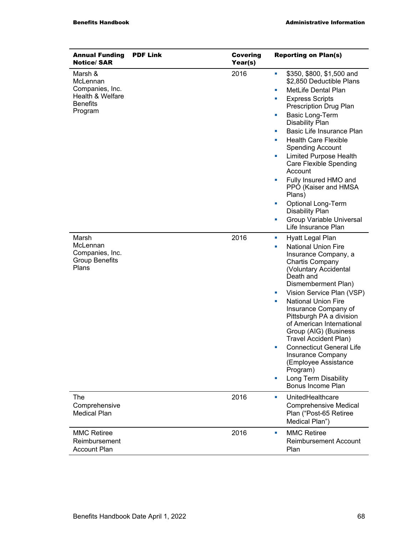| <b>Annual Funding</b><br><b>Notice/SAR</b>                                               | <b>PDF Link</b> | <b>Covering</b><br>Year(s) | <b>Reporting on Plan(s)</b>                                                                                                                                                                                                                                                                                                                                                                                                                                                                                                                                            |
|------------------------------------------------------------------------------------------|-----------------|----------------------------|------------------------------------------------------------------------------------------------------------------------------------------------------------------------------------------------------------------------------------------------------------------------------------------------------------------------------------------------------------------------------------------------------------------------------------------------------------------------------------------------------------------------------------------------------------------------|
| Marsh &<br>McLennan<br>Companies, Inc.<br>Health & Welfare<br><b>Benefits</b><br>Program |                 | 2016                       | \$350, \$800, \$1,500 and<br>ш<br>\$2,850 Deductible Plans<br>MetLife Dental Plan<br>a.<br><b>Express Scripts</b><br>a.<br>Prescription Drug Plan<br>Basic Long-Term<br>ш<br><b>Disability Plan</b><br>Basic Life Insurance Plan<br>×<br><b>Health Care Flexible</b><br>a.<br><b>Spending Account</b><br><b>Limited Purpose Health</b><br>a.<br>Care Flexible Spending<br>Account<br>Fully Insured HMO and<br>×<br>PPO (Kaiser and HMSA<br>Plans)<br>Optional Long-Term<br>u.<br><b>Disability Plan</b><br><b>Group Variable Universal</b><br>ш<br>Life Insurance Plan |
| Marsh<br>McLennan<br>Companies, Inc.<br><b>Group Benefits</b><br>Plans                   |                 | 2016                       | Hyatt Legal Plan<br>ш<br><b>National Union Fire</b><br>ш<br>Insurance Company, a<br><b>Chartis Company</b><br>(Voluntary Accidental<br>Death and<br>Dismemberment Plan)<br>Vision Service Plan (VSP)<br><b>Contract</b><br><b>National Union Fire</b><br>$\blacksquare$<br>Insurance Company of<br>Pittsburgh PA a division<br>of American International<br>Group (AIG) (Business<br>Travel Accident Plan)<br><b>Connecticut General Life</b><br>×<br>Insurance Company<br>(Employee Assistance<br>Program)<br>Long Term Disability<br>u.<br>Bonus Income Plan         |
| The<br>Comprehensive<br><b>Medical Plan</b>                                              |                 | 2016                       | UnitedHealthcare<br>a.<br><b>Comprehensive Medical</b><br>Plan ("Post-65 Retiree<br>Medical Plan")                                                                                                                                                                                                                                                                                                                                                                                                                                                                     |
| <b>MMC Retiree</b><br>Reimbursement<br><b>Account Plan</b>                               |                 | 2016                       | <b>MMC Retiree</b><br>ш<br><b>Reimbursement Account</b><br>Plan                                                                                                                                                                                                                                                                                                                                                                                                                                                                                                        |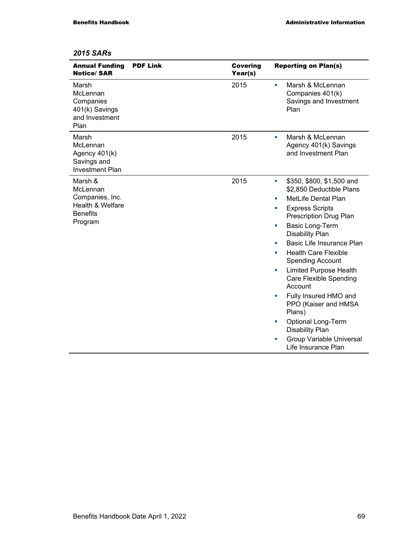| <b>Annual Funding</b><br><b>Notice/SAR</b>                                               | <b>PDF Link</b> | <b>Covering</b><br>Year(s) | <b>Reporting on Plan(s)</b>                                                                                                                                                                                                                                                                                                                                                                                                                                                                                                                                               |
|------------------------------------------------------------------------------------------|-----------------|----------------------------|---------------------------------------------------------------------------------------------------------------------------------------------------------------------------------------------------------------------------------------------------------------------------------------------------------------------------------------------------------------------------------------------------------------------------------------------------------------------------------------------------------------------------------------------------------------------------|
| Marsh<br>McLennan<br>Companies<br>401(k) Savings<br>and Investment<br>Plan               |                 | 2015                       | Marsh & McLennan<br>٠<br>Companies 401(k)<br>Savings and Investment<br>Plan                                                                                                                                                                                                                                                                                                                                                                                                                                                                                               |
| Marsh<br>McLennan<br>Agency 401(k)<br>Savings and<br><b>Investment Plan</b>              |                 | 2015                       | Marsh & McLennan<br>×<br>Agency 401(k) Savings<br>and Investment Plan                                                                                                                                                                                                                                                                                                                                                                                                                                                                                                     |
| Marsh &<br>McLennan<br>Companies, Inc.<br>Health & Welfare<br><b>Benefits</b><br>Program |                 | 2015                       | \$350, \$800, \$1,500 and<br>ш<br>\$2,850 Deductible Plans<br><b>MetLife Dental Plan</b><br>ш<br><b>Express Scripts</b><br>u,<br>Prescription Drug Plan<br>Basic Long-Term<br>ш<br><b>Disability Plan</b><br>Basic Life Insurance Plan<br>ш<br><b>Health Care Flexible</b><br>×<br><b>Spending Account</b><br><b>Limited Purpose Health</b><br>×<br>Care Flexible Spending<br>Account<br>Fully Insured HMO and<br>×<br>PPO (Kaiser and HMSA<br>Plans)<br><b>Optional Long-Term</b><br>×<br><b>Disability Plan</b><br>Group Variable Universal<br>×<br>Life Insurance Plan |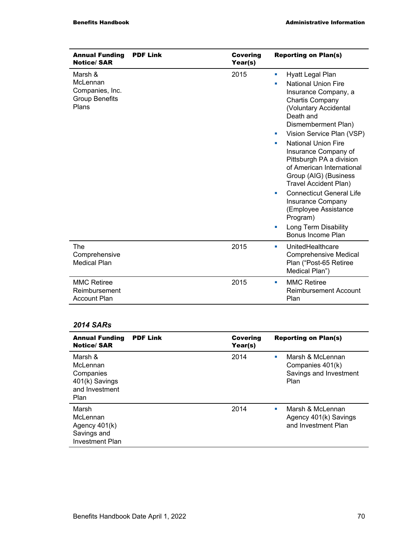| <b>Annual Funding</b><br><b>Notice/SAR</b>                               | <b>PDF Link</b> | <b>Covering</b><br>Year(s) | <b>Reporting on Plan(s)</b>                                                                                                                                                                                                                                                                                                                                                                                                                                                                                                                |
|--------------------------------------------------------------------------|-----------------|----------------------------|--------------------------------------------------------------------------------------------------------------------------------------------------------------------------------------------------------------------------------------------------------------------------------------------------------------------------------------------------------------------------------------------------------------------------------------------------------------------------------------------------------------------------------------------|
| Marsh &<br>McLennan<br>Companies, Inc.<br><b>Group Benefits</b><br>Plans |                 | 2015                       | Hyatt Legal Plan<br>×<br><b>National Union Fire</b><br>٠<br>Insurance Company, a<br><b>Chartis Company</b><br>(Voluntary Accidental<br>Death and<br>Dismemberment Plan)<br>Vision Service Plan (VSP)<br>a.<br><b>National Union Fire</b><br>٠<br>Insurance Company of<br>Pittsburgh PA a division<br>of American International<br>Group (AIG) (Business<br>Travel Accident Plan)<br><b>Connecticut General Life</b><br>ш<br><b>Insurance Company</b><br>(Employee Assistance<br>Program)<br>Long Term Disability<br>×<br>Bonus Income Plan |
| The<br>Comprehensive<br><b>Medical Plan</b>                              |                 | 2015                       | UnitedHealthcare<br>×<br><b>Comprehensive Medical</b><br>Plan ("Post-65 Retiree<br>Medical Plan")                                                                                                                                                                                                                                                                                                                                                                                                                                          |
| <b>MMC Retiree</b><br>Reimbursement<br><b>Account Plan</b>               |                 | 2015                       | <b>MMC Retiree</b><br>п<br><b>Reimbursement Account</b><br>Plan                                                                                                                                                                                                                                                                                                                                                                                                                                                                            |

l.

| <b>Annual Funding</b><br><b>Notice/SAR</b>                                    | <b>PDF Link</b> | <b>Covering</b><br>Year(s) | <b>Reporting on Plan(s)</b>                                                                 |
|-------------------------------------------------------------------------------|-----------------|----------------------------|---------------------------------------------------------------------------------------------|
| Marsh &<br>McLennan<br>Companies<br>401(k) Savings<br>and Investment<br>Plan  |                 | 2014                       | Marsh & McLennan<br><b>CONTRACTOR</b><br>Companies 401(k)<br>Savings and Investment<br>Plan |
| Marsh<br>McLennan<br>Agency $401(k)$<br>Savings and<br><b>Investment Plan</b> |                 | 2014                       | Marsh & McLennan<br>$\mathbf{r}$<br>Agency 401(k) Savings<br>and Investment Plan            |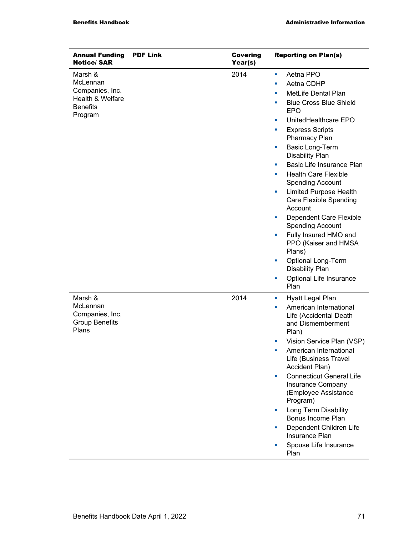| <b>Annual Funding</b><br><b>Notice/SAR</b>                                               | <b>PDF Link</b> | <b>Covering</b><br>Year(s) | <b>Reporting on Plan(s)</b>                                                                                                                                                                                                                                                                                                                                                                                                                                                                                                                                                                                                                              |
|------------------------------------------------------------------------------------------|-----------------|----------------------------|----------------------------------------------------------------------------------------------------------------------------------------------------------------------------------------------------------------------------------------------------------------------------------------------------------------------------------------------------------------------------------------------------------------------------------------------------------------------------------------------------------------------------------------------------------------------------------------------------------------------------------------------------------|
| Marsh &<br>McLennan<br>Companies, Inc.<br>Health & Welfare<br><b>Benefits</b><br>Program |                 | 2014                       | Aetna PPO<br>ш<br>Aetna CDHP<br>ш<br>MetLife Dental Plan<br>×,<br><b>Blue Cross Blue Shield</b><br>×,<br><b>EPO</b><br>UnitedHealthcare EPO<br>×<br><b>Express Scripts</b><br>ш<br>Pharmacy Plan<br>Basic Long-Term<br>L.<br><b>Disability Plan</b><br>Basic Life Insurance Plan<br>×<br><b>Health Care Flexible</b><br>×<br><b>Spending Account</b><br><b>Limited Purpose Health</b><br>ш<br>Care Flexible Spending<br>Account<br>Dependent Care Flexible<br>×<br><b>Spending Account</b><br>Fully Insured HMO and<br>ш<br>PPO (Kaiser and HMSA<br>Plans)<br><b>Optional Long-Term</b><br>L,<br><b>Disability Plan</b><br>Optional Life Insurance<br>a, |
| Marsh &<br>McLennan<br>Companies, Inc.<br><b>Group Benefits</b><br>Plans                 |                 | 2014                       | Plan<br>Hyatt Legal Plan<br>ш<br>American International<br>ш<br>Life (Accidental Death<br>and Dismemberment<br>Plan)<br>Vision Service Plan (VSP)<br>L.<br>American International<br>Life (Business Travel<br>Accident Plan)<br><b>Connecticut General Life</b><br>×<br>Insurance Company<br>(Employee Assistance<br>Program)<br>Long Term Disability<br>×,<br>Bonus Income Plan<br>Dependent Children Life<br>ш<br><b>Insurance Plan</b><br>Spouse Life Insurance<br>Plan                                                                                                                                                                               |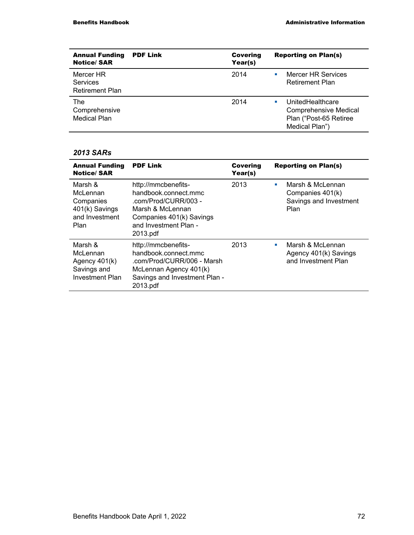| <b>Annual Funding</b><br><b>Notice/SAR</b>             | <b>PDF Link</b> | Covering<br>Year(s) | <b>Reporting on Plan(s)</b>                                                                              |
|--------------------------------------------------------|-----------------|---------------------|----------------------------------------------------------------------------------------------------------|
| Mercer HR<br><b>Services</b><br><b>Retirement Plan</b> |                 | 2014                | <b>Mercer HR Services</b><br><b>COL</b><br><b>Retirement Plan</b>                                        |
| The<br>Comprehensive<br>Medical Plan                   |                 | 2014                | UnitedHealthcare<br><b>A</b><br><b>Comprehensive Medical</b><br>Plan ("Post-65 Retiree<br>Medical Plan") |

| <b>Annual Funding</b><br><b>Notice/SAR</b>                                          | <b>PDF Link</b>                                                                                                                                          | <b>Covering</b><br>Year(s) | <b>Reporting on Plan(s)</b>                                                 |
|-------------------------------------------------------------------------------------|----------------------------------------------------------------------------------------------------------------------------------------------------------|----------------------------|-----------------------------------------------------------------------------|
| Marsh &<br>McLennan<br>Companies<br>401(k) Savings<br>and Investment<br><b>Plan</b> | http://mmcbenefits-<br>handbook.connect.mmc<br>.com/Prod/CURR/003 -<br>Marsh & McLennan<br>Companies 401(k) Savings<br>and Investment Plan -<br>2013.pdf | 2013                       | Marsh & McLennan<br>ш<br>Companies 401(k)<br>Savings and Investment<br>Plan |
| Marsh &<br>McLennan<br>Agency 401(k)<br>Savings and<br><b>Investment Plan</b>       | http://mmcbenefits-<br>handbook.connect.mmc<br>.com/Prod/CURR/006 - Marsh<br>McLennan Agency 401(k)<br>Savings and Investment Plan -<br>2013.pdf         | 2013                       | Marsh & McLennan<br>ш<br>Agency 401(k) Savings<br>and Investment Plan       |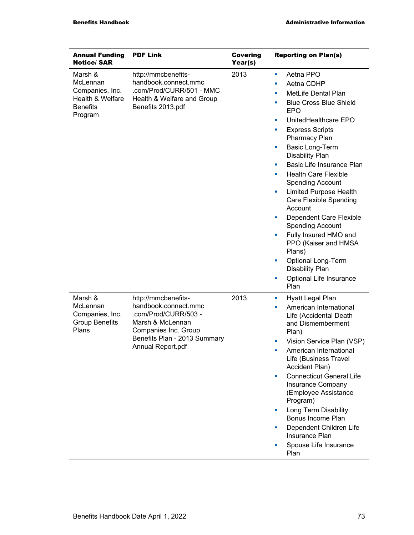| <b>Annual Funding</b><br><b>Notice/SAR</b>                                               | <b>PDF Link</b>                                                                                                                                                      | <b>Covering</b><br>Year(s) | <b>Reporting on Plan(s)</b>                                                                                                                                                                                                                                                                                                                                                                                                                                                                                                                                                                                                                                                 |
|------------------------------------------------------------------------------------------|----------------------------------------------------------------------------------------------------------------------------------------------------------------------|----------------------------|-----------------------------------------------------------------------------------------------------------------------------------------------------------------------------------------------------------------------------------------------------------------------------------------------------------------------------------------------------------------------------------------------------------------------------------------------------------------------------------------------------------------------------------------------------------------------------------------------------------------------------------------------------------------------------|
| Marsh &<br>McLennan<br>Companies, Inc.<br>Health & Welfare<br><b>Benefits</b><br>Program | http://mmcbenefits-<br>handbook.connect.mmc<br>.com/Prod/CURR/501 - MMC<br>Health & Welfare and Group<br>Benefits 2013.pdf                                           | 2013                       | Aetna PPO<br>ш<br>Aetna CDHP<br>×<br>MetLife Dental Plan<br>L,<br><b>Blue Cross Blue Shield</b><br>×,<br><b>EPO</b><br>UnitedHealthcare EPO<br>ш<br><b>Express Scripts</b><br>L,<br>Pharmacy Plan<br><b>Basic Long-Term</b><br>u,<br><b>Disability Plan</b><br>Basic Life Insurance Plan<br>ш<br><b>Health Care Flexible</b><br>×,<br><b>Spending Account</b><br><b>Limited Purpose Health</b><br>a,<br>Care Flexible Spending<br>Account<br>Dependent Care Flexible<br>×<br><b>Spending Account</b><br>Fully Insured HMO and<br>u,<br>PPO (Kaiser and HMSA<br>Plans)<br><b>Optional Long-Term</b><br>L,<br><b>Disability Plan</b><br>Optional Life Insurance<br>L,<br>Plan |
| Marsh &<br>McLennan<br>Companies, Inc.<br><b>Group Benefits</b><br>Plans                 | http://mmcbenefits-<br>handbook.connect.mmc<br>.com/Prod/CURR/503 -<br>Marsh & McLennan<br>Companies Inc. Group<br>Benefits Plan - 2013 Summary<br>Annual Report.pdf | 2013                       | Hyatt Legal Plan<br>ш<br>American International<br>ш<br>Life (Accidental Death<br>and Dismemberment<br>Plan)<br>Vision Service Plan (VSP)<br>ш<br>American International<br>Life (Business Travel<br>Accident Plan)<br><b>Connecticut General Life</b><br>Insurance Company<br>(Employee Assistance<br>Program)<br>Long Term Disability<br>u,<br><b>Bonus Income Plan</b><br>Dependent Children Life<br>×<br>Insurance Plan<br>Spouse Life Insurance<br>Plan                                                                                                                                                                                                                |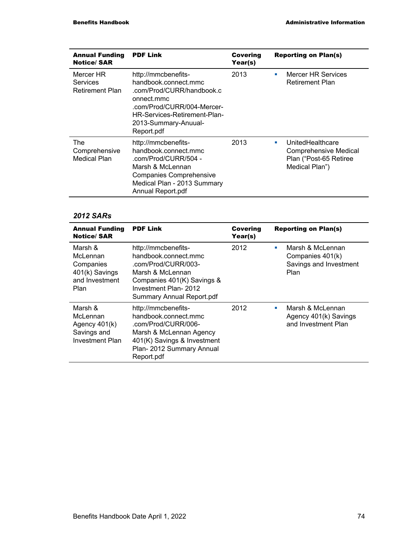| <b>Annual Funding</b><br><b>Notice/SAR</b>      | <b>PDF Link</b>                                                                                                                                                                            | <b>Covering</b><br>Year(s) | <b>Reporting on Plan(s)</b>                                                                        |
|-------------------------------------------------|--------------------------------------------------------------------------------------------------------------------------------------------------------------------------------------------|----------------------------|----------------------------------------------------------------------------------------------------|
| Mercer HR<br>Services<br><b>Retirement Plan</b> | http://mmcbenefits-<br>handbook.connect.mmc<br>.com/Prod/CURR/handbook.c<br>onnect.mmc<br>.com/Prod/CURR/004-Mercer-<br>HR-Services-Retirement-Plan-<br>2013-Summary-Anuual-<br>Report.pdf | 2013                       | <b>Mercer HR Services</b><br>٠<br>Retirement Plan                                                  |
| The<br>Comprehensive<br><b>Medical Plan</b>     | http://mmcbenefits-<br>handbook.connect.mmc<br>.com/Prod/CURR/504 -<br>Marsh & McLennan<br><b>Companies Comprehensive</b><br>Medical Plan - 2013 Summary<br>Annual Report.pdf              | 2013                       | UnitedHealthcare<br>a.<br><b>Comprehensive Medical</b><br>Plan ("Post-65 Retiree<br>Medical Plan") |

l,

| <b>Annual Funding</b><br><b>Notice/SAR</b>                                      | <b>PDF Link</b>                                                                                                                                                                   | Covering<br>Year(s) | <b>Reporting on Plan(s)</b>                                                  |
|---------------------------------------------------------------------------------|-----------------------------------------------------------------------------------------------------------------------------------------------------------------------------------|---------------------|------------------------------------------------------------------------------|
| Marsh &<br>McLennan<br>Companies<br>401(k) Savings<br>and Investment<br>Plan    | http://mmcbenefits-<br>handbook.connect.mmc<br>.com/Prod/CURR/003-<br>Marsh & McLennan<br>Companies 401(K) Savings &<br>Investment Plan- 2012<br><b>Summary Annual Report.pdf</b> | 2012                | Marsh & McLennan<br>a.<br>Companies 401(k)<br>Savings and Investment<br>Plan |
| Marsh &<br>McLennan<br>Agency $401(k)$<br>Savings and<br><b>Investment Plan</b> | http://mmcbenefits-<br>handbook.connect.mmc<br>.com/Prod/CURR/006-<br>Marsh & McLennan Agency<br>401(K) Savings & Investment<br>Plan-2012 Summary Annual<br>Report.pdf            | 2012                | Marsh & McLennan<br>m.<br>Agency 401(k) Savings<br>and Investment Plan       |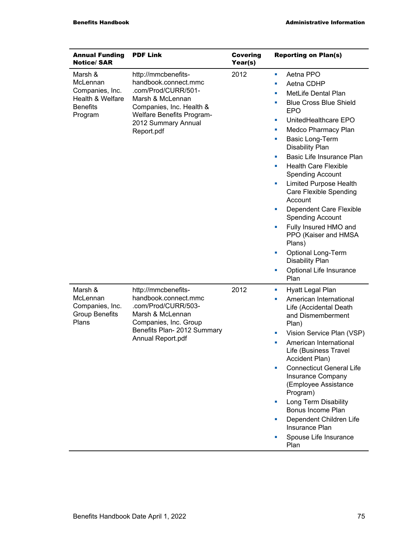| <b>Annual Funding</b><br><b>Notice/SAR</b>                                               | <b>PDF Link</b>                                                                                                                                                                             | <b>Covering</b><br>Year(s) | <b>Reporting on Plan(s)</b>                                                                                                                                                                                                                                                                                                                                                                                                                                                                                                                                                                                                                        |
|------------------------------------------------------------------------------------------|---------------------------------------------------------------------------------------------------------------------------------------------------------------------------------------------|----------------------------|----------------------------------------------------------------------------------------------------------------------------------------------------------------------------------------------------------------------------------------------------------------------------------------------------------------------------------------------------------------------------------------------------------------------------------------------------------------------------------------------------------------------------------------------------------------------------------------------------------------------------------------------------|
| Marsh &<br>McLennan<br>Companies, Inc.<br>Health & Welfare<br><b>Benefits</b><br>Program | http://mmcbenefits-<br>handbook.connect.mmc<br>.com/Prod/CURR/501-<br>Marsh & McLennan<br>Companies, Inc. Health &<br><b>Welfare Benefits Program-</b><br>2012 Summary Annual<br>Report.pdf | 2012                       | Aetna PPO<br>a.<br>Aetna CDHP<br>ш<br>MetLife Dental Plan<br>×<br><b>Blue Cross Blue Shield</b><br>×<br><b>EPO</b><br>UnitedHealthcare EPO<br>ш<br>Medco Pharmacy Plan<br>ш<br>Basic Long-Term<br>a.<br><b>Disability Plan</b><br>Basic Life Insurance Plan<br>ш<br><b>Health Care Flexible</b><br>ш<br><b>Spending Account</b><br><b>Limited Purpose Health</b><br>ш<br><b>Care Flexible Spending</b><br>Account<br>Dependent Care Flexible<br>u,<br><b>Spending Account</b><br>Fully Insured HMO and<br>ш<br>PPO (Kaiser and HMSA<br>Plans)<br><b>Optional Long-Term</b><br>×<br><b>Disability Plan</b><br>Optional Life Insurance<br>u,<br>Plan |
| Marsh &<br>McLennan<br>Companies, Inc.<br><b>Group Benefits</b><br>Plans                 | http://mmcbenefits-<br>handbook.connect.mmc<br>.com/Prod/CURR/503-<br>Marsh & McLennan<br>Companies, Inc. Group<br>Benefits Plan- 2012 Summary<br>Annual Report.pdf                         | 2012                       | Hyatt Legal Plan<br>ш<br>American International<br>u,<br>Life (Accidental Death<br>and Dismemberment<br>Plan)<br>Vision Service Plan (VSP)<br>u,<br>American International<br>×<br>Life (Business Travel<br>Accident Plan)<br><b>Connecticut General Life</b><br>п<br>Insurance Company<br>(Employee Assistance<br>Program)<br>Long Term Disability<br>×<br>Bonus Income Plan<br>Dependent Children Life<br>u,<br>Insurance Plan<br>Spouse Life Insurance<br>Plan                                                                                                                                                                                  |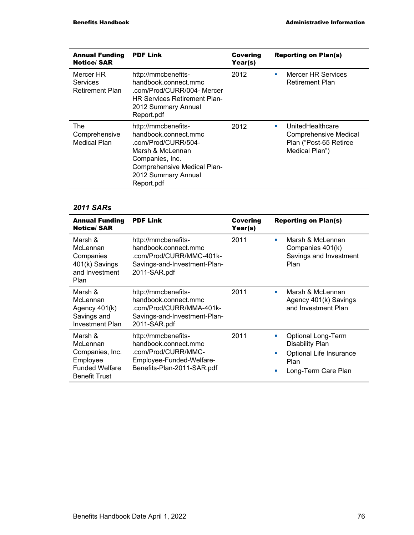| <b>Annual Funding</b><br><b>Notice/SAR</b>      | <b>PDF Link</b>                                                                                                                                                               | <b>Covering</b><br>Year(s) | <b>Reporting on Plan(s)</b>                                                                        |
|-------------------------------------------------|-------------------------------------------------------------------------------------------------------------------------------------------------------------------------------|----------------------------|----------------------------------------------------------------------------------------------------|
| Mercer HR<br>Services<br><b>Retirement Plan</b> | http://mmcbenefits-<br>handbook.connect.mmc<br>.com/Prod/CURR/004- Mercer<br><b>HR Services Retirement Plan-</b><br>2012 Summary Annual<br>Report.pdf                         | 2012                       | <b>Mercer HR Services</b><br>a.<br><b>Retirement Plan</b>                                          |
| <b>The</b><br>Comprehensive<br>Medical Plan     | http://mmcbenefits-<br>handbook.connect.mmc<br>.com/Prod/CURR/504-<br>Marsh & McLennan<br>Companies, Inc.<br>Comprehensive Medical Plan-<br>2012 Summary Annual<br>Report.pdf | 2012                       | UnitedHealthcare<br>a.<br><b>Comprehensive Medical</b><br>Plan ("Post-65 Retiree<br>Medical Plan") |

| <b>Annual Funding</b><br><b>Notice/SAR</b>                                                          | <b>PDF Link</b>                                                                                                              | Covering<br>Year(s) | <b>Reporting on Plan(s)</b>                                                                                                  |
|-----------------------------------------------------------------------------------------------------|------------------------------------------------------------------------------------------------------------------------------|---------------------|------------------------------------------------------------------------------------------------------------------------------|
| Marsh &<br>McLennan<br>Companies<br>401(k) Savings<br>and Investment<br>Plan                        | http://mmcbenefits-<br>handbook.connect.mmc<br>.com/Prod/CURR/MMC-401k-<br>Savings-and-Investment-Plan-<br>2011-SAR.pdf      | 2011                | Marsh & McLennan<br>п<br>Companies 401(k)<br>Savings and Investment<br>Plan                                                  |
| Marsh &<br>McLennan<br>Agency 401(k)<br>Savings and<br>Investment Plan                              | http://mmcbenefits-<br>handbook.connect.mmc<br>.com/Prod/CURR/MMA-401k-<br>Savings-and-Investment-Plan-<br>2011-SAR.pdf      | 2011                | Marsh & McLennan<br>a.<br>Agency 401(k) Savings<br>and Investment Plan                                                       |
| Marsh &<br>McLennan<br>Companies, Inc.<br>Employee<br><b>Funded Welfare</b><br><b>Benefit Trust</b> | http://mmcbenefits-<br>handbook.connect.mmc<br>.com/Prod/CURR/MMC-<br>Employee-Funded-Welfare-<br>Benefits-Plan-2011-SAR.pdf | 2011                | <b>Optional Long-Term</b><br>п<br><b>Disability Plan</b><br>Optional Life Insurance<br>٠<br>Plan<br>Long-Term Care Plan<br>п |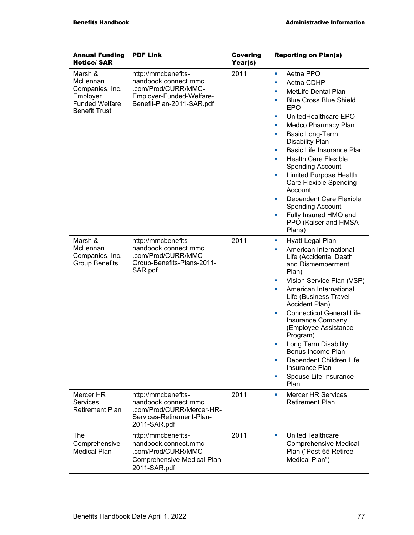| <b>Annual Funding</b><br><b>Notice/SAR</b>                                                          | <b>PDF Link</b>                                                                                                             | <b>Covering</b><br>Year(s) | <b>Reporting on Plan(s)</b>                                                                                                                                                                                                                                                                                                                                                                                                                                                                                                                 |
|-----------------------------------------------------------------------------------------------------|-----------------------------------------------------------------------------------------------------------------------------|----------------------------|---------------------------------------------------------------------------------------------------------------------------------------------------------------------------------------------------------------------------------------------------------------------------------------------------------------------------------------------------------------------------------------------------------------------------------------------------------------------------------------------------------------------------------------------|
| Marsh &<br>McLennan<br>Companies, Inc.<br>Employer<br><b>Funded Welfare</b><br><b>Benefit Trust</b> | http://mmcbenefits-<br>handbook.connect.mmc<br>.com/Prod/CURR/MMC-<br>Employer-Funded-Welfare-<br>Benefit-Plan-2011-SAR.pdf | 2011                       | Aetna PPO<br>ш<br>Aetna CDHP<br>ш<br>MetLife Dental Plan<br>×<br><b>Blue Cross Blue Shield</b><br>ш<br><b>EPO</b><br>UnitedHealthcare EPO<br>ш<br>Medco Pharmacy Plan<br>ш<br><b>Basic Long-Term</b><br>ш<br><b>Disability Plan</b><br>Basic Life Insurance Plan<br>ш<br><b>Health Care Flexible</b><br>u,<br><b>Spending Account</b><br><b>Limited Purpose Health</b><br>ш<br>Care Flexible Spending<br>Account<br>Dependent Care Flexible<br>ш<br><b>Spending Account</b><br>Fully Insured HMO and<br>×<br>PPO (Kaiser and HMSA<br>Plans) |
| Marsh &<br>McLennan<br>Companies, Inc.<br><b>Group Benefits</b>                                     | http://mmcbenefits-<br>handbook.connect.mmc<br>.com/Prod/CURR/MMC-<br>Group-Benefits-Plans-2011-<br>SAR.pdf                 | 2011                       | Hyatt Legal Plan<br>ш<br>American International<br>×<br>Life (Accidental Death<br>and Dismemberment<br>Plan)<br>Vision Service Plan (VSP)<br>ш<br>American International<br>ш<br>Life (Business Travel<br>Accident Plan)<br><b>Connecticut General Life</b><br>ш<br>Insurance Company<br>(Employee Assistance<br>Program)<br>Long Term Disability<br>×<br>Bonus Income Plan<br>Dependent Children Life<br>×<br>Insurance Plan<br>Spouse Life Insurance<br>×<br>Plan                                                                         |
| Mercer HR<br><b>Services</b><br><b>Retirement Plan</b>                                              | http://mmcbenefits-<br>handbook.connect.mmc<br>.com/Prod/CURR/Mercer-HR-<br>Services-Retirement-Plan-<br>2011-SAR.pdf       | 2011                       | <b>Mercer HR Services</b><br>ш<br><b>Retirement Plan</b>                                                                                                                                                                                                                                                                                                                                                                                                                                                                                    |
| The<br>Comprehensive<br><b>Medical Plan</b>                                                         | http://mmcbenefits-<br>handbook.connect.mmc<br>.com/Prod/CURR/MMC-<br>Comprehensive-Medical-Plan-<br>2011-SAR.pdf           | 2011                       | UnitedHealthcare<br>ш<br><b>Comprehensive Medical</b><br>Plan ("Post-65 Retiree<br>Medical Plan")                                                                                                                                                                                                                                                                                                                                                                                                                                           |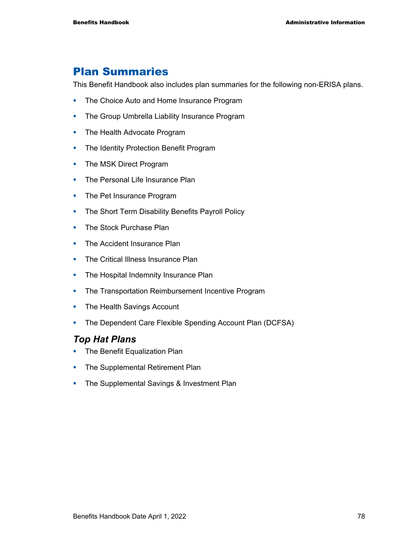## Plan Summaries

This Benefit Handbook also includes plan summaries for the following non-ERISA plans.

- The Choice Auto and Home Insurance Program
- **The Group Umbrella Liability Insurance Program**
- The Health Advocate Program
- The Identity Protection Benefit Program
- The MSK Direct Program
- The Personal Life Insurance Plan
- The Pet Insurance Program
- The Short Term Disability Benefits Payroll Policy
- **The Stock Purchase Plan**
- The Accident Insurance Plan
- The Critical Illness Insurance Plan
- The Hospital Indemnity Insurance Plan
- The Transportation Reimbursement Incentive Program
- **The Health Savings Account**
- The Dependent Care Flexible Spending Account Plan (DCFSA)

### *Top Hat Plans*

- The Benefit Equalization Plan
- The Supplemental Retirement Plan
- **The Supplemental Savings & Investment Plan**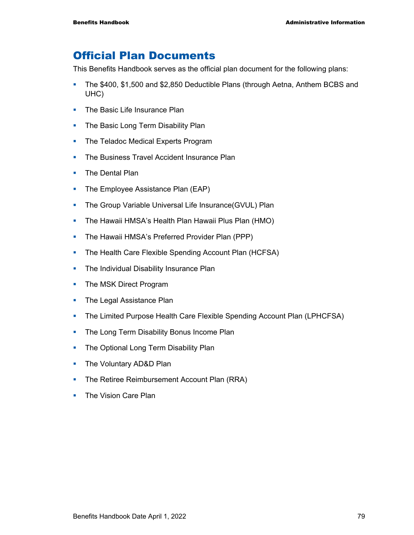## Official Plan Documents

This Benefits Handbook serves as the official plan document for the following plans:

- The \$400, \$1,500 and \$2,850 Deductible Plans (through Aetna, Anthem BCBS and UHC)
- The Basic Life Insurance Plan
- The Basic Long Term Disability Plan
- The Teladoc Medical Experts Program
- **The Business Travel Accident Insurance Plan**
- **The Dental Plan**
- The Employee Assistance Plan (EAP)
- **The Group Variable Universal Life Insurance(GVUL) Plan**
- **The Hawaii HMSA's Health Plan Hawaii Plus Plan (HMO)**
- The Hawaii HMSA's Preferred Provider Plan (PPP)
- **The Health Care Flexible Spending Account Plan (HCFSA)**
- **The Individual Disability Insurance Plan**
- The MSK Direct Program
- The Legal Assistance Plan
- The Limited Purpose Health Care Flexible Spending Account Plan (LPHCFSA)
- The Long Term Disability Bonus Income Plan
- The Optional Long Term Disability Plan
- The Voluntary AD&D Plan
- The Retiree Reimbursement Account Plan (RRA)
- The Vision Care Plan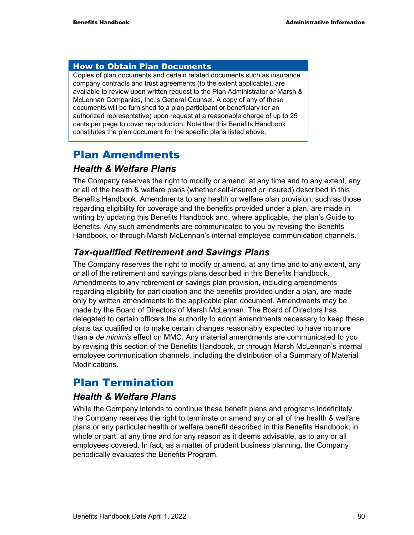#### How to Obtain Plan Documents

Copies of plan documents and certain related documents such as insurance company contracts and trust agreements (to the extent applicable), are available to review upon written request to the Plan Administrator or Marsh & McLennan Companies, Inc.'s General Counsel. A copy of any of these documents will be furnished to a plan participant or beneficiary (or an authorized representative) upon request at a reasonable charge of up to 25 cents per page to cover reproduction. Note that this Benefits Handbook constitutes the plan document for the specific plans listed above.

## Plan Amendments

### *Health & Welfare Plans*

The Company reserves the right to modify or amend, at any time and to any extent, any or all of the health & welfare plans (whether self-insured or insured) described in this Benefits Handbook. Amendments to any health or welfare plan provision, such as those regarding eligibility for coverage and the benefits provided under a plan, are made in writing by updating this Benefits Handbook and, where applicable, the plan's Guide to Benefits. Any such amendments are communicated to you by revising the Benefits Handbook, or through Marsh McLennan's internal employee communication channels.

## *Tax-qualified Retirement and Savings Plans*

The Company reserves the right to modify or amend, at any time and to any extent, any or all of the retirement and savings plans described in this Benefits Handbook. Amendments to any retirement or savings plan provision, including amendments regarding eligibility for participation and the benefits provided under a plan, are made only by written amendments to the applicable plan document. Amendments may be made by the Board of Directors of Marsh McLennan. The Board of Directors has delegated to certain officers the authority to adopt amendments necessary to keep these plans tax qualified or to make certain changes reasonably expected to have no more than a *de minimis* effect on MMC. Any material amendments are communicated to you by revising this section of the Benefits Handbook, or through Marsh McLennan's internal employee communication channels, including the distribution of a Summary of Material Modifications.

## Plan Termination

### *Health & Welfare Plans*

While the Company intends to continue these benefit plans and programs indefinitely, the Company reserves the right to terminate or amend any or all of the health & welfare plans or any particular health or welfare benefit described in this Benefits Handbook, in whole or part, at any time and for any reason as it deems advisable, as to any or all employees covered. In fact, as a matter of prudent business planning, the Company periodically evaluates the Benefits Program.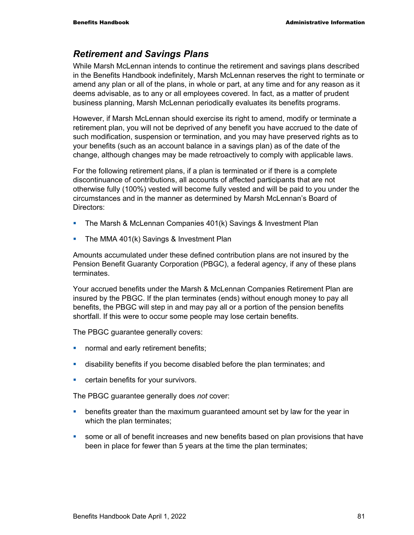### *Retirement and Savings Plans*

While Marsh McLennan intends to continue the retirement and savings plans described in the Benefits Handbook indefinitely, Marsh McLennan reserves the right to terminate or amend any plan or all of the plans, in whole or part, at any time and for any reason as it deems advisable, as to any or all employees covered. In fact, as a matter of prudent business planning, Marsh McLennan periodically evaluates its benefits programs.

However, if Marsh McLennan should exercise its right to amend, modify or terminate a retirement plan, you will not be deprived of any benefit you have accrued to the date of such modification, suspension or termination, and you may have preserved rights as to your benefits (such as an account balance in a savings plan) as of the date of the change, although changes may be made retroactively to comply with applicable laws.

For the following retirement plans, if a plan is terminated or if there is a complete discontinuance of contributions, all accounts of affected participants that are not otherwise fully (100%) vested will become fully vested and will be paid to you under the circumstances and in the manner as determined by Marsh McLennan's Board of Directors:

- **The Marsh & McLennan Companies 401(k) Savings & Investment Plan**
- **The MMA 401(k) Savings & Investment Plan**

Amounts accumulated under these defined contribution plans are not insured by the Pension Benefit Guaranty Corporation (PBGC), a federal agency, if any of these plans **terminates** 

Your accrued benefits under the Marsh & McLennan Companies Retirement Plan are insured by the PBGC. If the plan terminates (ends) without enough money to pay all benefits, the PBGC will step in and may pay all or a portion of the pension benefits shortfall. If this were to occur some people may lose certain benefits.

The PBGC guarantee generally covers:

- **normal and early retirement benefits;**
- disability benefits if you become disabled before the plan terminates; and
- **EXEC** certain benefits for your survivors.

The PBGC guarantee generally does *not* cover:

- **•** benefits greater than the maximum guaranteed amount set by law for the year in which the plan terminates:
- some or all of benefit increases and new benefits based on plan provisions that have been in place for fewer than 5 years at the time the plan terminates;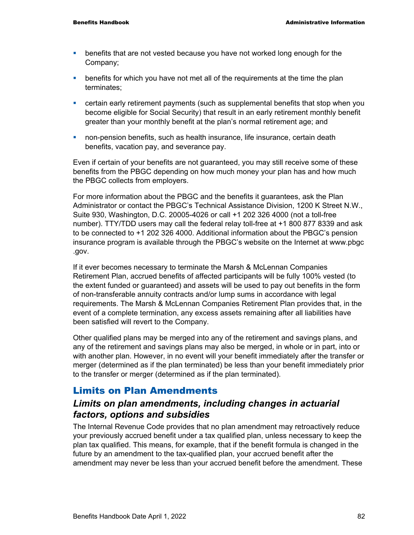- benefits that are not vested because you have not worked long enough for the Company;
- **EXECT** benefits for which you have not met all of the requirements at the time the plan terminates;
- certain early retirement payments (such as supplemental benefits that stop when you become eligible for Social Security) that result in an early retirement monthly benefit greater than your monthly benefit at the plan's normal retirement age; and
- non-pension benefits, such as health insurance, life insurance, certain death benefits, vacation pay, and severance pay.

Even if certain of your benefits are not guaranteed, you may still receive some of these benefits from the PBGC depending on how much money your plan has and how much the PBGC collects from employers.

For more information about the PBGC and the benefits it guarantees, ask the Plan Administrator or contact the PBGC's Technical Assistance Division, 1200 K Street N.W., Suite 930, Washington, D.C. 20005-4026 or call +1 202 326 4000 (not a toll-free number). TTY/TDD users may call the federal relay toll-free at +1 800 877 8339 and ask to be connected to +1 202 326 4000. Additional information about the PBGC's pension insurance program is available through the PBGC's website on the Internet at www.pbgc .gov.

If it ever becomes necessary to terminate the Marsh & McLennan Companies Retirement Plan, accrued benefits of affected participants will be fully 100% vested (to the extent funded or guaranteed) and assets will be used to pay out benefits in the form of non-transferable annuity contracts and/or lump sums in accordance with legal requirements. The Marsh & McLennan Companies Retirement Plan provides that, in the event of a complete termination, any excess assets remaining after all liabilities have been satisfied will revert to the Company.

Other qualified plans may be merged into any of the retirement and savings plans, and any of the retirement and savings plans may also be merged, in whole or in part, into or with another plan. However, in no event will your benefit immediately after the transfer or merger (determined as if the plan terminated) be less than your benefit immediately prior to the transfer or merger (determined as if the plan terminated).

### Limits on Plan Amendments

### *Limits on plan amendments, including changes in actuarial factors, options and subsidies*

The Internal Revenue Code provides that no plan amendment may retroactively reduce your previously accrued benefit under a tax qualified plan, unless necessary to keep the plan tax qualified. This means, for example, that if the benefit formula is changed in the future by an amendment to the tax-qualified plan, your accrued benefit after the amendment may never be less than your accrued benefit before the amendment. These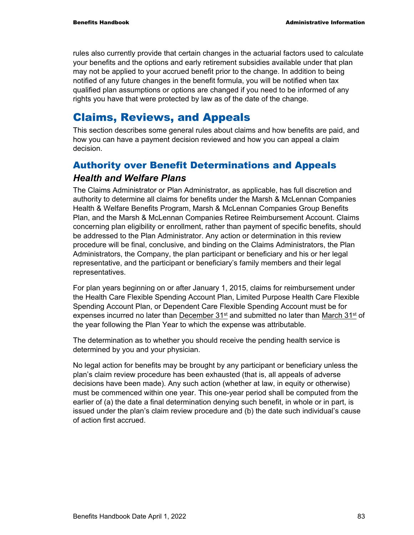rules also currently provide that certain changes in the actuarial factors used to calculate your benefits and the options and early retirement subsidies available under that plan may not be applied to your accrued benefit prior to the change. In addition to being notified of any future changes in the benefit formula, you will be notified when tax qualified plan assumptions or options are changed if you need to be informed of any rights you have that were protected by law as of the date of the change.

## Claims, Reviews, and Appeals

This section describes some general rules about claims and how benefits are paid, and how you can have a payment decision reviewed and how you can appeal a claim decision.

## Authority over Benefit Determinations and Appeals

### *Health and Welfare Plans*

The Claims Administrator or Plan Administrator, as applicable, has full discretion and authority to determine all claims for benefits under the Marsh & McLennan Companies Health & Welfare Benefits Program, Marsh & McLennan Companies Group Benefits Plan, and the Marsh & McLennan Companies Retiree Reimbursement Account. Claims concerning plan eligibility or enrollment, rather than payment of specific benefits, should be addressed to the Plan Administrator. Any action or determination in this review procedure will be final, conclusive, and binding on the Claims Administrators, the Plan Administrators, the Company, the plan participant or beneficiary and his or her legal representative, and the participant or beneficiary's family members and their legal representatives.

For plan years beginning on or after January 1, 2015, claims for reimbursement under the Health Care Flexible Spending Account Plan, Limited Purpose Health Care Flexible Spending Account Plan, or Dependent Care Flexible Spending Account must be for expenses incurred no later than **December 31<sup>st</sup>** and submitted no later than March  $31<sup>st</sup>$  of the year following the Plan Year to which the expense was attributable.

The determination as to whether you should receive the pending health service is determined by you and your physician.

No legal action for benefits may be brought by any participant or beneficiary unless the plan's claim review procedure has been exhausted (that is, all appeals of adverse decisions have been made). Any such action (whether at law, in equity or otherwise) must be commenced within one year. This one-year period shall be computed from the earlier of (a) the date a final determination denying such benefit, in whole or in part, is issued under the plan's claim review procedure and (b) the date such individual's cause of action first accrued.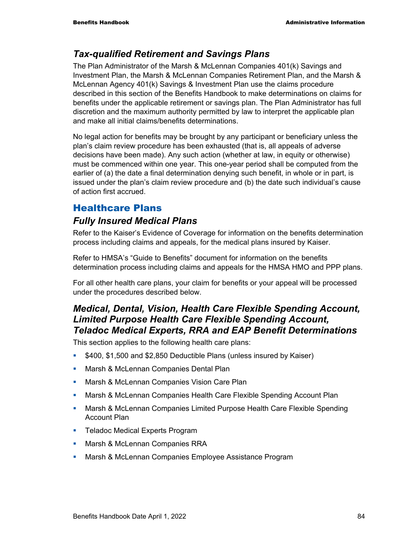### *Tax-qualified Retirement and Savings Plans*

The Plan Administrator of the Marsh & McLennan Companies 401(k) Savings and Investment Plan, the Marsh & McLennan Companies Retirement Plan, and the Marsh & McLennan Agency 401(k) Savings & Investment Plan use the claims procedure described in this section of the Benefits Handbook to make determinations on claims for benefits under the applicable retirement or savings plan. The Plan Administrator has full discretion and the maximum authority permitted by law to interpret the applicable plan and make all initial claims/benefits determinations.

No legal action for benefits may be brought by any participant or beneficiary unless the plan's claim review procedure has been exhausted (that is, all appeals of adverse decisions have been made). Any such action (whether at law, in equity or otherwise) must be commenced within one year. This one-year period shall be computed from the earlier of (a) the date a final determination denying such benefit, in whole or in part, is issued under the plan's claim review procedure and (b) the date such individual's cause of action first accrued.

## Healthcare Plans

## *Fully Insured Medical Plans*

Refer to the Kaiser's Evidence of Coverage for information on the benefits determination process including claims and appeals, for the medical plans insured by Kaiser.

Refer to HMSA's "Guide to Benefits" document for information on the benefits determination process including claims and appeals for the HMSA HMO and PPP plans.

For all other health care plans, your claim for benefits or your appeal will be processed under the procedures described below.

### *Medical, Dental, Vision, Health Care Flexible Spending Account, Limited Purpose Health Care Flexible Spending Account, Teladoc Medical Experts, RRA and EAP Benefit Determinations*

This section applies to the following health care plans:

- **5400, \$1,500 and \$2,850 Deductible Plans (unless insured by Kaiser)**
- **Marsh & McLennan Companies Dental Plan**
- **Marsh & McLennan Companies Vision Care Plan**
- **Marsh & McLennan Companies Health Care Flexible Spending Account Plan**
- **Marsh & McLennan Companies Limited Purpose Health Care Flexible Spending** Account Plan
- **Teladoc Medical Experts Program**
- **Marsh & McLennan Companies RRA**
- **Marsh & McLennan Companies Employee Assistance Program**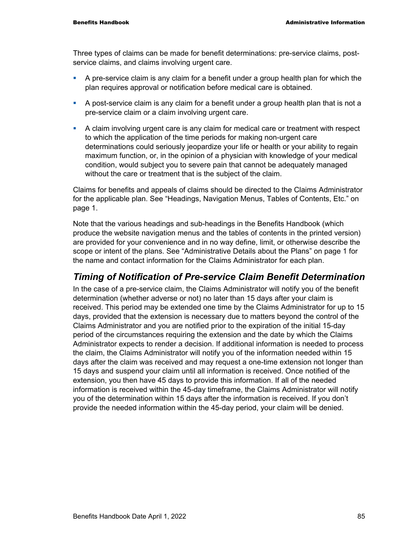Three types of claims can be made for benefit determinations: pre-service claims, postservice claims, and claims involving urgent care.

- A pre-service claim is any claim for a benefit under a group health plan for which the plan requires approval or notification before medical care is obtained.
- A post-service claim is any claim for a benefit under a group health plan that is not a pre-service claim or a claim involving urgent care.
- A claim involving urgent care is any claim for medical care or treatment with respect to which the application of the time periods for making non-urgent care determinations could seriously jeopardize your life or health or your ability to regain maximum function, or, in the opinion of a physician with knowledge of your medical condition, would subject you to severe pain that cannot be adequately managed without the care or treatment that is the subject of the claim.

Claims for benefits and appeals of claims should be directed to the Claims Administrator for the applicable plan. See "Headings, Navigation Menus, Tables of Contents, Etc." on page 1.

Note that the various headings and sub-headings in the Benefits Handbook (which produce the website navigation menus and the tables of contents in the printed version) are provided for your convenience and in no way define, limit, or otherwise describe the scope or intent of the plans. See "Administrative Details about the Plans" on page 1 for the name and contact information for the Claims Administrator for each plan.

### *Timing of Notification of Pre-service Claim Benefit Determination*

In the case of a pre-service claim, the Claims Administrator will notify you of the benefit determination (whether adverse or not) no later than 15 days after your claim is received. This period may be extended one time by the Claims Administrator for up to 15 days, provided that the extension is necessary due to matters beyond the control of the Claims Administrator and you are notified prior to the expiration of the initial 15-day period of the circumstances requiring the extension and the date by which the Claims Administrator expects to render a decision. If additional information is needed to process the claim, the Claims Administrator will notify you of the information needed within 15 days after the claim was received and may request a one-time extension not longer than 15 days and suspend your claim until all information is received. Once notified of the extension, you then have 45 days to provide this information. If all of the needed information is received within the 45-day timeframe, the Claims Administrator will notify you of the determination within 15 days after the information is received. If you don't provide the needed information within the 45-day period, your claim will be denied.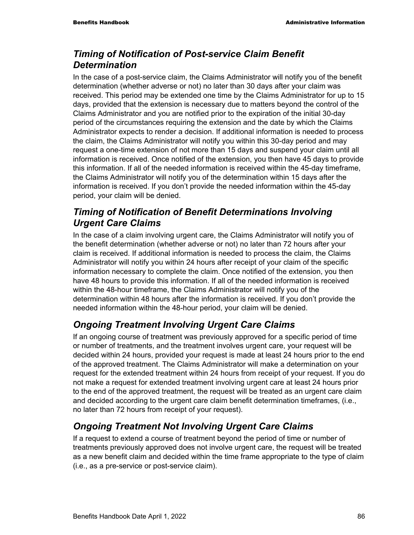## *Timing of Notification of Post-service Claim Benefit Determination*

In the case of a post-service claim, the Claims Administrator will notify you of the benefit determination (whether adverse or not) no later than 30 days after your claim was received. This period may be extended one time by the Claims Administrator for up to 15 days, provided that the extension is necessary due to matters beyond the control of the Claims Administrator and you are notified prior to the expiration of the initial 30-day period of the circumstances requiring the extension and the date by which the Claims Administrator expects to render a decision. If additional information is needed to process the claim, the Claims Administrator will notify you within this 30-day period and may request a one-time extension of not more than 15 days and suspend your claim until all information is received. Once notified of the extension, you then have 45 days to provide this information. If all of the needed information is received within the 45-day timeframe, the Claims Administrator will notify you of the determination within 15 days after the information is received. If you don't provide the needed information within the 45-day period, your claim will be denied.

## *Timing of Notification of Benefit Determinations Involving Urgent Care Claims*

In the case of a claim involving urgent care, the Claims Administrator will notify you of the benefit determination (whether adverse or not) no later than 72 hours after your claim is received. If additional information is needed to process the claim, the Claims Administrator will notify you within 24 hours after receipt of your claim of the specific information necessary to complete the claim. Once notified of the extension, you then have 48 hours to provide this information. If all of the needed information is received within the 48-hour timeframe, the Claims Administrator will notify you of the determination within 48 hours after the information is received. If you don't provide the needed information within the 48-hour period, your claim will be denied.

## *Ongoing Treatment Involving Urgent Care Claims*

If an ongoing course of treatment was previously approved for a specific period of time or number of treatments, and the treatment involves urgent care, your request will be decided within 24 hours, provided your request is made at least 24 hours prior to the end of the approved treatment. The Claims Administrator will make a determination on your request for the extended treatment within 24 hours from receipt of your request. If you do not make a request for extended treatment involving urgent care at least 24 hours prior to the end of the approved treatment, the request will be treated as an urgent care claim and decided according to the urgent care claim benefit determination timeframes, (i.e., no later than 72 hours from receipt of your request).

## *Ongoing Treatment Not Involving Urgent Care Claims*

If a request to extend a course of treatment beyond the period of time or number of treatments previously approved does not involve urgent care, the request will be treated as a new benefit claim and decided within the time frame appropriate to the type of claim (i.e., as a pre-service or post-service claim).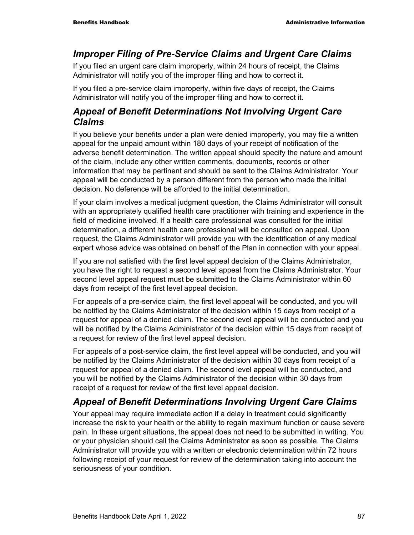## *Improper Filing of Pre-Service Claims and Urgent Care Claims*

If you filed an urgent care claim improperly, within 24 hours of receipt, the Claims Administrator will notify you of the improper filing and how to correct it.

If you filed a pre-service claim improperly, within five days of receipt, the Claims Administrator will notify you of the improper filing and how to correct it.

## *Appeal of Benefit Determinations Not Involving Urgent Care Claims*

If you believe your benefits under a plan were denied improperly, you may file a written appeal for the unpaid amount within 180 days of your receipt of notification of the adverse benefit determination. The written appeal should specify the nature and amount of the claim, include any other written comments, documents, records or other information that may be pertinent and should be sent to the Claims Administrator. Your appeal will be conducted by a person different from the person who made the initial decision. No deference will be afforded to the initial determination.

If your claim involves a medical judgment question, the Claims Administrator will consult with an appropriately qualified health care practitioner with training and experience in the field of medicine involved. If a health care professional was consulted for the initial determination, a different health care professional will be consulted on appeal. Upon request, the Claims Administrator will provide you with the identification of any medical expert whose advice was obtained on behalf of the Plan in connection with your appeal.

If you are not satisfied with the first level appeal decision of the Claims Administrator, you have the right to request a second level appeal from the Claims Administrator. Your second level appeal request must be submitted to the Claims Administrator within 60 days from receipt of the first level appeal decision.

For appeals of a pre-service claim, the first level appeal will be conducted, and you will be notified by the Claims Administrator of the decision within 15 days from receipt of a request for appeal of a denied claim. The second level appeal will be conducted and you will be notified by the Claims Administrator of the decision within 15 days from receipt of a request for review of the first level appeal decision.

For appeals of a post-service claim, the first level appeal will be conducted, and you will be notified by the Claims Administrator of the decision within 30 days from receipt of a request for appeal of a denied claim. The second level appeal will be conducted, and you will be notified by the Claims Administrator of the decision within 30 days from receipt of a request for review of the first level appeal decision.

## *Appeal of Benefit Determinations Involving Urgent Care Claims*

Your appeal may require immediate action if a delay in treatment could significantly increase the risk to your health or the ability to regain maximum function or cause severe pain. In these urgent situations, the appeal does not need to be submitted in writing. You or your physician should call the Claims Administrator as soon as possible. The Claims Administrator will provide you with a written or electronic determination within 72 hours following receipt of your request for review of the determination taking into account the seriousness of your condition.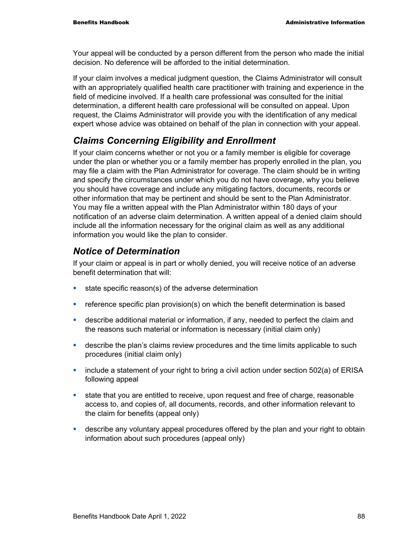Your appeal will be conducted by a person different from the person who made the initial decision. No deference will be afforded to the initial determination.

If your claim involves a medical judgment question, the Claims Administrator will consult with an appropriately qualified health care practitioner with training and experience in the field of medicine involved. If a health care professional was consulted for the initial determination, a different health care professional will be consulted on appeal. Upon request, the Claims Administrator will provide you with the identification of any medical expert whose advice was obtained on behalf of the plan in connection with your appeal.

## *Claims Concerning Eligibility and Enrollment*

If your claim concerns whether or not you or a family member is eligible for coverage under the plan or whether you or a family member has properly enrolled in the plan, you may file a claim with the Plan Administrator for coverage. The claim should be in writing and specify the circumstances under which you do not have coverage, why you believe you should have coverage and include any mitigating factors, documents, records or other information that may be pertinent and should be sent to the Plan Administrator. You may file a written appeal with the Plan Administrator within 180 days of your notification of an adverse claim determination. A written appeal of a denied claim should include all the information necessary for the original claim as well as any additional information you would like the plan to consider.

### *Notice of Determination*

If your claim or appeal is in part or wholly denied, you will receive notice of an adverse benefit determination that will:

- state specific reason(s) of the adverse determination
- **•** reference specific plan provision(s) on which the benefit determination is based
- describe additional material or information, if any, needed to perfect the claim and the reasons such material or information is necessary (initial claim only)
- **•** describe the plan's claims review procedures and the time limits applicable to such procedures (initial claim only)
- $\blacksquare$  include a statement of your right to bring a civil action under section 502(a) of ERISA following appeal
- state that you are entitled to receive, upon request and free of charge, reasonable access to, and copies of, all documents, records, and other information relevant to the claim for benefits (appeal only)
- **EXED** describe any voluntary appeal procedures offered by the plan and your right to obtain information about such procedures (appeal only)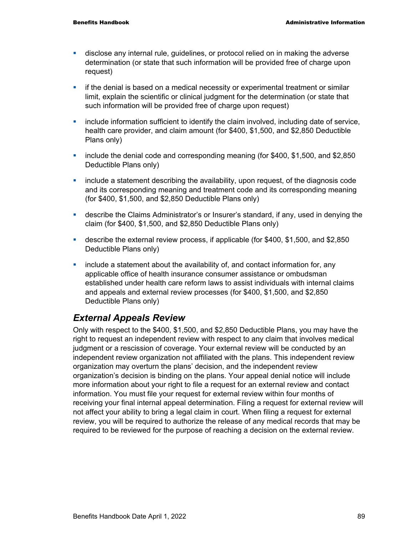- disclose any internal rule, guidelines, or protocol relied on in making the adverse determination (or state that such information will be provided free of charge upon request)
- **if the denial is based on a medical necessity or experimental treatment or similar** limit, explain the scientific or clinical judgment for the determination (or state that such information will be provided free of charge upon request)
- **EXED** include information sufficient to identify the claim involved, including date of service, health care provider, and claim amount (for \$400, \$1,500, and \$2,850 Deductible Plans only)
- **•** include the denial code and corresponding meaning (for \$400, \$1,500, and \$2,850 Deductible Plans only)
- **EXED** include a statement describing the availability, upon request, of the diagnosis code and its corresponding meaning and treatment code and its corresponding meaning (for \$400, \$1,500, and \$2,850 Deductible Plans only)
- describe the Claims Administrator's or Insurer's standard, if any, used in denying the claim (for \$400, \$1,500, and \$2,850 Deductible Plans only)
- describe the external review process, if applicable (for \$400, \$1,500, and \$2,850 Deductible Plans only)
- **EXED** include a statement about the availability of, and contact information for, any applicable office of health insurance consumer assistance or ombudsman established under health care reform laws to assist individuals with internal claims and appeals and external review processes (for \$400, \$1,500, and \$2,850 Deductible Plans only)

## *External Appeals Review*

Only with respect to the \$400, \$1,500, and \$2,850 Deductible Plans, you may have the right to request an independent review with respect to any claim that involves medical judgment or a rescission of coverage. Your external review will be conducted by an independent review organization not affiliated with the plans. This independent review organization may overturn the plans' decision, and the independent review organization's decision is binding on the plans. Your appeal denial notice will include more information about your right to file a request for an external review and contact information. You must file your request for external review within four months of receiving your final internal appeal determination. Filing a request for external review will not affect your ability to bring a legal claim in court. When filing a request for external review, you will be required to authorize the release of any medical records that may be required to be reviewed for the purpose of reaching a decision on the external review.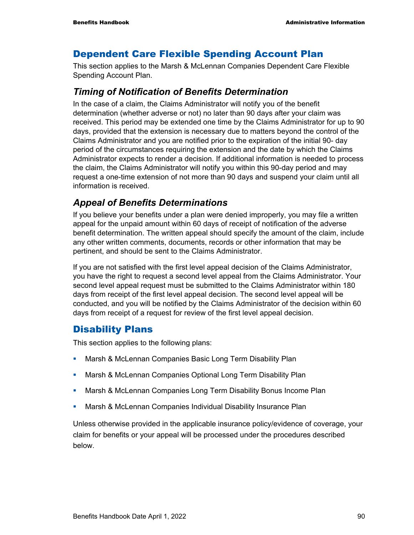### Dependent Care Flexible Spending Account Plan

This section applies to the Marsh & McLennan Companies Dependent Care Flexible Spending Account Plan.

### *Timing of Notification of Benefits Determination*

In the case of a claim, the Claims Administrator will notify you of the benefit determination (whether adverse or not) no later than 90 days after your claim was received. This period may be extended one time by the Claims Administrator for up to 90 days, provided that the extension is necessary due to matters beyond the control of the Claims Administrator and you are notified prior to the expiration of the initial 90- day period of the circumstances requiring the extension and the date by which the Claims Administrator expects to render a decision. If additional information is needed to process the claim, the Claims Administrator will notify you within this 90-day period and may request a one-time extension of not more than 90 days and suspend your claim until all information is received.

### *Appeal of Benefits Determinations*

If you believe your benefits under a plan were denied improperly, you may file a written appeal for the unpaid amount within 60 days of receipt of notification of the adverse benefit determination. The written appeal should specify the amount of the claim, include any other written comments, documents, records or other information that may be pertinent, and should be sent to the Claims Administrator.

If you are not satisfied with the first level appeal decision of the Claims Administrator, you have the right to request a second level appeal from the Claims Administrator. Your second level appeal request must be submitted to the Claims Administrator within 180 days from receipt of the first level appeal decision. The second level appeal will be conducted, and you will be notified by the Claims Administrator of the decision within 60 days from receipt of a request for review of the first level appeal decision.

### Disability Plans

This section applies to the following plans:

- **Marsh & McLennan Companies Basic Long Term Disability Plan**
- **Marsh & McLennan Companies Optional Long Term Disability Plan**
- **Marsh & McLennan Companies Long Term Disability Bonus Income Plan**
- **Marsh & McLennan Companies Individual Disability Insurance Plan**

Unless otherwise provided in the applicable insurance policy/evidence of coverage, your claim for benefits or your appeal will be processed under the procedures described below.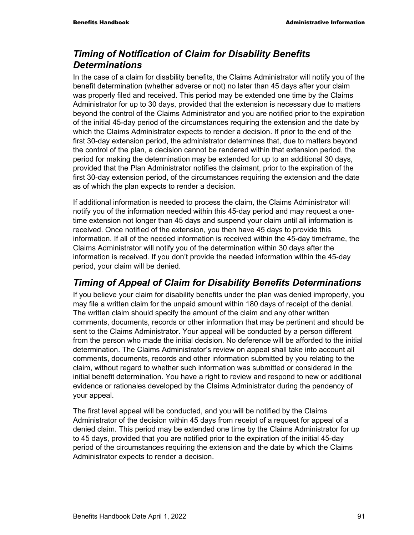## *Timing of Notification of Claim for Disability Benefits Determinations*

In the case of a claim for disability benefits, the Claims Administrator will notify you of the benefit determination (whether adverse or not) no later than 45 days after your claim was properly filed and received. This period may be extended one time by the Claims Administrator for up to 30 days, provided that the extension is necessary due to matters beyond the control of the Claims Administrator and you are notified prior to the expiration of the initial 45-day period of the circumstances requiring the extension and the date by which the Claims Administrator expects to render a decision. If prior to the end of the first 30-day extension period, the administrator determines that, due to matters beyond the control of the plan, a decision cannot be rendered within that extension period, the period for making the determination may be extended for up to an additional 30 days, provided that the Plan Administrator notifies the claimant, prior to the expiration of the first 30-day extension period, of the circumstances requiring the extension and the date as of which the plan expects to render a decision.

If additional information is needed to process the claim, the Claims Administrator will notify you of the information needed within this 45-day period and may request a onetime extension not longer than 45 days and suspend your claim until all information is received. Once notified of the extension, you then have 45 days to provide this information. If all of the needed information is received within the 45-day timeframe, the Claims Administrator will notify you of the determination within 30 days after the information is received. If you don't provide the needed information within the 45-day period, your claim will be denied.

## *Timing of Appeal of Claim for Disability Benefits Determinations*

If you believe your claim for disability benefits under the plan was denied improperly, you may file a written claim for the unpaid amount within 180 days of receipt of the denial. The written claim should specify the amount of the claim and any other written comments, documents, records or other information that may be pertinent and should be sent to the Claims Administrator. Your appeal will be conducted by a person different from the person who made the initial decision. No deference will be afforded to the initial determination. The Claims Administrator's review on appeal shall take into account all comments, documents, records and other information submitted by you relating to the claim, without regard to whether such information was submitted or considered in the initial benefit determination. You have a right to review and respond to new or additional evidence or rationales developed by the Claims Administrator during the pendency of your appeal.

The first level appeal will be conducted, and you will be notified by the Claims Administrator of the decision within 45 days from receipt of a request for appeal of a denied claim. This period may be extended one time by the Claims Administrator for up to 45 days, provided that you are notified prior to the expiration of the initial 45-day period of the circumstances requiring the extension and the date by which the Claims Administrator expects to render a decision.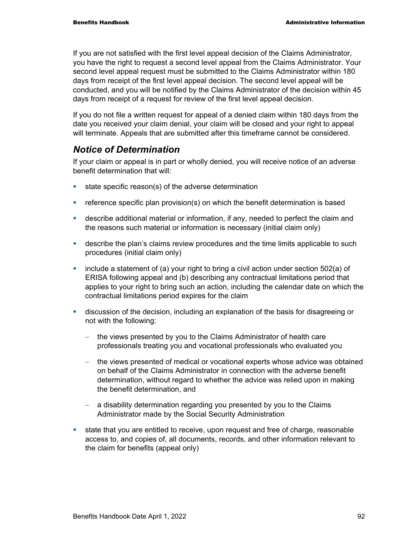If you are not satisfied with the first level appeal decision of the Claims Administrator, you have the right to request a second level appeal from the Claims Administrator. Your second level appeal request must be submitted to the Claims Administrator within 180 days from receipt of the first level appeal decision. The second level appeal will be conducted, and you will be notified by the Claims Administrator of the decision within 45 days from receipt of a request for review of the first level appeal decision.

If you do not file a written request for appeal of a denied claim within 180 days from the date you received your claim denial, your claim will be closed and your right to appeal will terminate. Appeals that are submitted after this timeframe cannot be considered.

### *Notice of Determination*

If your claim or appeal is in part or wholly denied, you will receive notice of an adverse benefit determination that will:

- state specific reason(s) of the adverse determination
- reference specific plan provision(s) on which the benefit determination is based
- describe additional material or information, if any, needed to perfect the claim and the reasons such material or information is necessary (initial claim only)
- **EXED** describe the plan's claims review procedures and the time limits applicable to such procedures (initial claim only)
- $\blacksquare$  include a statement of (a) your right to bring a civil action under section 502(a) of ERISA following appeal and (b) describing any contractual limitations period that applies to your right to bring such an action, including the calendar date on which the contractual limitations period expires for the claim
- discussion of the decision, including an explanation of the basis for disagreeing or not with the following:
	- − the views presented by you to the Claims Administrator of health care professionals treating you and vocational professionals who evaluated you
	- − the views presented of medical or vocational experts whose advice was obtained on behalf of the Claims Administrator in connection with the adverse benefit determination, without regard to whether the advice was relied upon in making the benefit determination, and
	- − a disability determination regarding you presented by you to the Claims Administrator made by the Social Security Administration
- state that you are entitled to receive, upon request and free of charge, reasonable access to, and copies of, all documents, records, and other information relevant to the claim for benefits (appeal only)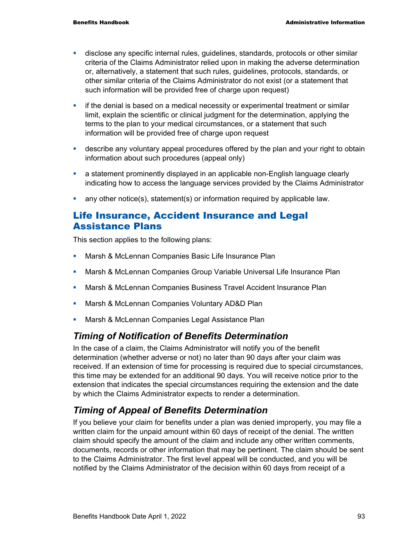- disclose any specific internal rules, guidelines, standards, protocols or other similar criteria of the Claims Administrator relied upon in making the adverse determination or, alternatively, a statement that such rules, guidelines, protocols, standards, or other similar criteria of the Claims Administrator do not exist (or a statement that such information will be provided free of charge upon request)
- **if the denial is based on a medical necessity or experimental treatment or similar** limit, explain the scientific or clinical judgment for the determination, applying the terms to the plan to your medical circumstances, or a statement that such information will be provided free of charge upon request
- **EXED** describe any voluntary appeal procedures offered by the plan and your right to obtain information about such procedures (appeal only)
- a statement prominently displayed in an applicable non-English language clearly indicating how to access the language services provided by the Claims Administrator
- **any other notice(s), statement(s) or information required by applicable law.**

### Life Insurance, Accident Insurance and Legal Assistance Plans

This section applies to the following plans:

- **Marsh & McLennan Companies Basic Life Insurance Plan**
- **Marsh & McLennan Companies Group Variable Universal Life Insurance Plan**
- **Marsh & McLennan Companies Business Travel Accident Insurance Plan**
- **Marsh & McLennan Companies Voluntary AD&D Plan**
- **Marsh & McLennan Companies Legal Assistance Plan**

## *Timing of Notification of Benefits Determination*

In the case of a claim, the Claims Administrator will notify you of the benefit determination (whether adverse or not) no later than 90 days after your claim was received. If an extension of time for processing is required due to special circumstances, this time may be extended for an additional 90 days. You will receive notice prior to the extension that indicates the special circumstances requiring the extension and the date by which the Claims Administrator expects to render a determination.

## *Timing of Appeal of Benefits Determination*

If you believe your claim for benefits under a plan was denied improperly, you may file a written claim for the unpaid amount within 60 days of receipt of the denial. The written claim should specify the amount of the claim and include any other written comments, documents, records or other information that may be pertinent. The claim should be sent to the Claims Administrator. The first level appeal will be conducted, and you will be notified by the Claims Administrator of the decision within 60 days from receipt of a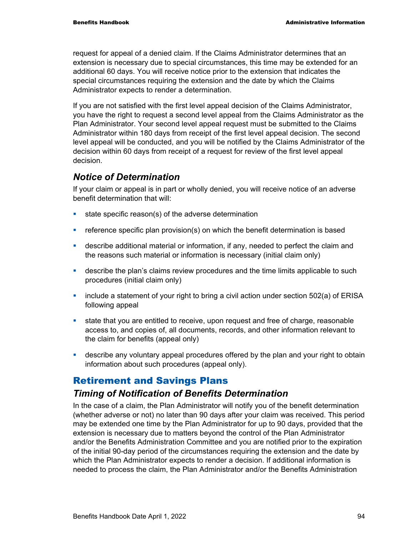request for appeal of a denied claim. If the Claims Administrator determines that an extension is necessary due to special circumstances, this time may be extended for an additional 60 days. You will receive notice prior to the extension that indicates the special circumstances requiring the extension and the date by which the Claims Administrator expects to render a determination.

If you are not satisfied with the first level appeal decision of the Claims Administrator, you have the right to request a second level appeal from the Claims Administrator as the Plan Administrator. Your second level appeal request must be submitted to the Claims Administrator within 180 days from receipt of the first level appeal decision. The second level appeal will be conducted, and you will be notified by the Claims Administrator of the decision within 60 days from receipt of a request for review of the first level appeal decision.

### *Notice of Determination*

If your claim or appeal is in part or wholly denied, you will receive notice of an adverse benefit determination that will:

- **state specific reason(s) of the adverse determination**
- **•** reference specific plan provision(s) on which the benefit determination is based
- describe additional material or information, if any, needed to perfect the claim and the reasons such material or information is necessary (initial claim only)
- **EXED** describe the plan's claims review procedures and the time limits applicable to such procedures (initial claim only)
- $\blacksquare$  include a statement of your right to bring a civil action under section 502(a) of ERISA following appeal
- **state that you are entitled to receive, upon request and free of charge, reasonable** access to, and copies of, all documents, records, and other information relevant to the claim for benefits (appeal only)
- describe any voluntary appeal procedures offered by the plan and your right to obtain information about such procedures (appeal only).

### Retirement and Savings Plans

### *Timing of Notification of Benefits Determination*

In the case of a claim, the Plan Administrator will notify you of the benefit determination (whether adverse or not) no later than 90 days after your claim was received. This period may be extended one time by the Plan Administrator for up to 90 days, provided that the extension is necessary due to matters beyond the control of the Plan Administrator and/or the Benefits Administration Committee and you are notified prior to the expiration of the initial 90-day period of the circumstances requiring the extension and the date by which the Plan Administrator expects to render a decision. If additional information is needed to process the claim, the Plan Administrator and/or the Benefits Administration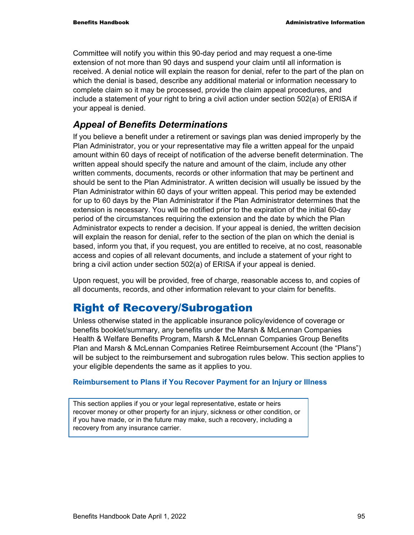Committee will notify you within this 90-day period and may request a one-time extension of not more than 90 days and suspend your claim until all information is received. A denial notice will explain the reason for denial, refer to the part of the plan on which the denial is based, describe any additional material or information necessary to complete claim so it may be processed, provide the claim appeal procedures, and include a statement of your right to bring a civil action under section 502(a) of ERISA if your appeal is denied.

### *Appeal of Benefits Determinations*

If you believe a benefit under a retirement or savings plan was denied improperly by the Plan Administrator, you or your representative may file a written appeal for the unpaid amount within 60 days of receipt of notification of the adverse benefit determination. The written appeal should specify the nature and amount of the claim, include any other written comments, documents, records or other information that may be pertinent and should be sent to the Plan Administrator. A written decision will usually be issued by the Plan Administrator within 60 days of your written appeal. This period may be extended for up to 60 days by the Plan Administrator if the Plan Administrator determines that the extension is necessary. You will be notified prior to the expiration of the initial 60-day period of the circumstances requiring the extension and the date by which the Plan Administrator expects to render a decision. If your appeal is denied, the written decision will explain the reason for denial, refer to the section of the plan on which the denial is based, inform you that, if you request, you are entitled to receive, at no cost, reasonable access and copies of all relevant documents, and include a statement of your right to bring a civil action under section 502(a) of ERISA if your appeal is denied.

Upon request, you will be provided, free of charge, reasonable access to, and copies of all documents, records, and other information relevant to your claim for benefits.

## Right of Recovery/Subrogation

Unless otherwise stated in the applicable insurance policy/evidence of coverage or benefits booklet/summary, any benefits under the Marsh & McLennan Companies Health & Welfare Benefits Program, Marsh & McLennan Companies Group Benefits Plan and Marsh & McLennan Companies Retiree Reimbursement Account (the "Plans") will be subject to the reimbursement and subrogation rules below. This section applies to your eligible dependents the same as it applies to you.

#### **Reimbursement to Plans if You Recover Payment for an Injury or Illness**

This section applies if you or your legal representative, estate or heirs recover money or other property for an injury, sickness or other condition, or if you have made, or in the future may make, such a recovery, including a recovery from any insurance carrier.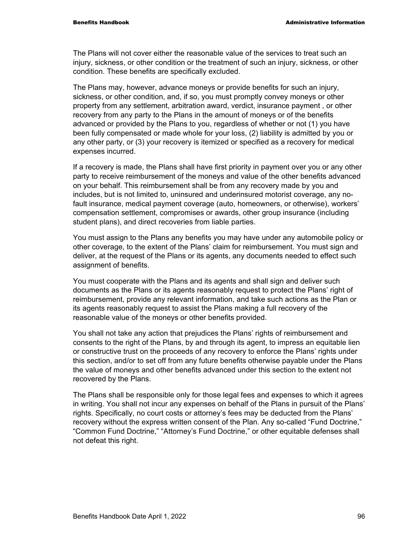The Plans will not cover either the reasonable value of the services to treat such an injury, sickness, or other condition or the treatment of such an injury, sickness, or other condition. These benefits are specifically excluded.

The Plans may, however, advance moneys or provide benefits for such an injury, sickness, or other condition, and, if so, you must promptly convey moneys or other property from any settlement, arbitration award, verdict, insurance payment , or other recovery from any party to the Plans in the amount of moneys or of the benefits advanced or provided by the Plans to you, regardless of whether or not (1) you have been fully compensated or made whole for your loss, (2) liability is admitted by you or any other party, or (3) your recovery is itemized or specified as a recovery for medical expenses incurred.

If a recovery is made, the Plans shall have first priority in payment over you or any other party to receive reimbursement of the moneys and value of the other benefits advanced on your behalf. This reimbursement shall be from any recovery made by you and includes, but is not limited to, uninsured and underinsured motorist coverage, any nofault insurance, medical payment coverage (auto, homeowners, or otherwise), workers' compensation settlement, compromises or awards, other group insurance (including student plans), and direct recoveries from liable parties.

You must assign to the Plans any benefits you may have under any automobile policy or other coverage, to the extent of the Plans' claim for reimbursement. You must sign and deliver, at the request of the Plans or its agents, any documents needed to effect such assignment of benefits.

You must cooperate with the Plans and its agents and shall sign and deliver such documents as the Plans or its agents reasonably request to protect the Plans' right of reimbursement, provide any relevant information, and take such actions as the Plan or its agents reasonably request to assist the Plans making a full recovery of the reasonable value of the moneys or other benefits provided.

You shall not take any action that prejudices the Plans' rights of reimbursement and consents to the right of the Plans, by and through its agent, to impress an equitable lien or constructive trust on the proceeds of any recovery to enforce the Plans' rights under this section, and/or to set off from any future benefits otherwise payable under the Plans the value of moneys and other benefits advanced under this section to the extent not recovered by the Plans.

The Plans shall be responsible only for those legal fees and expenses to which it agrees in writing. You shall not incur any expenses on behalf of the Plans in pursuit of the Plans' rights. Specifically, no court costs or attorney's fees may be deducted from the Plans' recovery without the express written consent of the Plan. Any so-called "Fund Doctrine," "Common Fund Doctrine," "Attorney's Fund Doctrine," or other equitable defenses shall not defeat this right.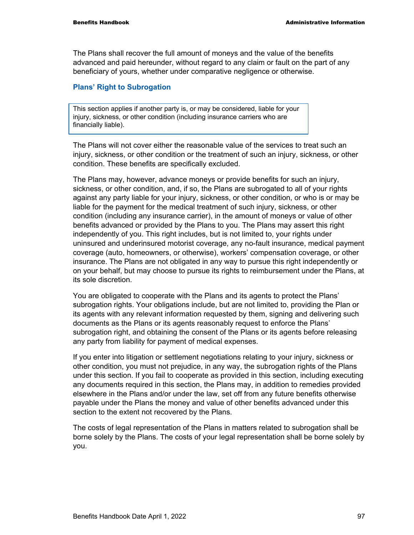The Plans shall recover the full amount of moneys and the value of the benefits advanced and paid hereunder, without regard to any claim or fault on the part of any beneficiary of yours, whether under comparative negligence or otherwise.

#### **Plans' Right to Subrogation**

This section applies if another party is, or may be considered, liable for your injury, sickness, or other condition (including insurance carriers who are financially liable).

The Plans will not cover either the reasonable value of the services to treat such an injury, sickness, or other condition or the treatment of such an injury, sickness, or other condition. These benefits are specifically excluded.

The Plans may, however, advance moneys or provide benefits for such an injury, sickness, or other condition, and, if so, the Plans are subrogated to all of your rights against any party liable for your injury, sickness, or other condition, or who is or may be liable for the payment for the medical treatment of such injury, sickness, or other condition (including any insurance carrier), in the amount of moneys or value of other benefits advanced or provided by the Plans to you. The Plans may assert this right independently of you. This right includes, but is not limited to, your rights under uninsured and underinsured motorist coverage, any no-fault insurance, medical payment coverage (auto, homeowners, or otherwise), workers' compensation coverage, or other insurance. The Plans are not obligated in any way to pursue this right independently or on your behalf, but may choose to pursue its rights to reimbursement under the Plans, at its sole discretion.

You are obligated to cooperate with the Plans and its agents to protect the Plans' subrogation rights. Your obligations include, but are not limited to, providing the Plan or its agents with any relevant information requested by them, signing and delivering such documents as the Plans or its agents reasonably request to enforce the Plans' subrogation right, and obtaining the consent of the Plans or its agents before releasing any party from liability for payment of medical expenses.

If you enter into litigation or settlement negotiations relating to your injury, sickness or other condition, you must not prejudice, in any way, the subrogation rights of the Plans under this section. If you fail to cooperate as provided in this section, including executing any documents required in this section, the Plans may, in addition to remedies provided elsewhere in the Plans and/or under the law, set off from any future benefits otherwise payable under the Plans the money and value of other benefits advanced under this section to the extent not recovered by the Plans.

The costs of legal representation of the Plans in matters related to subrogation shall be borne solely by the Plans. The costs of your legal representation shall be borne solely by you.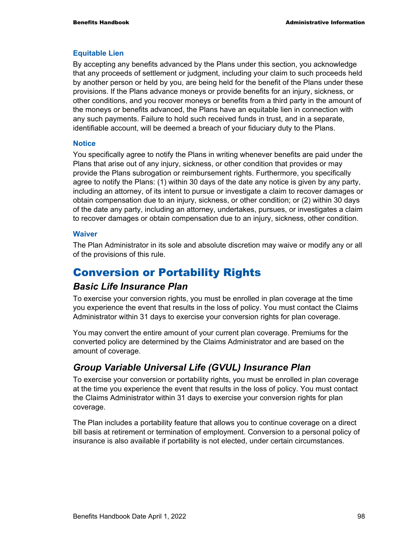#### **Equitable Lien**

By accepting any benefits advanced by the Plans under this section, you acknowledge that any proceeds of settlement or judgment, including your claim to such proceeds held by another person or held by you, are being held for the benefit of the Plans under these provisions. If the Plans advance moneys or provide benefits for an injury, sickness, or other conditions, and you recover moneys or benefits from a third party in the amount of the moneys or benefits advanced, the Plans have an equitable lien in connection with any such payments. Failure to hold such received funds in trust, and in a separate, identifiable account, will be deemed a breach of your fiduciary duty to the Plans.

#### **Notice**

You specifically agree to notify the Plans in writing whenever benefits are paid under the Plans that arise out of any injury, sickness, or other condition that provides or may provide the Plans subrogation or reimbursement rights. Furthermore, you specifically agree to notify the Plans: (1) within 30 days of the date any notice is given by any party, including an attorney, of its intent to pursue or investigate a claim to recover damages or obtain compensation due to an injury, sickness, or other condition; or (2) within 30 days of the date any party, including an attorney, undertakes, pursues, or investigates a claim to recover damages or obtain compensation due to an injury, sickness, other condition.

#### **Waiver**

The Plan Administrator in its sole and absolute discretion may waive or modify any or all of the provisions of this rule.

## Conversion or Portability Rights

### *Basic Life Insurance Plan*

To exercise your conversion rights, you must be enrolled in plan coverage at the time you experience the event that results in the loss of policy. You must contact the Claims Administrator within 31 days to exercise your conversion rights for plan coverage.

You may convert the entire amount of your current plan coverage. Premiums for the converted policy are determined by the Claims Administrator and are based on the amount of coverage.

## *Group Variable Universal Life (GVUL) Insurance Plan*

To exercise your conversion or portability rights, you must be enrolled in plan coverage at the time you experience the event that results in the loss of policy. You must contact the Claims Administrator within 31 days to exercise your conversion rights for plan coverage.

The Plan includes a portability feature that allows you to continue coverage on a direct bill basis at retirement or termination of employment. Conversion to a personal policy of insurance is also available if portability is not elected, under certain circumstances.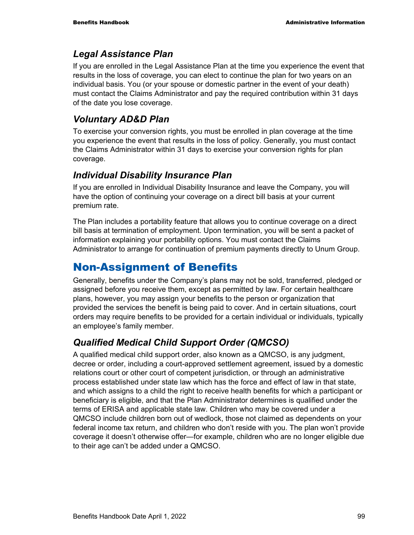### *Legal Assistance Plan*

If you are enrolled in the Legal Assistance Plan at the time you experience the event that results in the loss of coverage, you can elect to continue the plan for two years on an individual basis. You (or your spouse or domestic partner in the event of your death) must contact the Claims Administrator and pay the required contribution within 31 days of the date you lose coverage.

## *Voluntary AD&D Plan*

To exercise your conversion rights, you must be enrolled in plan coverage at the time you experience the event that results in the loss of policy. Generally, you must contact the Claims Administrator within 31 days to exercise your conversion rights for plan coverage.

## *Individual Disability Insurance Plan*

If you are enrolled in Individual Disability Insurance and leave the Company, you will have the option of continuing your coverage on a direct bill basis at your current premium rate.

The Plan includes a portability feature that allows you to continue coverage on a direct bill basis at termination of employment. Upon termination, you will be sent a packet of information explaining your portability options. You must contact the Claims Administrator to arrange for continuation of premium payments directly to Unum Group.

## Non-Assignment of Benefits

Generally, benefits under the Company's plans may not be sold, transferred, pledged or assigned before you receive them, except as permitted by law. For certain healthcare plans, however, you may assign your benefits to the person or organization that provided the services the benefit is being paid to cover. And in certain situations, court orders may require benefits to be provided for a certain individual or individuals, typically an employee's family member.

## *Qualified Medical Child Support Order (QMCSO)*

A qualified medical child support order, also known as a QMCSO, is any judgment, decree or order, including a court-approved settlement agreement, issued by a domestic relations court or other court of competent jurisdiction, or through an administrative process established under state law which has the force and effect of law in that state, and which assigns to a child the right to receive health benefits for which a participant or beneficiary is eligible, and that the Plan Administrator determines is qualified under the terms of ERISA and applicable state law. Children who may be covered under a QMCSO include children born out of wedlock, those not claimed as dependents on your federal income tax return, and children who don't reside with you. The plan won't provide coverage it doesn't otherwise offer—for example, children who are no longer eligible due to their age can't be added under a QMCSO.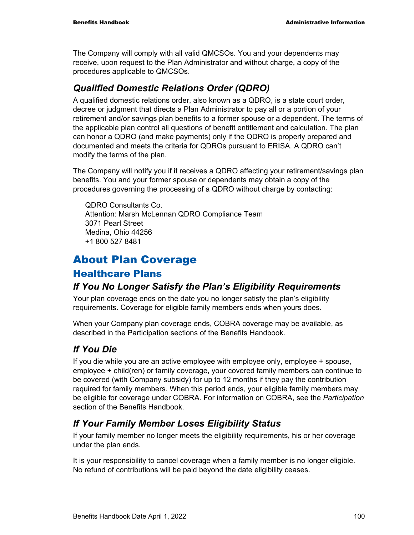The Company will comply with all valid QMCSOs. You and your dependents may receive, upon request to the Plan Administrator and without charge, a copy of the procedures applicable to QMCSOs.

### *Qualified Domestic Relations Order (QDRO)*

A qualified domestic relations order, also known as a QDRO, is a state court order, decree or judgment that directs a Plan Administrator to pay all or a portion of your retirement and/or savings plan benefits to a former spouse or a dependent. The terms of the applicable plan control all questions of benefit entitlement and calculation. The plan can honor a QDRO (and make payments) only if the QDRO is properly prepared and documented and meets the criteria for QDROs pursuant to ERISA. A QDRO can't modify the terms of the plan.

The Company will notify you if it receives a QDRO affecting your retirement/savings plan benefits. You and your former spouse or dependents may obtain a copy of the procedures governing the processing of a QDRO without charge by contacting:

QDRO Consultants Co. Attention: Marsh McLennan QDRO Compliance Team 3071 Pearl Street Medina, Ohio 44256 +1 800 527 8481

# About Plan Coverage

### Healthcare Plans

### *If You No Longer Satisfy the Plan's Eligibility Requirements*

Your plan coverage ends on the date you no longer satisfy the plan's eligibility requirements. Coverage for eligible family members ends when yours does.

When your Company plan coverage ends, COBRA coverage may be available, as described in the Participation sections of the Benefits Handbook.

## *If You Die*

If you die while you are an active employee with employee only, employee + spouse, employee + child(ren) or family coverage, your covered family members can continue to be covered (with Company subsidy) for up to 12 months if they pay the contribution required for family members. When this period ends, your eligible family members may be eligible for coverage under COBRA. For information on COBRA, see the *Participation* section of the Benefits Handbook.

## *If Your Family Member Loses Eligibility Status*

If your family member no longer meets the eligibility requirements, his or her coverage under the plan ends.

It is your responsibility to cancel coverage when a family member is no longer eligible. No refund of contributions will be paid beyond the date eligibility ceases.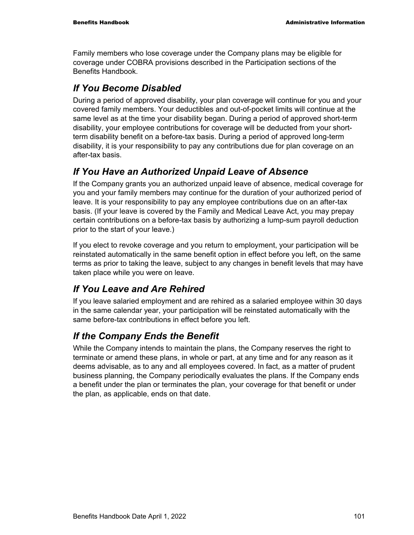Family members who lose coverage under the Company plans may be eligible for coverage under COBRA provisions described in the Participation sections of the Benefits Handbook.

## *If You Become Disabled*

During a period of approved disability, your plan coverage will continue for you and your covered family members. Your deductibles and out-of-pocket limits will continue at the same level as at the time your disability began. During a period of approved short-term disability, your employee contributions for coverage will be deducted from your shortterm disability benefit on a before-tax basis. During a period of approved long-term disability, it is your responsibility to pay any contributions due for plan coverage on an after-tax basis.

## *If You Have an Authorized Unpaid Leave of Absence*

If the Company grants you an authorized unpaid leave of absence, medical coverage for you and your family members may continue for the duration of your authorized period of leave. It is your responsibility to pay any employee contributions due on an after-tax basis. (If your leave is covered by the Family and Medical Leave Act, you may prepay certain contributions on a before-tax basis by authorizing a lump-sum payroll deduction prior to the start of your leave.)

If you elect to revoke coverage and you return to employment, your participation will be reinstated automatically in the same benefit option in effect before you left, on the same terms as prior to taking the leave, subject to any changes in benefit levels that may have taken place while you were on leave.

## *If You Leave and Are Rehired*

If you leave salaried employment and are rehired as a salaried employee within 30 days in the same calendar year, your participation will be reinstated automatically with the same before-tax contributions in effect before you left.

## *If the Company Ends the Benefit*

While the Company intends to maintain the plans, the Company reserves the right to terminate or amend these plans, in whole or part, at any time and for any reason as it deems advisable, as to any and all employees covered. In fact, as a matter of prudent business planning, the Company periodically evaluates the plans. If the Company ends a benefit under the plan or terminates the plan, your coverage for that benefit or under the plan, as applicable, ends on that date.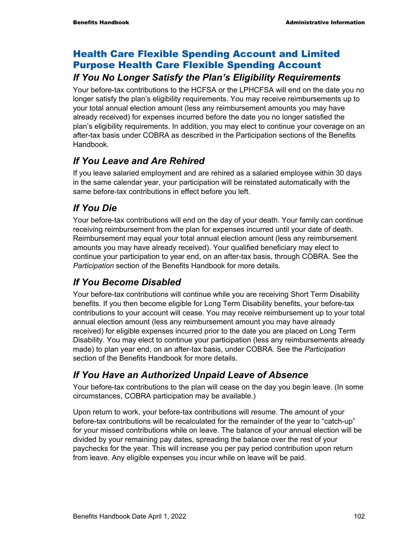## Health Care Flexible Spending Account and Limited Purpose Health Care Flexible Spending Account

### *If You No Longer Satisfy the Plan's Eligibility Requirements*

Your before-tax contributions to the HCFSA or the LPHCFSA will end on the date you no longer satisfy the plan's eligibility requirements. You may receive reimbursements up to your total annual election amount (less any reimbursement amounts you may have already received) for expenses incurred before the date you no longer satisfied the plan's eligibility requirements. In addition, you may elect to continue your coverage on an after-tax basis under COBRA as described in the Participation sections of the Benefits Handbook.

## *If You Leave and Are Rehired*

If you leave salaried employment and are rehired as a salaried employee within 30 days in the same calendar year, your participation will be reinstated automatically with the same before-tax contributions in effect before you left.

## *If You Die*

Your before-tax contributions will end on the day of your death. Your family can continue receiving reimbursement from the plan for expenses incurred until your date of death. Reimbursement may equal your total annual election amount (less any reimbursement amounts you may have already received). Your qualified beneficiary may elect to continue your participation to year end, on an after-tax basis, through COBRA. See the *Participation* section of the Benefits Handbook for more details.

## *If You Become Disabled*

Your before-tax contributions will continue while you are receiving Short Term Disability benefits. If you then become eligible for Long Term Disability benefits, your before-tax contributions to your account will cease. You may receive reimbursement up to your total annual election amount (less any reimbursement amount you may have already received) for eligible expenses incurred prior to the date you are placed on Long Term Disability. You may elect to continue your participation (less any reimbursements already made) to plan year end, on an after-tax basis, under COBRA. See the *Participation* section of the Benefits Handbook for more details.

## *If You Have an Authorized Unpaid Leave of Absence*

Your before-tax contributions to the plan will cease on the day you begin leave. (In some circumstances, COBRA participation may be available.)

Upon return to work, your before-tax contributions will resume. The amount of your before-tax contributions will be recalculated for the remainder of the year to "catch-up" for your missed contributions while on leave. The balance of your annual election will be divided by your remaining pay dates, spreading the balance over the rest of your paychecks for the year. This will increase you per pay period contribution upon return from leave. Any eligible expenses you incur while on leave will be paid.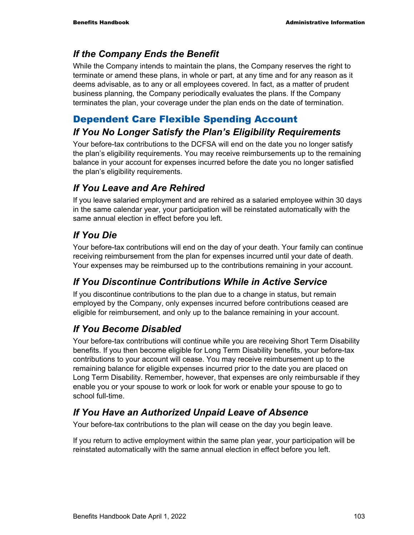### *If the Company Ends the Benefit*

While the Company intends to maintain the plans, the Company reserves the right to terminate or amend these plans, in whole or part, at any time and for any reason as it deems advisable, as to any or all employees covered. In fact, as a matter of prudent business planning, the Company periodically evaluates the plans. If the Company terminates the plan, your coverage under the plan ends on the date of termination.

## Dependent Care Flexible Spending Account

## *If You No Longer Satisfy the Plan's Eligibility Requirements*

Your before-tax contributions to the DCFSA will end on the date you no longer satisfy the plan's eligibility requirements. You may receive reimbursements up to the remaining balance in your account for expenses incurred before the date you no longer satisfied the plan's eligibility requirements.

## *If You Leave and Are Rehired*

If you leave salaried employment and are rehired as a salaried employee within 30 days in the same calendar year, your participation will be reinstated automatically with the same annual election in effect before you left.

## *If You Die*

Your before-tax contributions will end on the day of your death. Your family can continue receiving reimbursement from the plan for expenses incurred until your date of death. Your expenses may be reimbursed up to the contributions remaining in your account.

## *If You Discontinue Contributions While in Active Service*

If you discontinue contributions to the plan due to a change in status, but remain employed by the Company, only expenses incurred before contributions ceased are eligible for reimbursement, and only up to the balance remaining in your account.

## *If You Become Disabled*

Your before-tax contributions will continue while you are receiving Short Term Disability benefits. If you then become eligible for Long Term Disability benefits, your before-tax contributions to your account will cease. You may receive reimbursement up to the remaining balance for eligible expenses incurred prior to the date you are placed on Long Term Disability. Remember, however, that expenses are only reimbursable if they enable you or your spouse to work or look for work or enable your spouse to go to school full-time.

## *If You Have an Authorized Unpaid Leave of Absence*

Your before-tax contributions to the plan will cease on the day you begin leave.

If you return to active employment within the same plan year, your participation will be reinstated automatically with the same annual election in effect before you left.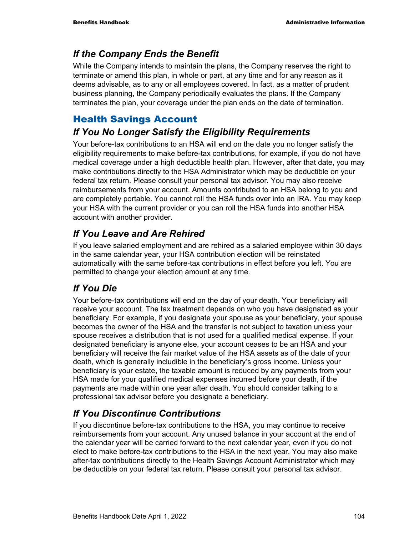## *If the Company Ends the Benefit*

While the Company intends to maintain the plans, the Company reserves the right to terminate or amend this plan, in whole or part, at any time and for any reason as it deems advisable, as to any or all employees covered. In fact, as a matter of prudent business planning, the Company periodically evaluates the plans. If the Company terminates the plan, your coverage under the plan ends on the date of termination.

## Health Savings Account

## *If You No Longer Satisfy the Eligibility Requirements*

Your before-tax contributions to an HSA will end on the date you no longer satisfy the eligibility requirements to make before-tax contributions, for example, if you do not have medical coverage under a high deductible health plan. However, after that date, you may make contributions directly to the HSA Administrator which may be deductible on your federal tax return. Please consult your personal tax advisor. You may also receive reimbursements from your account. Amounts contributed to an HSA belong to you and are completely portable. You cannot roll the HSA funds over into an IRA. You may keep your HSA with the current provider or you can roll the HSA funds into another HSA account with another provider.

## *If You Leave and Are Rehired*

If you leave salaried employment and are rehired as a salaried employee within 30 days in the same calendar year, your HSA contribution election will be reinstated automatically with the same before-tax contributions in effect before you left. You are permitted to change your election amount at any time.

## *If You Die*

Your before-tax contributions will end on the day of your death. Your beneficiary will receive your account. The tax treatment depends on who you have designated as your beneficiary. For example, if you designate your spouse as your beneficiary, your spouse becomes the owner of the HSA and the transfer is not subject to taxation unless your spouse receives a distribution that is not used for a qualified medical expense. If your designated beneficiary is anyone else, your account ceases to be an HSA and your beneficiary will receive the fair market value of the HSA assets as of the date of your death, which is generally includible in the beneficiary's gross income. Unless your beneficiary is your estate, the taxable amount is reduced by any payments from your HSA made for your qualified medical expenses incurred before your death, if the payments are made within one year after death. You should consider talking to a professional tax advisor before you designate a beneficiary.

## *If You Discontinue Contributions*

If you discontinue before-tax contributions to the HSA, you may continue to receive reimbursements from your account. Any unused balance in your account at the end of the calendar year will be carried forward to the next calendar year, even if you do not elect to make before-tax contributions to the HSA in the next year. You may also make after-tax contributions directly to the Health Savings Account Administrator which may be deductible on your federal tax return. Please consult your personal tax advisor.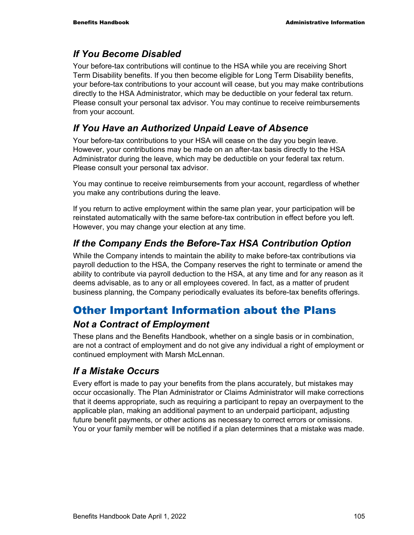#### *If You Become Disabled*

Your before-tax contributions will continue to the HSA while you are receiving Short Term Disability benefits. If you then become eligible for Long Term Disability benefits, your before-tax contributions to your account will cease, but you may make contributions directly to the HSA Administrator, which may be deductible on your federal tax return. Please consult your personal tax advisor. You may continue to receive reimbursements from your account.

#### *If You Have an Authorized Unpaid Leave of Absence*

Your before-tax contributions to your HSA will cease on the day you begin leave. However, your contributions may be made on an after-tax basis directly to the HSA Administrator during the leave, which may be deductible on your federal tax return. Please consult your personal tax advisor.

You may continue to receive reimbursements from your account, regardless of whether you make any contributions during the leave.

If you return to active employment within the same plan year, your participation will be reinstated automatically with the same before-tax contribution in effect before you left. However, you may change your election at any time.

## *If the Company Ends the Before-Tax HSA Contribution Option*

While the Company intends to maintain the ability to make before-tax contributions via payroll deduction to the HSA, the Company reserves the right to terminate or amend the ability to contribute via payroll deduction to the HSA, at any time and for any reason as it deems advisable, as to any or all employees covered. In fact, as a matter of prudent business planning, the Company periodically evaluates its before-tax benefits offerings.

# Other Important Information about the Plans

#### *Not a Contract of Employment*

These plans and the Benefits Handbook, whether on a single basis or in combination, are not a contract of employment and do not give any individual a right of employment or continued employment with Marsh McLennan.

## *If a Mistake Occurs*

Every effort is made to pay your benefits from the plans accurately, but mistakes may occur occasionally. The Plan Administrator or Claims Administrator will make corrections that it deems appropriate, such as requiring a participant to repay an overpayment to the applicable plan, making an additional payment to an underpaid participant, adjusting future benefit payments, or other actions as necessary to correct errors or omissions. You or your family member will be notified if a plan determines that a mistake was made.